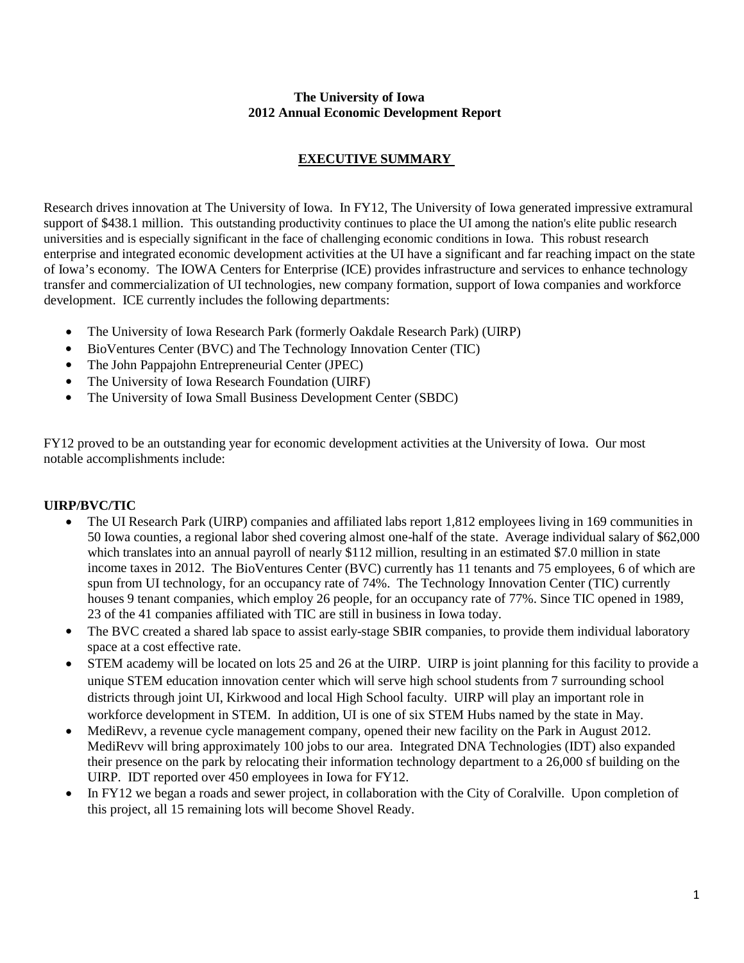#### **The University of Iowa 2012 Annual Economic Development Report**

#### **EXECUTIVE SUMMARY**

Research drives innovation at The University of Iowa. In FY12, The University of Iowa generated impressive extramural support of \$438.1 million. This outstanding productivity continues to place the UI among the nation's elite public research universities and is especially significant in the face of challenging economic conditions in Iowa. This robust research enterprise and integrated economic development activities at the UI have a significant and far reaching impact on the state of Iowa's economy. The IOWA Centers for Enterprise (ICE) provides infrastructure and services to enhance technology transfer and commercialization of UI technologies, new company formation, support of Iowa companies and workforce development. ICE currently includes the following departments:

- The University of Iowa Research Park (formerly Oakdale Research Park) (UIRP)
- BioVentures Center (BVC) and The Technology Innovation Center (TIC)
- The John Pappajohn Entrepreneurial Center (JPEC)
- The University of Iowa Research Foundation (UIRF)
- The University of Iowa Small Business Development Center (SBDC)

FY12 proved to be an outstanding year for economic development activities at the University of Iowa. Our most notable accomplishments include:

#### **UIRP/BVC/TIC**

- The UI Research Park (UIRP) companies and affiliated labs report 1,812 employees living in 169 communities in 50 Iowa counties, a regional labor shed covering almost one-half of the state. Average individual salary of \$62,000 which translates into an annual payroll of nearly \$112 million, resulting in an estimated \$7.0 million in state income taxes in 2012. The BioVentures Center (BVC) currently has 11 tenants and 75 employees, 6 of which are spun from UI technology, for an occupancy rate of 74%. The Technology Innovation Center (TIC) currently houses 9 tenant companies, which employ 26 people, for an occupancy rate of 77%. Since TIC opened in 1989, 23 of the 41 companies affiliated with TIC are still in business in Iowa today.
- The BVC created a shared lab space to assist early-stage SBIR companies, to provide them individual laboratory space at a cost effective rate.
- STEM academy will be located on lots 25 and 26 at the UIRP. UIRP is joint planning for this facility to provide a unique STEM education innovation center which will serve high school students from 7 surrounding school districts through joint UI, Kirkwood and local High School faculty. UIRP will play an important role in workforce development in STEM. In addition, UI is one of six STEM Hubs named by the state in May.
- MediRevv, a revenue cycle management company, opened their new facility on the Park in August 2012. MediRevv will bring approximately 100 jobs to our area. Integrated DNA Technologies (IDT) also expanded their presence on the park by relocating their information technology department to a 26,000 sf building on the UIRP. IDT reported over 450 employees in Iowa for FY12.
- In FY12 we began a roads and sewer project, in collaboration with the City of Coralville. Upon completion of this project, all 15 remaining lots will become Shovel Ready.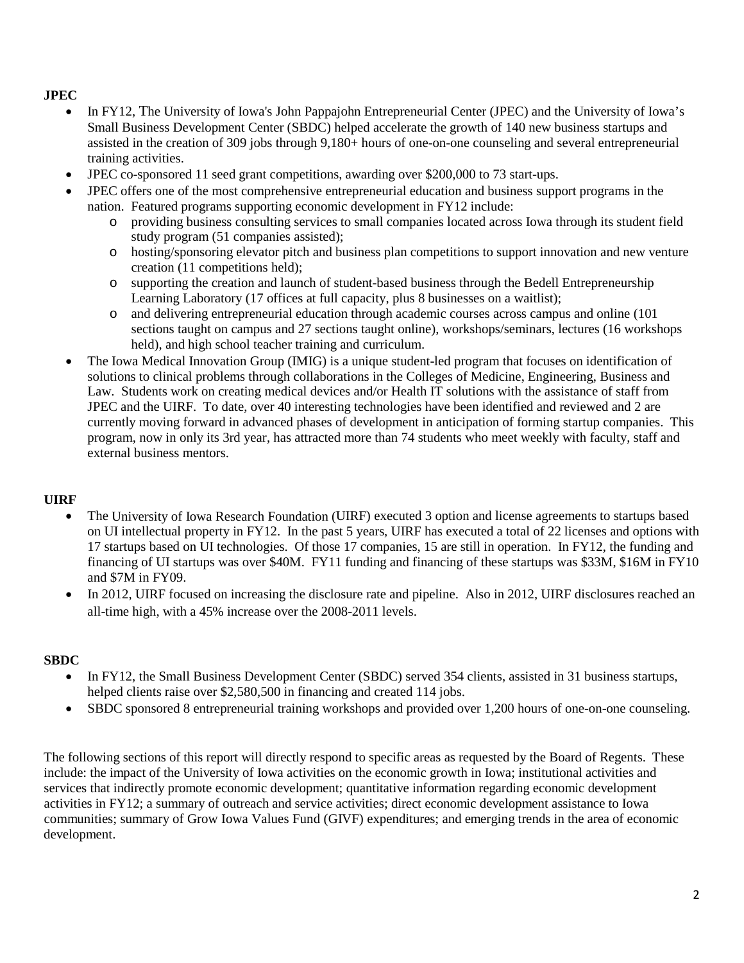### **JPEC**

- In FY12, The University of Iowa's John Pappajohn Entrepreneurial Center (JPEC) and the University of Iowa's Small Business Development Center (SBDC) helped accelerate the growth of 140 new business startups and assisted in the creation of 309 jobs through 9,180+ hours of one-on-one counseling and several entrepreneurial training activities.
- JPEC co-sponsored 11 seed grant competitions, awarding over \$200,000 to 73 start-ups.
- JPEC offers one of the most comprehensive entrepreneurial education and business support programs in the nation. Featured programs supporting economic development in FY12 include:
	- o providing business consulting services to small companies located across Iowa through its student field study program (51 companies assisted);
	- o hosting/sponsoring elevator pitch and business plan competitions to support innovation and new venture creation (11 competitions held);
	- o supporting the creation and launch of student-based business through the Bedell Entrepreneurship Learning Laboratory (17 offices at full capacity, plus 8 businesses on a waitlist);
	- o and delivering entrepreneurial education through academic courses across campus and online (101 sections taught on campus and 27 sections taught online), workshops/seminars, lectures (16 workshops held), and high school teacher training and curriculum.
- The Iowa Medical Innovation Group (IMIG) is a unique student-led program that focuses on identification of solutions to clinical problems through collaborations in the Colleges of Medicine, Engineering, Business and Law. Students work on creating medical devices and/or Health IT solutions with the assistance of staff from JPEC and the UIRF. To date, over 40 interesting technologies have been identified and reviewed and 2 are currently moving forward in advanced phases of development in anticipation of forming startup companies. This program, now in only its 3rd year, has attracted more than 74 students who meet weekly with faculty, staff and external business mentors.

#### **UIRF**

- The University of Iowa Research Foundation (UIRF) executed 3 option and license agreements to startups based on UI intellectual property in FY12. In the past 5 years, UIRF has executed a total of 22 licenses and options with 17 startups based on UI technologies. Of those 17 companies, 15 are still in operation. In FY12, the funding and financing of UI startups was over \$40M. FY11 funding and financing of these startups was \$33M, \$16M in FY10 and \$7M in FY09.
- In 2012, UIRF focused on increasing the disclosure rate and pipeline. Also in 2012, UIRF disclosures reached an all-time high, with a 45% increase over the 2008-2011 levels.

#### **SBDC**

- In FY12, the Small Business Development Center (SBDC) served 354 clients, assisted in 31 business startups, helped clients raise over \$2,580,500 in financing and created 114 jobs.
- SBDC sponsored 8 entrepreneurial training workshops and provided over 1,200 hours of one-on-one counseling.

The following sections of this report will directly respond to specific areas as requested by the Board of Regents. These include: the impact of the University of Iowa activities on the economic growth in Iowa; institutional activities and services that indirectly promote economic development; quantitative information regarding economic development activities in FY12; a summary of outreach and service activities; direct economic development assistance to Iowa communities; summary of Grow Iowa Values Fund (GIVF) expenditures; and emerging trends in the area of economic development.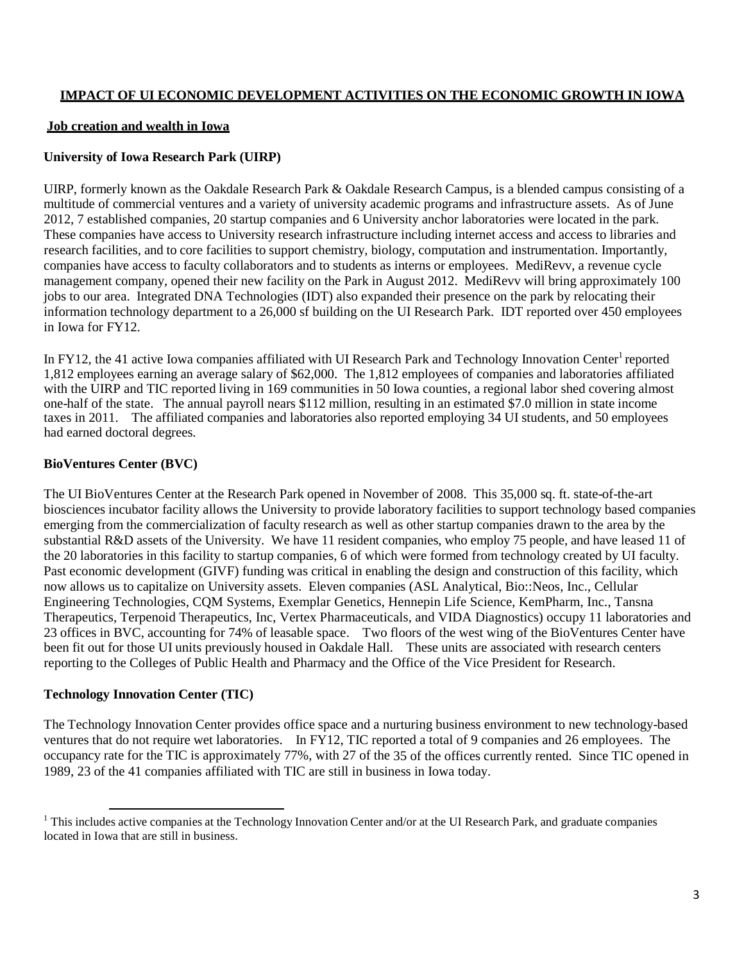#### **IMPACT OF UI ECONOMIC DEVELOPMENT ACTIVITIES ON THE ECONOMIC GROWTH IN IOWA**

#### **Job creation and wealth in Iowa**

#### **University of Iowa Research Park (UIRP)**

UIRP, formerly known as the Oakdale Research Park & Oakdale Research Campus, is a blended campus consisting of a multitude of commercial ventures and a variety of university academic programs and infrastructure assets. As of June 2012, 7 established companies, 20 startup companies and 6 University anchor laboratories were located in the park. These companies have access to University research infrastructure including internet access and access to libraries and research facilities, and to core facilities to support chemistry, biology, computation and instrumentation. Importantly, companies have access to faculty collaborators and to students as interns or employees. MediRevv, a revenue cycle management company, opened their new facility on the Park in August 2012. MediRevv will bring approximately 100 jobs to our area. Integrated DNA Technologies (IDT) also expanded their presence on the park by relocating their information technology department to a 26,000 sf building on the UI Research Park. IDT reported over 450 employees in Iowa for FY12.

In FY12, the 41 active Iowa companies affiliated with UI Research Park and Technology Innovation Center<sup>1</sup> reported 1,812 employees earning an average salary of \$62,000. The 1,812 employees of companies and laboratories affiliated with the UIRP and TIC reported living in 169 communities in 50 Iowa counties, a regional labor shed covering almost one-half of the state. The annual payroll nears \$112 million, resulting in an estimated \$7.0 million in state income taxes in 2011. The affiliated companies and laboratories also reported employing 34 UI students, and 50 employees had earned doctoral degrees.

#### **BioVentures Center (BVC)**

The UI BioVentures Center at the Research Park opened in November of 2008. This 35,000 sq. ft. state-of-the-art biosciences incubator facility allows the University to provide laboratory facilities to support technology based companies emerging from the commercialization of faculty research as well as other startup companies drawn to the area by the substantial R&D assets of the University. We have 11 resident companies, who employ 75 people, and have leased 11 of the 20 laboratories in this facility to startup companies, 6 of which were formed from technology created by UI faculty. Past economic development (GIVF) funding was critical in enabling the design and construction of this facility, which now allows us to capitalize on University assets. Eleven companies (ASL Analytical, Bio::Neos, Inc., Cellular Engineering Technologies, CQM Systems, Exemplar Genetics, Hennepin Life Science, KemPharm, Inc., Tansna Therapeutics, Terpenoid Therapeutics, Inc, Vertex Pharmaceuticals, and VIDA Diagnostics) occupy 11 laboratories and 23 offices in BVC, accounting for 74% of leasable space. Two floors of the west wing of the BioVentures Center have been fit out for those UI units previously housed in Oakdale Hall. These units are associated with research centers reporting to the Colleges of Public Health and Pharmacy and the Office of the Vice President for Research.

#### **Technology Innovation Center (TIC)**

The Technology Innovation Center provides office space and a nurturing business environment to new technology-based ventures that do not require wet laboratories. In FY12, TIC reported a total of 9 companies and 26 employees. The occupancy rate for the TIC is approximately 77%, with 27 of the 35 of the offices currently rented. Since TIC opened in 1989, 23 of the 41 companies affiliated with TIC are still in business in Iowa today.

 $<sup>1</sup>$  This includes active companies at the Technology Innovation Center and/or at the UI Research Park, and graduate companies</sup> located in Iowa that are still in business.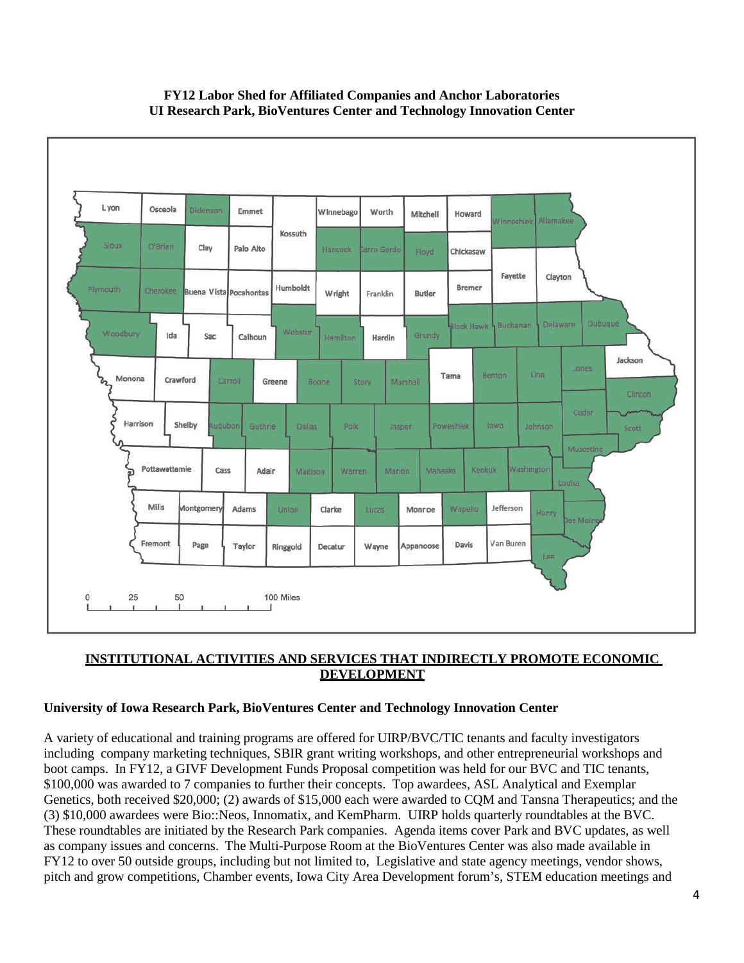#### **FY12 Labor Shed for Affiliated Companies and Anchor Laboratories UI Research Park, BioVentures Center and Technology Innovation Center**



#### **INSTITUTIONAL ACTIVITIES AND SERVICES THAT INDIRECTLY PROMOTE ECONOMIC DEVELOPMENT**

#### **University of Iowa Research Park, BioVentures Center and Technology Innovation Center**

A variety of educational and training programs are offered for UIRP/BVC/TIC tenants and faculty investigators including company marketing techniques, SBIR grant writing workshops, and other entrepreneurial workshops and boot camps. In FY12, a GIVF Development Funds Proposal competition was held for our BVC and TIC tenants, \$100,000 was awarded to 7 companies to further their concepts. Top awardees, ASL Analytical and Exemplar Genetics, both received \$20,000; (2) awards of \$15,000 each were awarded to CQM and Tansna Therapeutics; and the (3) \$10,000 awardees were Bio::Neos, Innomatix, and KemPharm. UIRP holds quarterly roundtables at the BVC. These roundtables are initiated by the Research Park companies. Agenda items cover Park and BVC updates, as well as company issues and concerns. The Multi-Purpose Room at the BioVentures Center was also made available in FY12 to over 50 outside groups, including but not limited to, Legislative and state agency meetings, vendor shows, pitch and grow competitions, Chamber events, Iowa City Area Development forum's, STEM education meetings and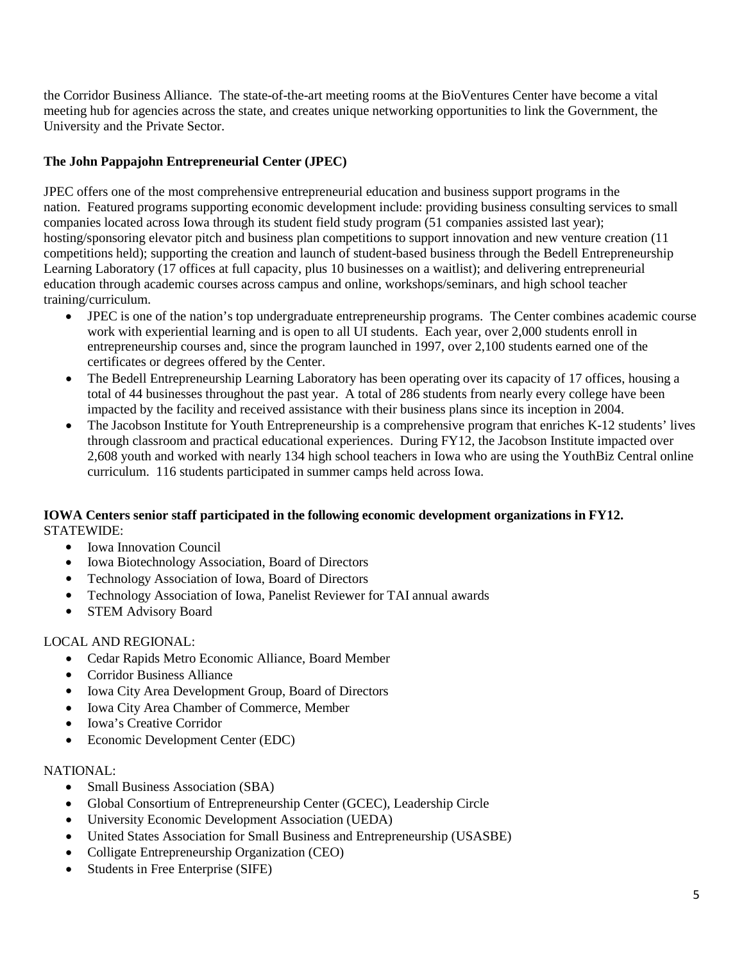the Corridor Business Alliance. The state-of-the-art meeting rooms at the BioVentures Center have become a vital meeting hub for agencies across the state, and creates unique networking opportunities to link the Government, the University and the Private Sector.

### **The John Pappajohn Entrepreneurial Center (JPEC)**

JPEC offers one of the most comprehensive entrepreneurial education and business support programs in the nation. Featured programs supporting economic development include: providing business consulting services to small companies located across Iowa through its student field study program (51 companies assisted last year); hosting/sponsoring elevator pitch and business plan competitions to support innovation and new venture creation (11 competitions held); supporting the creation and launch of student-based business through the Bedell Entrepreneurship Learning Laboratory (17 offices at full capacity, plus 10 businesses on a waitlist); and delivering entrepreneurial education through academic courses across campus and online, workshops/seminars, and high school teacher training/curriculum.

- JPEC is one of the nation's top undergraduate entrepreneurship programs. The Center combines academic course work with experiential learning and is open to all UI students. Each year, over 2,000 students enroll in entrepreneurship courses and, since the program launched in 1997, over 2,100 students earned one of the certificates or degrees offered by the Center.
- The Bedell Entrepreneurship Learning Laboratory has been operating over its capacity of 17 offices, housing a total of 44 businesses throughout the past year. A total of 286 students from nearly every college have been impacted by the facility and received assistance with their business plans since its inception in 2004.
- The Jacobson Institute for Youth Entrepreneurship is a comprehensive program that enriches K-12 students' lives through classroom and practical educational experiences. During FY12, the Jacobson Institute impacted over 2,608 youth and worked with nearly 134 high school teachers in Iowa who are using the YouthBiz Central online curriculum. 116 students participated in summer camps held across Iowa.

#### **IOWA Centers senior staff participated in the following economic development organizations in FY12.** STATEWIDE:

- Iowa Innovation Council
- Iowa Biotechnology Association, Board of Directors
- Technology Association of Iowa, Board of Directors
- Technology Association of Iowa, Panelist Reviewer for TAI annual awards
- STEM Advisory Board

#### LOCAL AND REGIONAL:

- Cedar Rapids Metro Economic Alliance, Board Member
- Corridor Business Alliance
- Iowa City Area Development Group, Board of Directors
- Iowa City Area Chamber of Commerce, Member
- Iowa's Creative Corridor
- Economic Development Center (EDC)

#### NATIONAL:

- Small Business Association (SBA)
- Global Consortium of Entrepreneurship Center (GCEC), Leadership Circle
- University Economic Development Association (UEDA)
- United States Association for Small Business and Entrepreneurship (USASBE)
- Colligate Entrepreneurship Organization (CEO)
- Students in Free Enterprise (SIFE)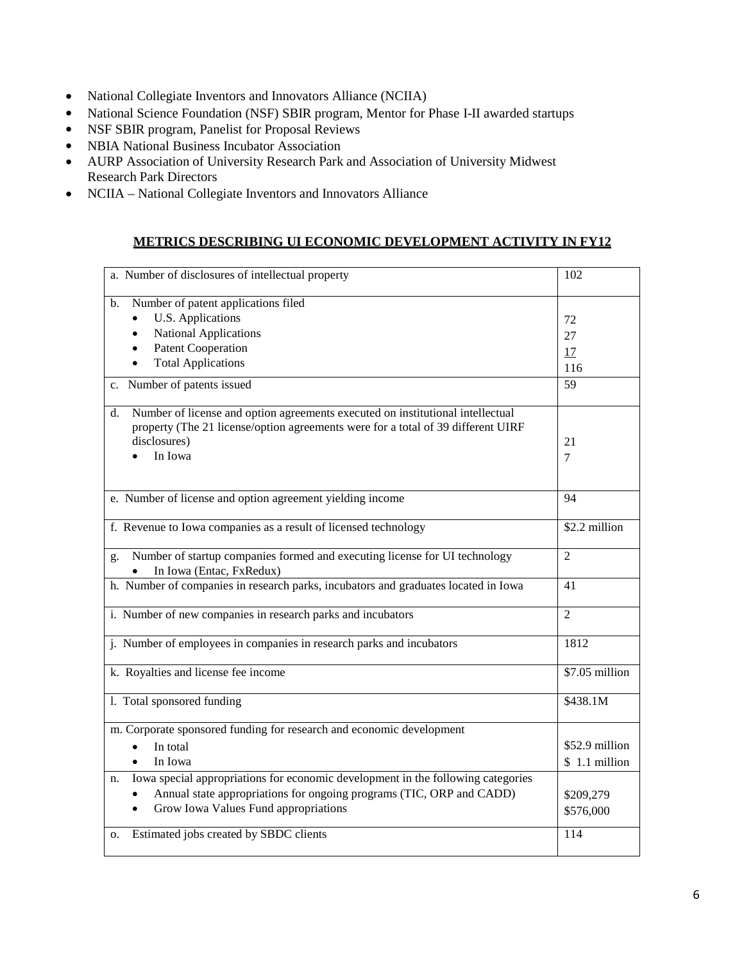- National Collegiate Inventors and Innovators Alliance (NCIIA)
- National Science Foundation (NSF) SBIR program, Mentor for Phase I-II awarded startups
- NSF SBIR program, Panelist for Proposal Reviews
- NBIA National Business Incubator Association
- AURP Association of University Research Park and Association of University Midwest Research Park Directors
- NCIIA National Collegiate Inventors and Innovators Alliance

#### **METRICS DESCRIBING UI ECONOMIC DEVELOPMENT ACTIVITY IN FY12**

| a. Number of disclosures of intellectual property                                                                                                                        | 102            |
|--------------------------------------------------------------------------------------------------------------------------------------------------------------------------|----------------|
| Number of patent applications filed<br>$\mathbf{b}$ .                                                                                                                    |                |
| <b>U.S. Applications</b>                                                                                                                                                 | 72             |
| <b>National Applications</b>                                                                                                                                             | 27             |
| <b>Patent Cooperation</b>                                                                                                                                                | 17             |
| <b>Total Applications</b>                                                                                                                                                | 116            |
|                                                                                                                                                                          | 59             |
| Number of patents issued<br>c.                                                                                                                                           |                |
| Number of license and option agreements executed on institutional intellectual<br>d.<br>property (The 21 license/option agreements were for a total of 39 different UIRF |                |
| disclosures)                                                                                                                                                             | 21             |
| In Iowa                                                                                                                                                                  | 7              |
| e. Number of license and option agreement yielding income                                                                                                                | 94             |
| f. Revenue to Iowa companies as a result of licensed technology                                                                                                          | \$2.2 million  |
| Number of startup companies formed and executing license for UI technology<br>g.<br>In Iowa (Entac, FxRedux)                                                             | $\overline{2}$ |
| h. Number of companies in research parks, incubators and graduates located in Iowa                                                                                       | 41             |
| i. Number of new companies in research parks and incubators                                                                                                              | $\overline{2}$ |
| j. Number of employees in companies in research parks and incubators                                                                                                     | 1812           |
| k. Royalties and license fee income                                                                                                                                      | \$7.05 million |
| 1. Total sponsored funding                                                                                                                                               | \$438.1M       |
| m. Corporate sponsored funding for research and economic development                                                                                                     |                |
| In total                                                                                                                                                                 | \$52.9 million |
| In Iowa                                                                                                                                                                  | \$1.1 million  |
| Iowa special appropriations for economic development in the following categories<br>n.                                                                                   |                |
| Annual state appropriations for ongoing programs (TIC, ORP and CADD)                                                                                                     | \$209,279      |
| Grow Iowa Values Fund appropriations                                                                                                                                     | \$576,000      |
| Estimated jobs created by SBDC clients<br>0.                                                                                                                             | 114            |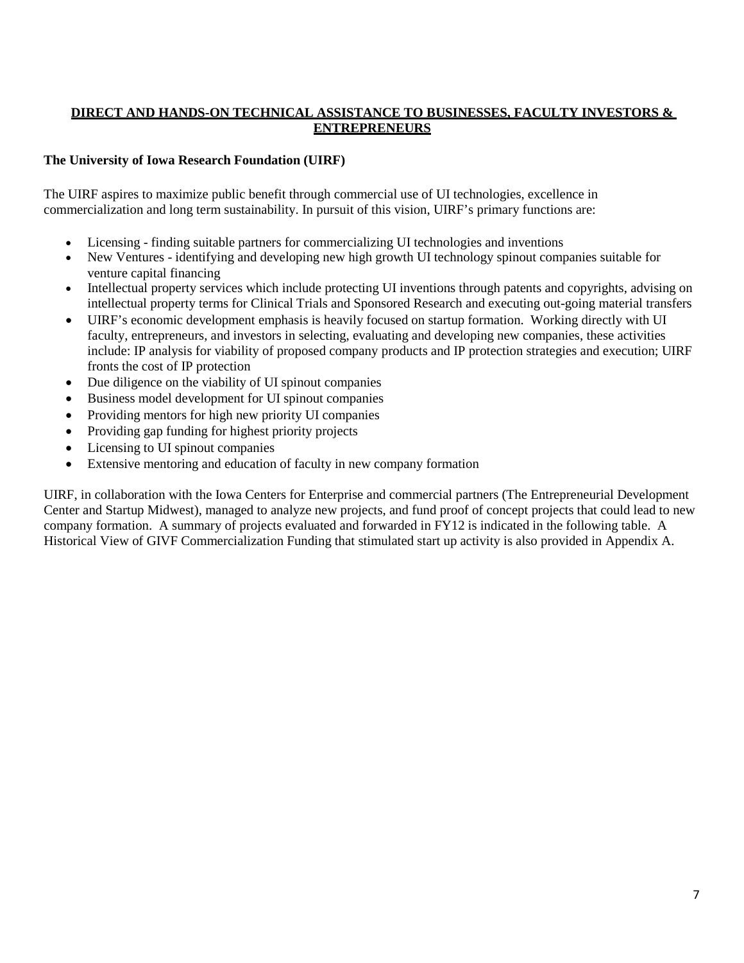#### **DIRECT AND HANDS-ON TECHNICAL ASSISTANCE TO BUSINESSES, FACULTY INVESTORS & ENTREPRENEURS**

### **The University of Iowa Research Foundation (UIRF)**

The UIRF aspires to maximize public benefit through commercial use of UI technologies, excellence in commercialization and long term sustainability. In pursuit of this vision, UIRF's primary functions are:

- Licensing finding suitable partners for commercializing UI technologies and inventions
- New Ventures identifying and developing new high growth UI technology spinout companies suitable for venture capital financing
- Intellectual property services which include protecting UI inventions through patents and copyrights, advising on intellectual property terms for Clinical Trials and Sponsored Research and executing out-going material transfers
- UIRF's economic development emphasis is heavily focused on startup formation. Working directly with UI faculty, entrepreneurs, and investors in selecting, evaluating and developing new companies, these activities include: IP analysis for viability of proposed company products and IP protection strategies and execution; UIRF fronts the cost of IP protection
- Due diligence on the viability of UI spinout companies
- Business model development for UI spinout companies
- Providing mentors for high new priority UI companies
- Providing gap funding for highest priority projects
- Licensing to UI spinout companies
- Extensive mentoring and education of faculty in new company formation

UIRF, in collaboration with the Iowa Centers for Enterprise and commercial partners (The Entrepreneurial Development Center and Startup Midwest), managed to analyze new projects, and fund proof of concept projects that could lead to new company formation. A summary of projects evaluated and forwarded in FY12 is indicated in the following table. A Historical View of GIVF Commercialization Funding that stimulated start up activity is also provided in Appendix A.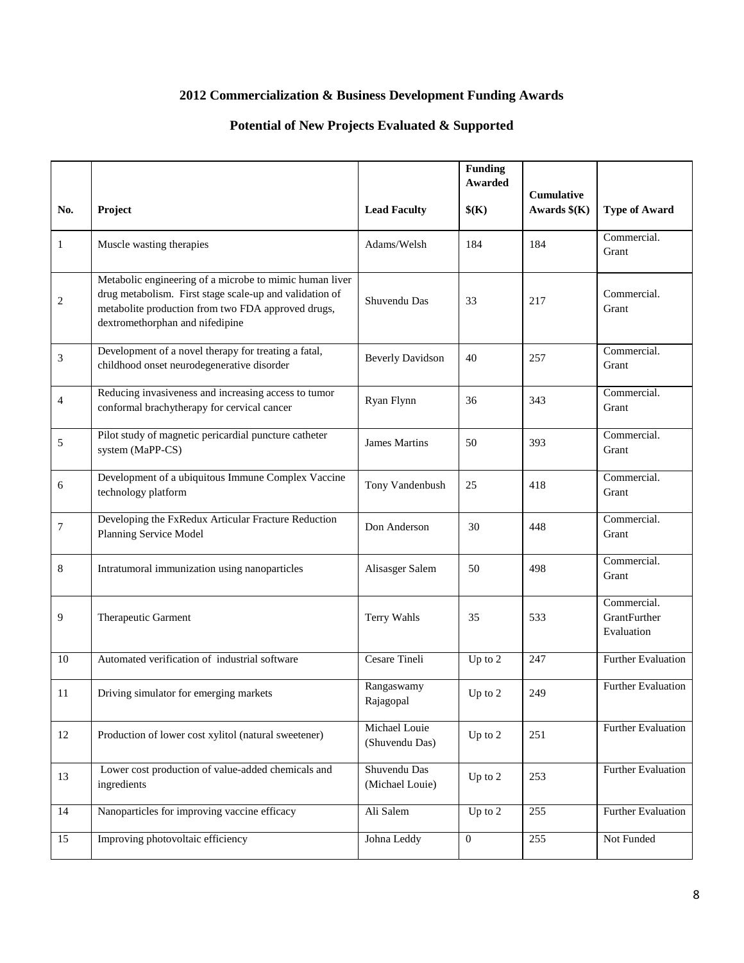### **2012 Commercialization & Business Development Funding Awards**

### **Potential of New Projects Evaluated & Supported**

|              |                                                                                                                                                                                                             |                                 | <b>Funding</b><br><b>Awarded</b> | <b>Cumulative</b> |                                           |
|--------------|-------------------------------------------------------------------------------------------------------------------------------------------------------------------------------------------------------------|---------------------------------|----------------------------------|-------------------|-------------------------------------------|
| No.          | Project                                                                                                                                                                                                     | <b>Lead Faculty</b>             | \$(K)                            | Awards \$(K)      | <b>Type of Award</b>                      |
| $\mathbf{1}$ | Muscle wasting therapies                                                                                                                                                                                    | Adams/Welsh                     | 184                              | 184               | Commercial.<br>Grant                      |
| 2            | Metabolic engineering of a microbe to mimic human liver<br>drug metabolism. First stage scale-up and validation of<br>metabolite production from two FDA approved drugs,<br>dextromethorphan and nifedipine | Shuvendu Das                    | 33                               | 217               | Commercial.<br>Grant                      |
| 3            | Development of a novel therapy for treating a fatal,<br>childhood onset neurodegenerative disorder                                                                                                          | <b>Beverly Davidson</b>         | 40                               | 257               | Commercial.<br>Grant                      |
| 4            | Reducing invasiveness and increasing access to tumor<br>conformal brachytherapy for cervical cancer                                                                                                         | Ryan Flynn                      | 36                               | 343               | Commercial.<br>Grant                      |
| $\sqrt{5}$   | Pilot study of magnetic pericardial puncture catheter<br>system (MaPP-CS)                                                                                                                                   | <b>James Martins</b>            | 50                               | 393               | Commercial.<br>Grant                      |
| 6            | Development of a ubiquitous Immune Complex Vaccine<br>technology platform                                                                                                                                   | Tony Vandenbush                 | 25                               | 418               | Commercial.<br>Grant                      |
| 7            | Developing the FxRedux Articular Fracture Reduction<br>Planning Service Model                                                                                                                               | Don Anderson                    | 30                               | 448               | Commercial.<br>Grant                      |
| 8            | Intratumoral immunization using nanoparticles                                                                                                                                                               | Alisasger Salem                 | 50                               | 498               | Commercial.<br>Grant                      |
| 9            | Therapeutic Garment                                                                                                                                                                                         | Terry Wahls                     | 35                               | 533               | Commercial.<br>GrantFurther<br>Evaluation |
| 10           | Automated verification of industrial software                                                                                                                                                               | Cesare Tineli                   | Up to $2$                        | 247               | Further Evaluation                        |
| 11           | Driving simulator for emerging markets                                                                                                                                                                      | Rangaswamy<br>Rajagopal         | Up to 2                          | 249               | <b>Further Evaluation</b>                 |
| 12           | Production of lower cost xylitol (natural sweetener)                                                                                                                                                        | Michael Louie<br>(Shuvendu Das) | Up to 2                          | 251               | Further Evaluation                        |
| 13           | Lower cost production of value-added chemicals and<br>ingredients                                                                                                                                           | Shuvendu Das<br>(Michael Louie) | Up to 2                          | 253               | Further Evaluation                        |
| 14           | Nanoparticles for improving vaccine efficacy                                                                                                                                                                | Ali Salem                       | Up to $2$                        | 255               | Further Evaluation                        |
| 15           | Improving photovoltaic efficiency                                                                                                                                                                           | Johna Leddy                     | $\mathbf{0}$                     | 255               | Not Funded                                |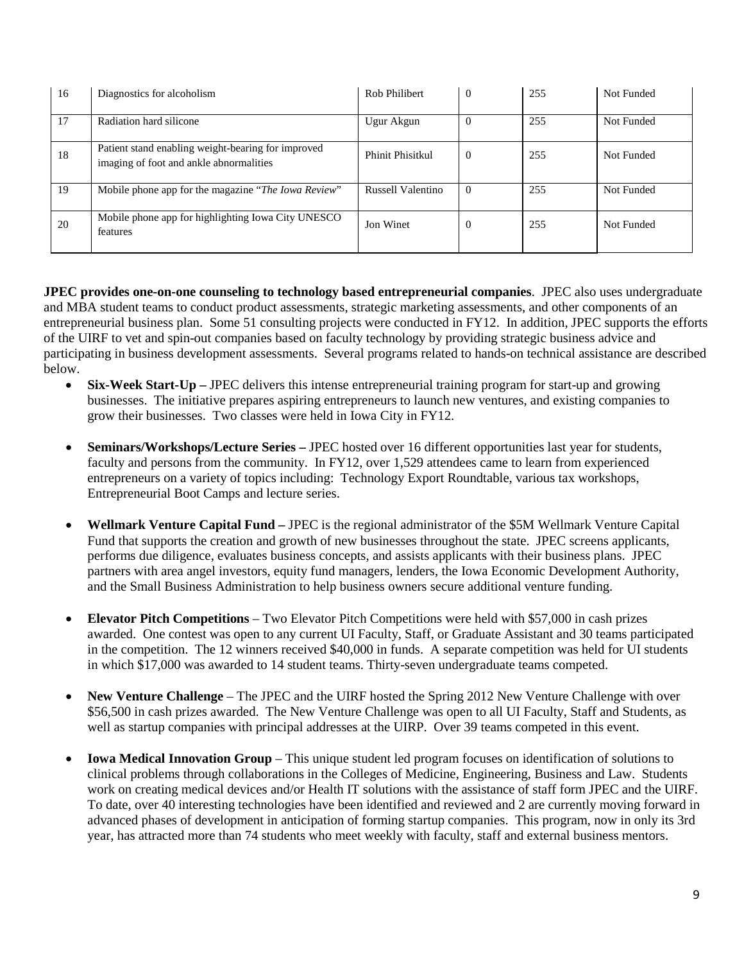| 16 | Diagnostics for alcoholism                                                                    | Rob Philibert     | $\overline{0}$ | 255 | Not Funded |
|----|-----------------------------------------------------------------------------------------------|-------------------|----------------|-----|------------|
| 17 | Radiation hard silicone                                                                       | Ugur Akgun        | $\Omega$       | 255 | Not Funded |
| 18 | Patient stand enabling weight-bearing for improved<br>imaging of foot and ankle abnormalities | Phinit Phisitkul  | $\overline{0}$ | 255 | Not Funded |
| 19 | Mobile phone app for the magazine "The Iowa Review"                                           | Russell Valentino | $\Omega$       | 255 | Not Funded |
| 20 | Mobile phone app for highlighting Iowa City UNESCO<br>features                                | Jon Winet         | $\overline{0}$ | 255 | Not Funded |

**JPEC provides one-on-one counseling to technology based entrepreneurial companies**. JPEC also uses undergraduate and MBA student teams to conduct product assessments, strategic marketing assessments, and other components of an entrepreneurial business plan. Some 51 consulting projects were conducted in FY12. In addition, JPEC supports the efforts of the UIRF to vet and spin-out companies based on faculty technology by providing strategic business advice and participating in business development assessments. Several programs related to hands-on technical assistance are described below.

- **Six-Week Start-Up** JPEC delivers this intense entrepreneurial training program for start-up and growing businesses. The initiative prepares aspiring entrepreneurs to launch new ventures, and existing companies to grow their businesses. Two classes were held in Iowa City in FY12.
- **Seminars/Workshops/Lecture Series –** JPEC hosted over 16 different opportunities last year for students, faculty and persons from the community. In FY12, over 1,529 attendees came to learn from experienced entrepreneurs on a variety of topics including: Technology Export Roundtable, various tax workshops, Entrepreneurial Boot Camps and lecture series.
- **Wellmark Venture Capital Fund –** JPEC is the regional administrator of the \$5M Wellmark Venture Capital Fund that supports the creation and growth of new businesses throughout the state. JPEC screens applicants, performs due diligence, evaluates business concepts, and assists applicants with their business plans. JPEC partners with area angel investors, equity fund managers, lenders, the Iowa Economic Development Authority, and the Small Business Administration to help business owners secure additional venture funding.
- **Elevator Pitch Competitions** Two Elevator Pitch Competitions were held with \$57,000 in cash prizes awarded. One contest was open to any current UI Faculty, Staff, or Graduate Assistant and 30 teams participated in the competition. The 12 winners received \$40,000 in funds. A separate competition was held for UI students in which \$17,000 was awarded to 14 student teams. Thirty-seven undergraduate teams competed.
- **New Venture Challenge** The JPEC and the UIRF hosted the Spring 2012 New Venture Challenge with over \$56,500 in cash prizes awarded. The New Venture Challenge was open to all UI Faculty, Staff and Students, as well as startup companies with principal addresses at the UIRP. Over 39 teams competed in this event.
- **Iowa Medical Innovation Group** This unique student led program focuses on identification of solutions to clinical problems through collaborations in the Colleges of Medicine, Engineering, Business and Law. Students work on creating medical devices and/or Health IT solutions with the assistance of staff form JPEC and the UIRF. To date, over 40 interesting technologies have been identified and reviewed and 2 are currently moving forward in advanced phases of development in anticipation of forming startup companies. This program, now in only its 3rd year, has attracted more than 74 students who meet weekly with faculty, staff and external business mentors.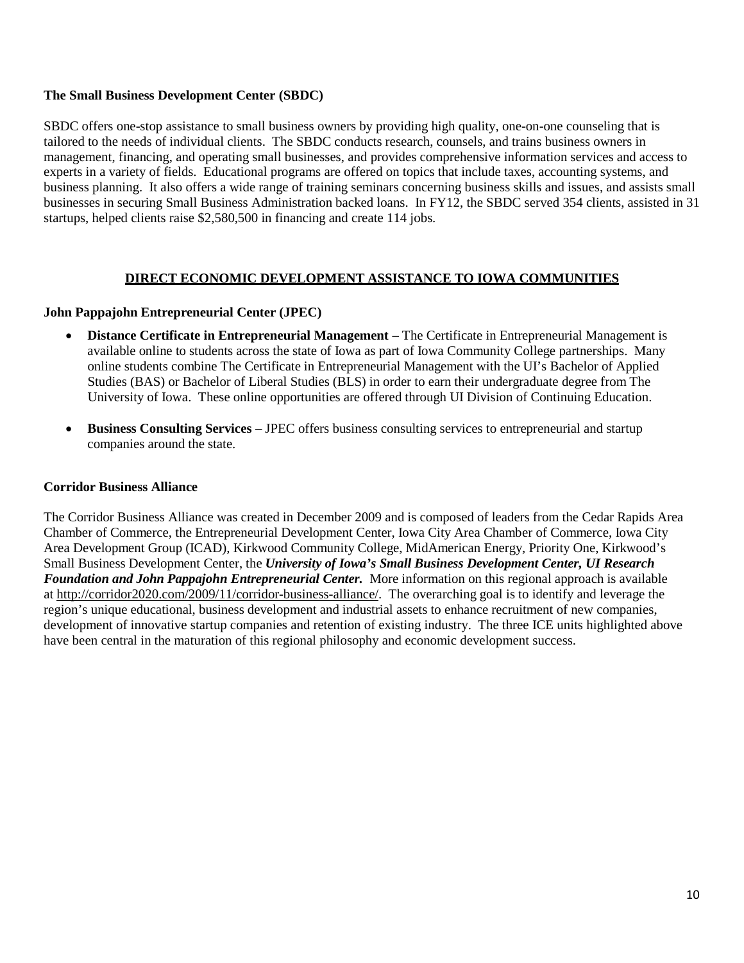#### **The Small Business Development Center (SBDC)**

SBDC offers one-stop assistance to small business owners by providing high quality, one-on-one counseling that is tailored to the needs of individual clients. The SBDC conducts research, counsels, and trains business owners in management, financing, and operating small businesses, and provides comprehensive information services and access to experts in a variety of fields. Educational programs are offered on topics that include taxes, accounting systems, and business planning. It also offers a wide range of training seminars concerning business skills and issues, and assists small businesses in securing Small Business Administration backed loans. In FY12, the SBDC served 354 clients, assisted in 31 startups, helped clients raise \$2,580,500 in financing and create 114 jobs.

#### **DIRECT ECONOMIC DEVELOPMENT ASSISTANCE TO IOWA COMMUNITIES**

#### **John Pappajohn Entrepreneurial Center (JPEC)**

- **Distance Certificate in Entrepreneurial Management –** The Certificate in Entrepreneurial Management is available online to students across the state of Iowa as part of Iowa Community College partnerships. Many online students combine The Certificate in Entrepreneurial Management with the UI's Bachelor of Applied Studies (BAS) or Bachelor of Liberal Studies (BLS) in order to earn their undergraduate degree from The University of Iowa. These online opportunities are offered through UI Division of Continuing Education.
- **Business Consulting Services –** JPEC offers business consulting services to entrepreneurial and startup companies around the state.

#### **Corridor Business Alliance**

The Corridor Business Alliance was created in December 2009 and is composed of leaders from the Cedar Rapids Area Chamber of Commerce, the Entrepreneurial Development Center, Iowa City Area Chamber of Commerce, Iowa City Area Development Group (ICAD), Kirkwood Community College, MidAmerican Energy, Priority One, Kirkwood's Small Business Development Center, the *University of Iowa's Small Business Development Center, UI Research Foundation and John Pappajohn Entrepreneurial Center.* More information on this regional approach is available a[t http://corridor2020.com/2009/11/corridor-business-alliance/.](http://corridor2020.com/2009/11/corridor-business-alliance/) The overarching goal is to identify and leverage the region's unique educational, business development and industrial assets to enhance recruitment of new companies, development of innovative startup companies and retention of existing industry. The three ICE units highlighted above have been central in the maturation of this regional philosophy and economic development success.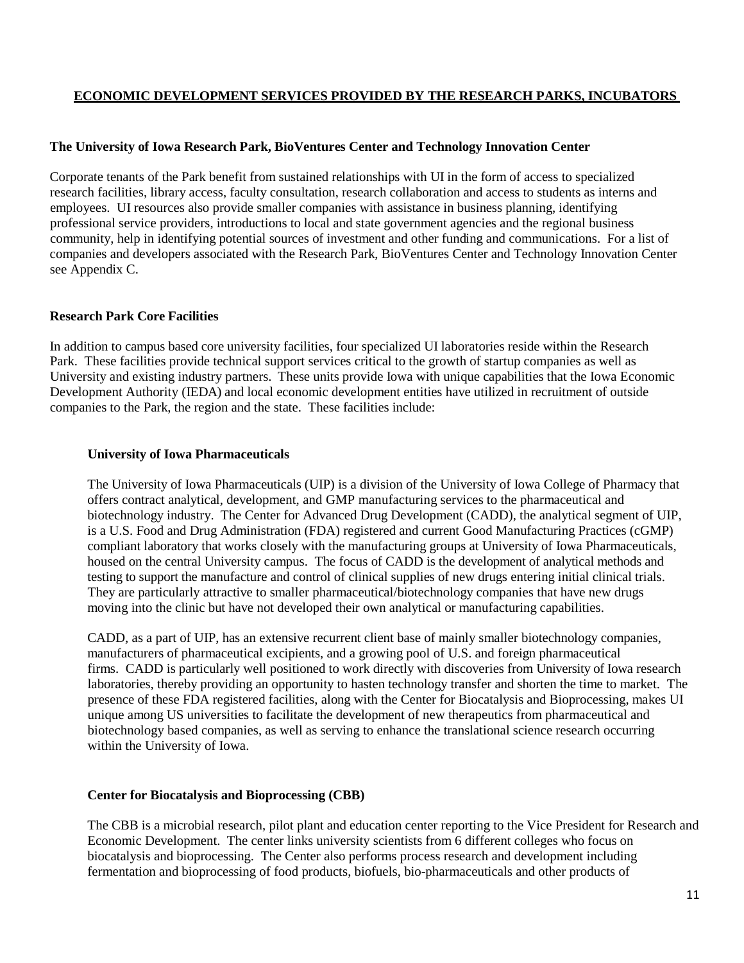#### **ECONOMIC DEVELOPMENT SERVICES PROVIDED BY THE RESEARCH PARKS, INCUBATORS**

#### **The University of Iowa Research Park, BioVentures Center and Technology Innovation Center**

Corporate tenants of the Park benefit from sustained relationships with UI in the form of access to specialized research facilities, library access, faculty consultation, research collaboration and access to students as interns and employees. UI resources also provide smaller companies with assistance in business planning, identifying professional service providers, introductions to local and state government agencies and the regional business community, help in identifying potential sources of investment and other funding and communications. For a list of companies and developers associated with the Research Park, BioVentures Center and Technology Innovation Center see Appendix C.

#### **Research Park Core Facilities**

In addition to campus based core university facilities, four specialized UI laboratories reside within the Research Park. These facilities provide technical support services critical to the growth of startup companies as well as University and existing industry partners. These units provide Iowa with unique capabilities that the Iowa Economic Development Authority (IEDA) and local economic development entities have utilized in recruitment of outside companies to the Park, the region and the state. These facilities include:

#### **University of Iowa Pharmaceuticals**

The University of Iowa Pharmaceuticals (UIP) is a division of the University of Iowa College of Pharmacy that offers contract analytical, development, and GMP manufacturing services to the pharmaceutical and biotechnology industry. The Center for Advanced Drug Development (CADD), the analytical segment of UIP, is a U.S. Food and Drug Administration (FDA) registered and current Good Manufacturing Practices (cGMP) compliant laboratory that works closely with the manufacturing groups at University of Iowa Pharmaceuticals, housed on the central University campus. The focus of CADD is the development of analytical methods and testing to support the manufacture and control of clinical supplies of new drugs entering initial clinical trials. They are particularly attractive to smaller pharmaceutical/biotechnology companies that have new drugs moving into the clinic but have not developed their own analytical or manufacturing capabilities.

CADD, as a part of UIP, has an extensive recurrent client base of mainly smaller biotechnology companies, manufacturers of pharmaceutical excipients, and a growing pool of U.S. and foreign pharmaceutical firms. CADD is particularly well positioned to work directly with discoveries from University of Iowa research laboratories, thereby providing an opportunity to hasten technology transfer and shorten the time to market. The presence of these FDA registered facilities, along with the Center for Biocatalysis and Bioprocessing, makes UI unique among US universities to facilitate the development of new therapeutics from pharmaceutical and biotechnology based companies, as well as serving to enhance the translational science research occurring within the University of Iowa.

#### **Center for Biocatalysis and Bioprocessing (CBB)**

The CBB is a microbial research, pilot plant and education center reporting to the Vice President for Research and Economic Development. The center links university scientists from 6 different colleges who focus on biocatalysis and bioprocessing. The Center also performs process research and development including fermentation and bioprocessing of food products, biofuels, bio-pharmaceuticals and other products of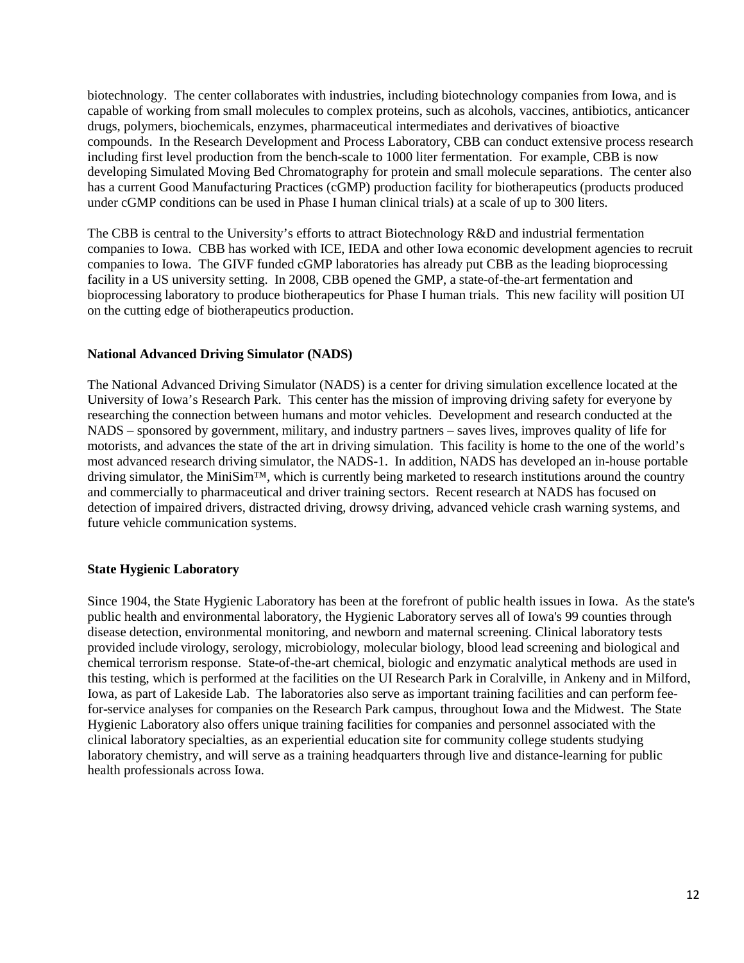biotechnology. The center collaborates with industries, including biotechnology companies from Iowa, and is capable of working from small molecules to complex proteins, such as alcohols, vaccines, antibiotics, anticancer drugs, polymers, biochemicals, enzymes, pharmaceutical intermediates and derivatives of bioactive compounds. In the Research Development and Process Laboratory, CBB can conduct extensive process research including first level production from the bench-scale to 1000 liter fermentation. For example, CBB is now developing Simulated Moving Bed Chromatography for protein and small molecule separations. The center also has a current Good Manufacturing Practices (cGMP) production facility for biotherapeutics (products produced under cGMP conditions can be used in Phase I human clinical trials) at a scale of up to 300 liters.

The CBB is central to the University's efforts to attract Biotechnology R&D and industrial fermentation companies to Iowa. CBB has worked with ICE, IEDA and other Iowa economic development agencies to recruit companies to Iowa. The GIVF funded cGMP laboratories has already put CBB as the leading bioprocessing facility in a US university setting. In 2008, CBB opened the GMP, a state-of-the-art fermentation and bioprocessing laboratory to produce biotherapeutics for Phase I human trials. This new facility will position UI on the cutting edge of biotherapeutics production.

#### **National Advanced Driving Simulator (NADS)**

The National Advanced Driving Simulator (NADS) is a center for driving simulation excellence located at the University of Iowa's Research Park. This center has the mission of improving driving safety for everyone by researching the connection between humans and motor vehicles. Development and research conducted at the NADS – sponsored by government, military, and industry partners – saves lives, improves quality of life for motorists, and advances the state of the art in driving simulation. This facility is home to the one of the world's most advanced research driving simulator, the NADS-1. In addition, NADS has developed an in-house portable driving simulator, the MiniSim™, which is currently being marketed to research institutions around the country and commercially to pharmaceutical and driver training sectors. Recent research at NADS has focused on detection of impaired drivers, distracted driving, drowsy driving, advanced vehicle crash warning systems, and future vehicle communication systems.

#### **State Hygienic Laboratory**

Since 1904, the State Hygienic Laboratory has been at the forefront of public health issues in Iowa. As the state's public health and environmental laboratory, the Hygienic Laboratory serves all of Iowa's 99 counties through disease detection, environmental monitoring, and newborn and maternal screening. Clinical laboratory tests provided include virology, serology, microbiology, molecular biology, blood lead screening and biological and chemical terrorism response. State-of-the-art chemical, biologic and enzymatic analytical methods are used in this testing, which is performed at the facilities on the UI Research Park in Coralville, in Ankeny and in Milford, Iowa, as part of Lakeside Lab. The laboratories also serve as important training facilities and can perform feefor-service analyses for companies on the Research Park campus, throughout Iowa and the Midwest. The State Hygienic Laboratory also offers unique training facilities for companies and personnel associated with the clinical laboratory specialties, as an experiential education site for community college students studying laboratory chemistry, and will serve as a training headquarters through live and distance-learning for public health professionals across Iowa.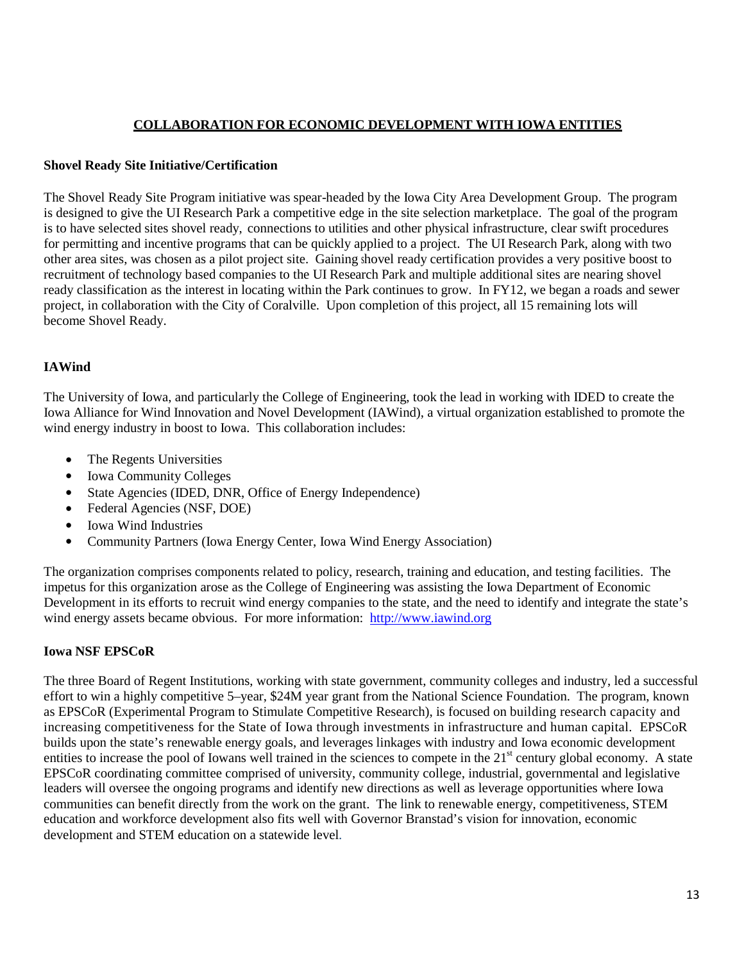#### **COLLABORATION FOR ECONOMIC DEVELOPMENT WITH IOWA ENTITIES**

#### **Shovel Ready Site Initiative/Certification**

The Shovel Ready Site Program initiative was spear-headed by the Iowa City Area Development Group. The program is designed to give the UI Research Park a competitive edge in the site selection marketplace. The goal of the program is to have selected sites shovel ready, connections to utilities and other physical infrastructure, clear swift procedures for permitting and incentive programs that can be quickly applied to a project. The UI Research Park, along with two other area sites, was chosen as a pilot project site. Gaining shovel ready certification provides a very positive boost to recruitment of technology based companies to the UI Research Park and multiple additional sites are nearing shovel ready classification as the interest in locating within the Park continues to grow. In FY12, we began a roads and sewer project, in collaboration with the City of Coralville. Upon completion of this project, all 15 remaining lots will become Shovel Ready.

#### **IAWind**

The University of Iowa, and particularly the College of Engineering, took the lead in working with IDED to create the Iowa Alliance for Wind Innovation and Novel Development (IAWind), a virtual organization established to promote the wind energy industry in boost to Iowa. This collaboration includes:

- The Regents Universities
- Iowa Community Colleges
- State Agencies (IDED, DNR, Office of Energy Independence)
- Federal Agencies (NSF, DOE)
- Iowa Wind Industries
- Community Partners (Iowa Energy Center, Iowa Wind Energy Association)

The organization comprises components related to policy, research, training and education, and testing facilities. The impetus for this organization arose as the College of Engineering was assisting the Iowa Department of Economic Development in its efforts to recruit wind energy companies to the state, and the need to identify and integrate the state's wind energy assets became obvious. For more information: [http://www.iawind.org](http://www.iawind.org/)

#### **Iowa NSF EPSCoR**

The three Board of Regent Institutions, working with state government, community colleges and industry, led a successful effort to win a highly competitive 5–year, \$24M year grant from the National Science Foundation. The program, known as EPSCoR (Experimental Program to Stimulate Competitive Research), is focused on building research capacity and increasing competitiveness for the State of Iowa through investments in infrastructure and human capital. EPSCoR builds upon the state's renewable energy goals, and leverages linkages with industry and Iowa economic development entities to increase the pool of Iowans well trained in the sciences to compete in the  $21<sup>st</sup>$  century global economy. A state EPSCoR coordinating committee comprised of university, community college, industrial, governmental and legislative leaders will oversee the ongoing programs and identify new directions as well as leverage opportunities where Iowa communities can benefit directly from the work on the grant. The link to renewable energy, competitiveness, STEM education and workforce development also fits well with Governor Branstad's vision for innovation, economic development and STEM education on a statewide level.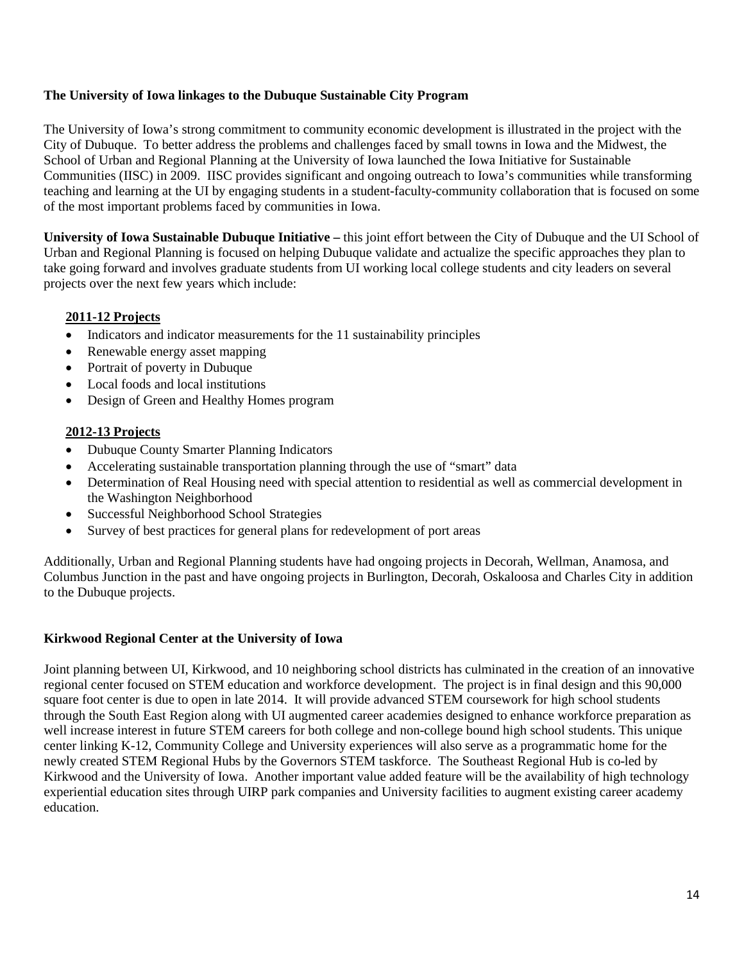#### **The University of Iowa linkages to the Dubuque Sustainable City Program**

The University of Iowa's strong commitment to community economic development is illustrated in the project with the City of Dubuque. To better address the problems and challenges faced by small towns in Iowa and the Midwest, the School of Urban and Regional Planning at the University of Iowa launched the Iowa Initiative for Sustainable Communities (IISC) in 2009. IISC provides significant and ongoing outreach to Iowa's communities while transforming teaching and learning at the UI by engaging students in a student-faculty-community collaboration that is focused on some of the most important problems faced by communities in Iowa.

**University of Iowa Sustainable Dubuque Initiative –** this joint effort between the City of Dubuque and the UI School of Urban and Regional Planning is focused on helping Dubuque validate and actualize the specific approaches they plan to take going forward and involves graduate students from UI working local college students and city leaders on several projects over the next few years which include:

### **2011-12 Projects**

- Indicators and indicator measurements for the 11 sustainability principles
- Renewable energy asset mapping
- Portrait of poverty in Dubuque
- Local foods and local institutions
- Design of Green and Healthy Homes program

#### **2012-13 Projects**

- Dubuque County Smarter Planning Indicators
- Accelerating sustainable transportation planning through the use of "smart" data
- Determination of Real Housing need with special attention to residential as well as commercial development in the Washington Neighborhood
- Successful Neighborhood School Strategies
- Survey of best practices for general plans for redevelopment of port areas

Additionally, Urban and Regional Planning students have had ongoing projects in Decorah, Wellman, Anamosa, and Columbus Junction in the past and have ongoing projects in Burlington, Decorah, Oskaloosa and Charles City in addition to the Dubuque projects.

### **Kirkwood Regional Center at the University of Iowa**

Joint planning between UI, Kirkwood, and 10 neighboring school districts has culminated in the creation of an innovative regional center focused on STEM education and workforce development. The project is in final design and this 90,000 square foot center is due to open in late 2014. It will provide advanced STEM coursework for high school students through the South East Region along with UI augmented career academies designed to enhance workforce preparation as well increase interest in future STEM careers for both college and non-college bound high school students. This unique center linking K-12, Community College and University experiences will also serve as a programmatic home for the newly created STEM Regional Hubs by the Governors STEM taskforce. The Southeast Regional Hub is co-led by Kirkwood and the University of Iowa. Another important value added feature will be the availability of high technology experiential education sites through UIRP park companies and University facilities to augment existing career academy education.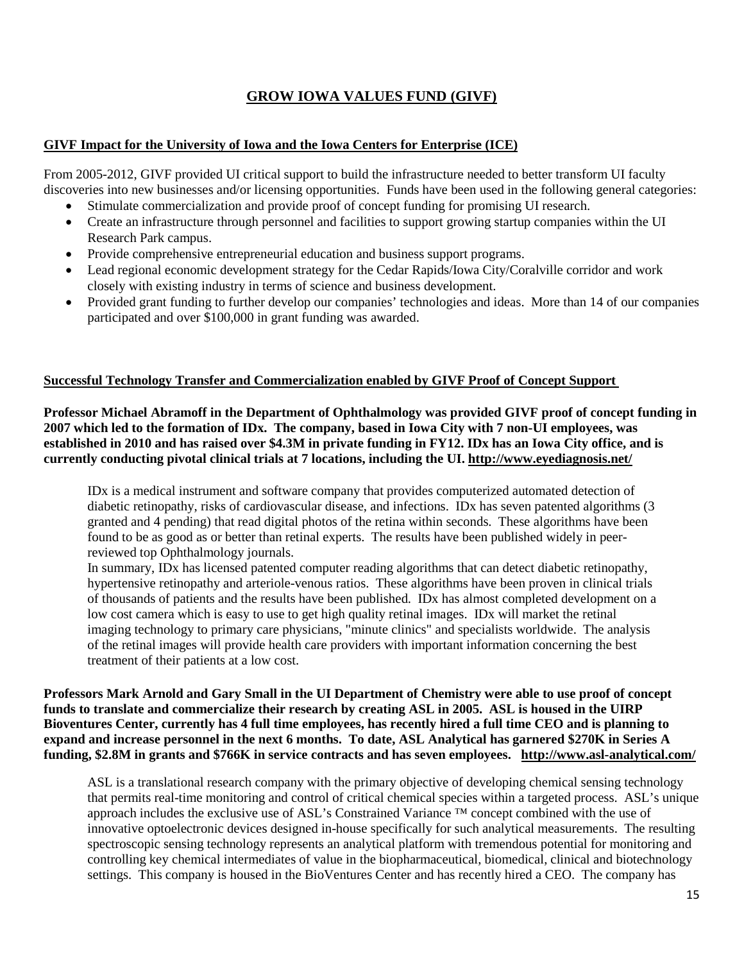### **GROW IOWA VALUES FUND (GIVF)**

#### **GIVF Impact for the University of Iowa and the Iowa Centers for Enterprise (ICE)**

From 2005-2012, GIVF provided UI critical support to build the infrastructure needed to better transform UI faculty discoveries into new businesses and/or licensing opportunities. Funds have been used in the following general categories:

- Stimulate commercialization and provide proof of concept funding for promising UI research.
- Create an infrastructure through personnel and facilities to support growing startup companies within the UI Research Park campus.
- Provide comprehensive entrepreneurial education and business support programs.
- Lead regional economic development strategy for the Cedar Rapids/Iowa City/Coralville corridor and work closely with existing industry in terms of science and business development.
- Provided grant funding to further develop our companies' technologies and ideas. More than 14 of our companies participated and over \$100,000 in grant funding was awarded.

#### **Successful Technology Transfer and Commercialization enabled by GIVF Proof of Concept Support**

**Professor Michael Abramoff in the Department of Ophthalmology was provided GIVF proof of concept funding in 2007 which led to the formation of IDx. The company, based in Iowa City with 7 non-UI employees, was established in 2010 and has raised over \$4.3M in private funding in FY12. IDx has an Iowa City office, and is currently conducting pivotal clinical trials at 7 locations, including the UI.<http://www.eyediagnosis.net/>**

IDx is a medical instrument and software company that provides computerized automated detection of diabetic retinopathy, risks of cardiovascular disease, and infections. IDx has seven patented algorithms (3 granted and 4 pending) that read digital photos of the retina within seconds. These algorithms have been found to be as good as or better than retinal experts. The results have been published widely in peerreviewed top Ophthalmology journals.

In summary, IDx has licensed patented computer reading algorithms that can detect diabetic retinopathy, hypertensive retinopathy and arteriole-venous ratios. These algorithms have been proven in clinical trials of thousands of patients and the results have been published. IDx has almost completed development on a low cost camera which is easy to use to get high quality retinal images. IDx will market the retinal imaging technology to primary care physicians, "minute clinics" and specialists worldwide. The analysis of the retinal images will provide health care providers with important information concerning the best treatment of their patients at a low cost.

**Professors Mark Arnold and Gary Small in the UI Department of Chemistry were able to use proof of concept funds to translate and commercialize their research by creating ASL in 2005. ASL is housed in the UIRP Bioventures Center, currently has 4 full time employees, has recently hired a full time CEO and is planning to expand and increase personnel in the next 6 months. To date, ASL Analytical has garnered \$270K in Series A funding, \$2.8M in grants and \$766K in service contracts and has seven employees. <http://www.asl-analytical.com/>**

ASL is a translational research company with the primary objective of developing chemical sensing technology that permits real-time monitoring and control of critical chemical species within a targeted process. ASL's unique approach includes the exclusive use of ASL's Constrained Variance ™ concept combined with the use of innovative optoelectronic devices designed in-house specifically for such analytical measurements. The resulting spectroscopic sensing technology represents an analytical platform with tremendous potential for monitoring and controlling key chemical intermediates of value in the biopharmaceutical, biomedical, clinical and biotechnology settings. This company is housed in the BioVentures Center and has recently hired a CEO. The company has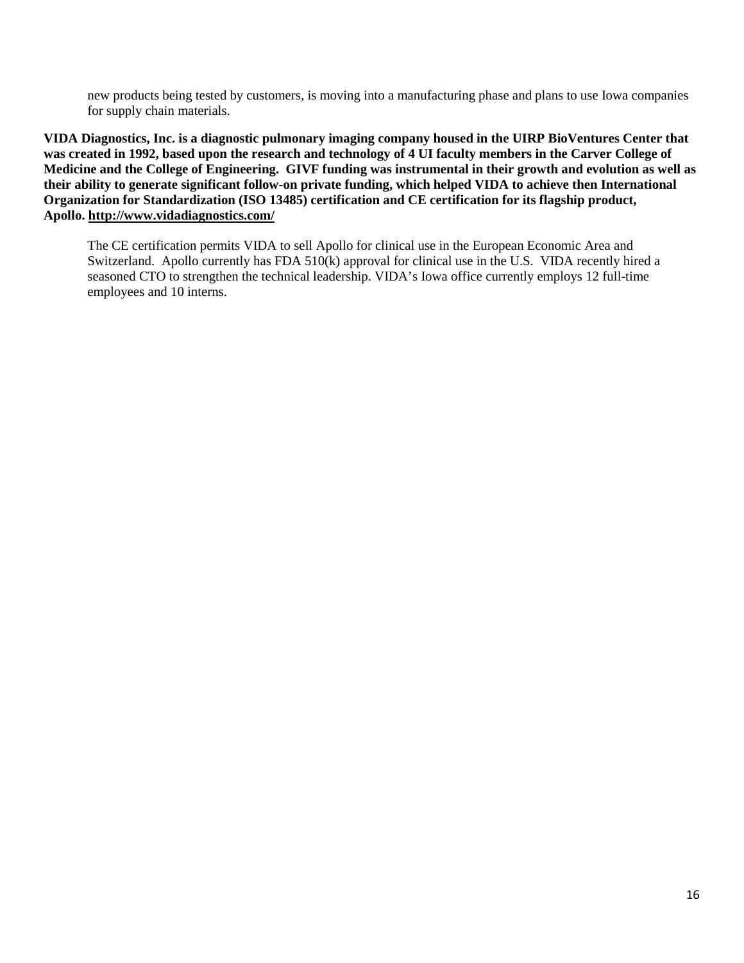new products being tested by customers, is moving into a manufacturing phase and plans to use Iowa companies for supply chain materials.

**VIDA Diagnostics, Inc. is a diagnostic pulmonary imaging company housed in the UIRP BioVentures Center that was created in 1992, based upon the research and technology of 4 UI faculty members in the Carver College of Medicine and the College of Engineering. GIVF funding was instrumental in their growth and evolution as well as their ability to generate significant follow-on private funding, which helped VIDA to achieve then International Organization for Standardization (ISO 13485) certification and CE certification for its flagship product, Apollo[. http://www.vidadiagnostics.com/](http://www.vidadiagnostics.com/)**

The CE certification permits VIDA to sell Apollo for clinical use in the European Economic Area and Switzerland. Apollo currently has FDA 510(k) approval for clinical use in the U.S. VIDA recently hired a seasoned CTO to strengthen the technical leadership. VIDA's Iowa office currently employs 12 full-time employees and 10 interns.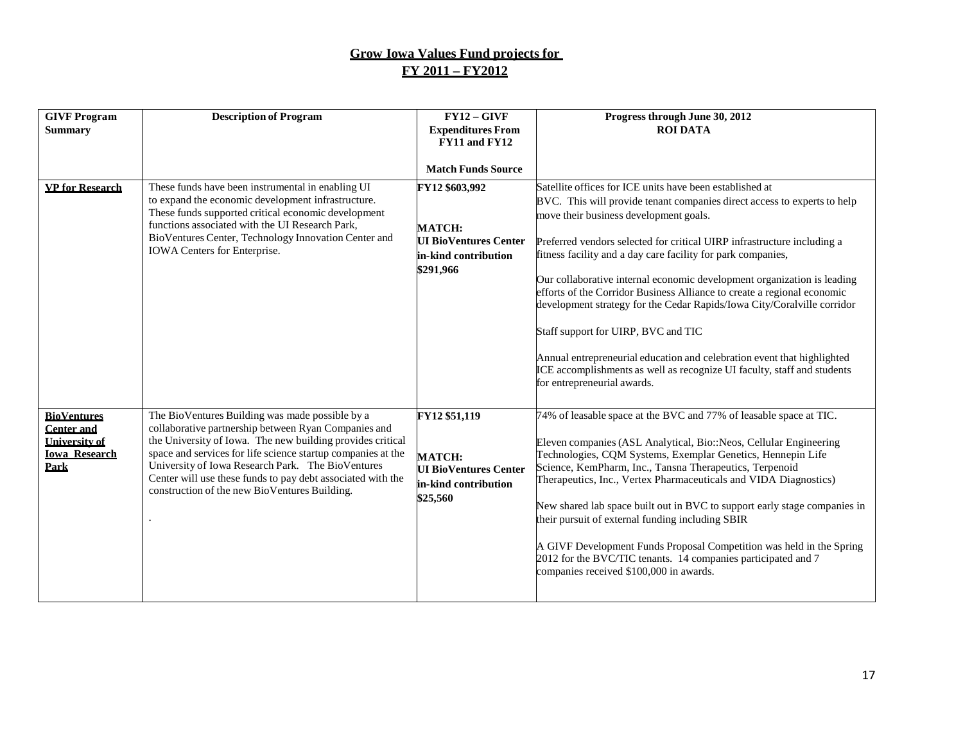### **Grow Iowa Values Fund projects for FY 2011 – FY2012**

| <b>GIVF Program</b>                                                                                    | <b>Description of Program</b>                                                                                                                                                                                                                                                                                                                                                                              | $FY12 - GIVF$                                                                                        | Progress through June 30, 2012                                                                                                                                                                                                                                                                                                                                                                                                                                                                                                                                                                                                                                                                                                                          |
|--------------------------------------------------------------------------------------------------------|------------------------------------------------------------------------------------------------------------------------------------------------------------------------------------------------------------------------------------------------------------------------------------------------------------------------------------------------------------------------------------------------------------|------------------------------------------------------------------------------------------------------|---------------------------------------------------------------------------------------------------------------------------------------------------------------------------------------------------------------------------------------------------------------------------------------------------------------------------------------------------------------------------------------------------------------------------------------------------------------------------------------------------------------------------------------------------------------------------------------------------------------------------------------------------------------------------------------------------------------------------------------------------------|
| <b>Summary</b>                                                                                         |                                                                                                                                                                                                                                                                                                                                                                                                            | <b>Expenditures From</b>                                                                             | <b>ROI DATA</b>                                                                                                                                                                                                                                                                                                                                                                                                                                                                                                                                                                                                                                                                                                                                         |
|                                                                                                        |                                                                                                                                                                                                                                                                                                                                                                                                            | FY11 and FY12                                                                                        |                                                                                                                                                                                                                                                                                                                                                                                                                                                                                                                                                                                                                                                                                                                                                         |
|                                                                                                        |                                                                                                                                                                                                                                                                                                                                                                                                            | <b>Match Funds Source</b>                                                                            |                                                                                                                                                                                                                                                                                                                                                                                                                                                                                                                                                                                                                                                                                                                                                         |
| <b>VP</b> for Research                                                                                 | These funds have been instrumental in enabling UI<br>to expand the economic development infrastructure.<br>These funds supported critical economic development<br>functions associated with the UI Research Park,<br>BioVentures Center, Technology Innovation Center and<br>IOWA Centers for Enterprise.                                                                                                  | FY12 \$603,992<br><b>MATCH:</b><br><b>UI BioVentures Center</b><br>in-kind contribution<br>\$291,966 | Satellite offices for ICE units have been established at<br>BVC. This will provide tenant companies direct access to experts to help<br>move their business development goals.<br>Preferred vendors selected for critical UIRP infrastructure including a<br>fitness facility and a day care facility for park companies,<br>Our collaborative internal economic development organization is leading<br>efforts of the Corridor Business Alliance to create a regional economic<br>development strategy for the Cedar Rapids/Iowa City/Coralville corridor<br>Staff support for UIRP, BVC and TIC<br>Annual entrepreneurial education and celebration event that highlighted<br>ICE accomplishments as well as recognize UI faculty, staff and students |
|                                                                                                        |                                                                                                                                                                                                                                                                                                                                                                                                            |                                                                                                      | for entrepreneurial awards.                                                                                                                                                                                                                                                                                                                                                                                                                                                                                                                                                                                                                                                                                                                             |
| <b>BioVentures</b><br><b>Center and</b><br><b>University of</b><br><b>Iowa Research</b><br><b>Park</b> | The BioVentures Building was made possible by a<br>collaborative partnership between Ryan Companies and<br>the University of Iowa. The new building provides critical<br>space and services for life science startup companies at the<br>University of Iowa Research Park. The BioVentures<br>Center will use these funds to pay debt associated with the<br>construction of the new BioVentures Building. | FY12 \$51,119<br><b>MATCH:</b><br><b>UI BioVentures Center</b><br>in-kind contribution<br>\$25,560   | 74% of leasable space at the BVC and 77% of leasable space at TIC.<br>Eleven companies (ASL Analytical, Bio::Neos, Cellular Engineering<br>Technologies, CQM Systems, Exemplar Genetics, Hennepin Life<br>Science, KemPharm, Inc., Tansna Therapeutics, Terpenoid<br>Therapeutics, Inc., Vertex Pharmaceuticals and VIDA Diagnostics)<br>New shared lab space built out in BVC to support early stage companies in<br>their pursuit of external funding including SBIR<br>A GIVF Development Funds Proposal Competition was held in the Spring<br>2012 for the BVC/TIC tenants. 14 companies participated and 7<br>companies received \$100,000 in awards.                                                                                              |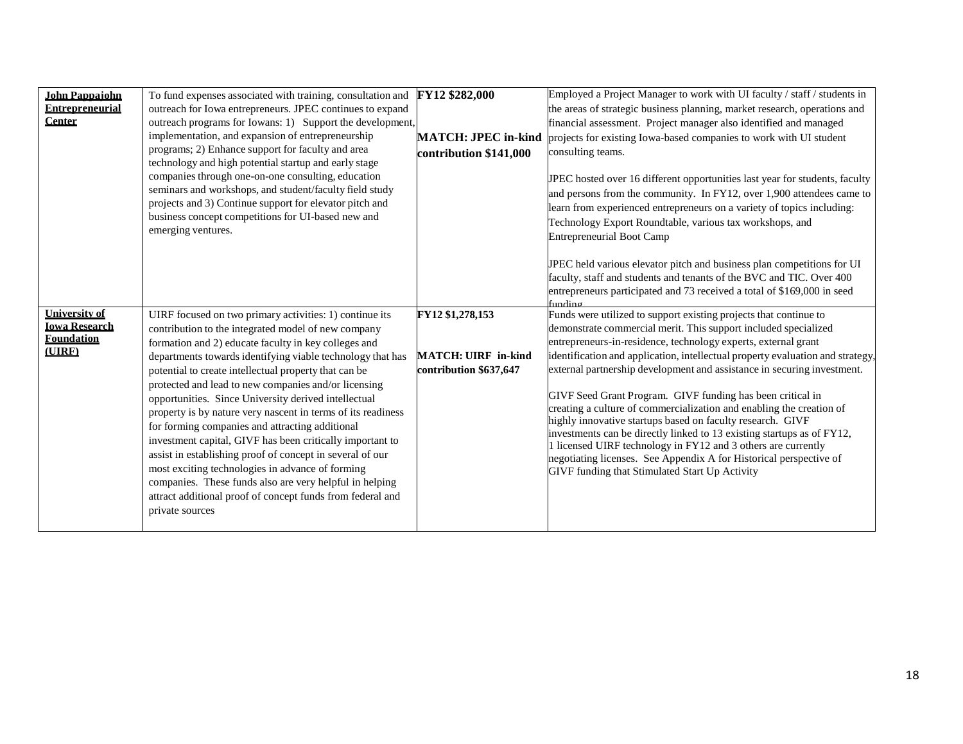| <b>John Pappaiohn</b>  | To fund expenses associated with training, consultation and  | FY12 \$282,000         | Employed a Project Manager to work with UI faculty / staff / students in               |
|------------------------|--------------------------------------------------------------|------------------------|----------------------------------------------------------------------------------------|
| <b>Entrepreneurial</b> | outreach for Iowa entrepreneurs. JPEC continues to expand    |                        | the areas of strategic business planning, market research, operations and              |
| <b>Center</b>          | outreach programs for Iowans: 1) Support the development,    |                        |                                                                                        |
|                        | implementation, and expansion of entrepreneurship            |                        | financial assessment. Project manager also identified and managed                      |
|                        | programs; 2) Enhance support for faculty and area            |                        | MATCH: JPEC in-kind projects for existing Iowa-based companies to work with UI student |
|                        |                                                              | contribution \$141,000 | consulting teams.                                                                      |
|                        | technology and high potential startup and early stage        |                        |                                                                                        |
|                        | companies through one-on-one consulting, education           |                        | JPEC hosted over 16 different opportunities last year for students, faculty            |
|                        | seminars and workshops, and student/faculty field study      |                        | and persons from the community. In FY12, over 1,900 attendees came to                  |
|                        | projects and 3) Continue support for elevator pitch and      |                        | learn from experienced entrepreneurs on a variety of topics including:                 |
|                        | business concept competitions for UI-based new and           |                        | Technology Export Roundtable, various tax workshops, and                               |
|                        | emerging ventures.                                           |                        | <b>Entrepreneurial Boot Camp</b>                                                       |
|                        |                                                              |                        |                                                                                        |
|                        |                                                              |                        | JPEC held various elevator pitch and business plan competitions for UI                 |
|                        |                                                              |                        | faculty, staff and students and tenants of the BVC and TIC. Over 400                   |
|                        |                                                              |                        | entrepreneurs participated and 73 received a total of \$169,000 in seed                |
|                        |                                                              |                        | funding                                                                                |
| University of          | UIRF focused on two primary activities: 1) continue its      | FY12 \$1,278,153       | Funds were utilized to support existing projects that continue to                      |
| <b>Iowa Research</b>   | contribution to the integrated model of new company          |                        | demonstrate commercial merit. This support included specialized                        |
| <b>Foundation</b>      | formation and 2) educate faculty in key colleges and         |                        | entrepreneurs-in-residence, technology experts, external grant                         |
| (UIRF)                 | departments towards identifying viable technology that has   | MATCH: UIRF in-kind    | identification and application, intellectual property evaluation and strategy,         |
|                        | potential to create intellectual property that can be        | contribution \$637,647 | external partnership development and assistance in securing investment.                |
|                        | protected and lead to new companies and/or licensing         |                        |                                                                                        |
|                        | opportunities. Since University derived intellectual         |                        | GIVF Seed Grant Program. GIVF funding has been critical in                             |
|                        | property is by nature very nascent in terms of its readiness |                        | creating a culture of commercialization and enabling the creation of                   |
|                        | for forming companies and attracting additional              |                        | highly innovative startups based on faculty research. GIVF                             |
|                        | investment capital, GIVF has been critically important to    |                        | investments can be directly linked to 13 existing startups as of FY12,                 |
|                        | assist in establishing proof of concept in several of our    |                        | licensed UIRF technology in FY12 and 3 others are currently                            |
|                        | most exciting technologies in advance of forming             |                        | negotiating licenses. See Appendix A for Historical perspective of                     |
|                        | companies. These funds also are very helpful in helping      |                        | GIVF funding that Stimulated Start Up Activity                                         |
|                        | attract additional proof of concept funds from federal and   |                        |                                                                                        |
|                        |                                                              |                        |                                                                                        |
|                        | private sources                                              |                        |                                                                                        |
|                        |                                                              |                        |                                                                                        |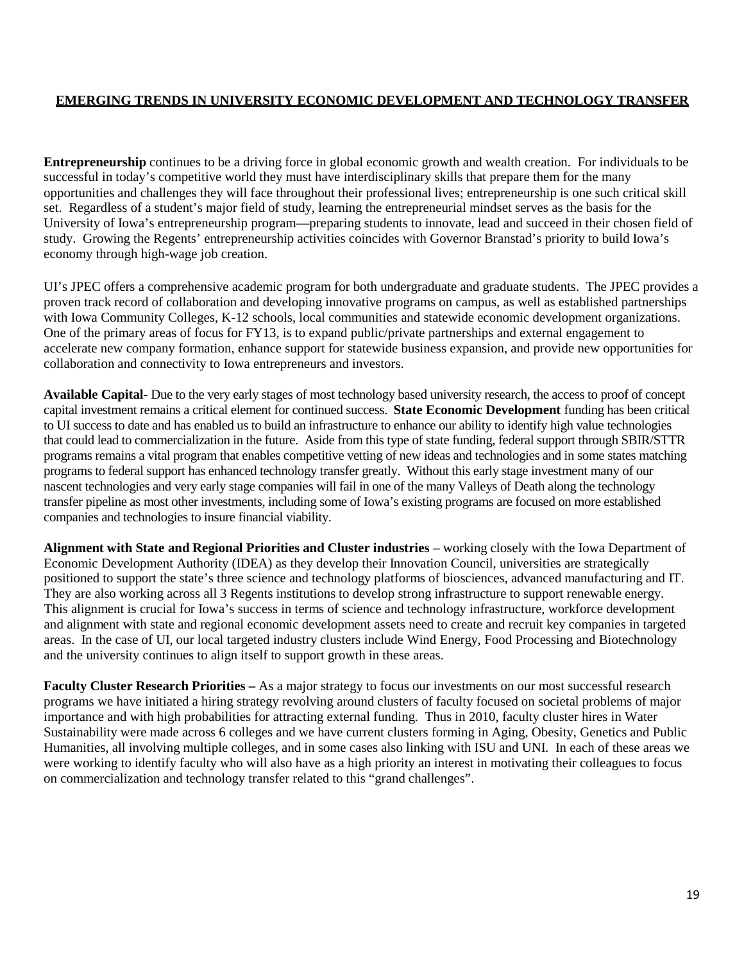#### **EMERGING TRENDS IN UNIVERSITY ECONOMIC DEVELOPMENT AND TECHNOLOGY TRANSFER**

**Entrepreneurship** continues to be a driving force in global economic growth and wealth creation. For individuals to be successful in today's competitive world they must have interdisciplinary skills that prepare them for the many opportunities and challenges they will face throughout their professional lives; entrepreneurship is one such critical skill set. Regardless of a student's major field of study, learning the entrepreneurial mindset serves as the basis for the University of Iowa's entrepreneurship program—preparing students to innovate, lead and succeed in their chosen field of study. Growing the Regents' entrepreneurship activities coincides with Governor Branstad's priority to build Iowa's economy through high-wage job creation.

UI's JPEC offers a comprehensive academic program for both undergraduate and graduate students. The JPEC provides a proven track record of collaboration and developing innovative programs on campus, as well as established partnerships with Iowa Community Colleges, K-12 schools, local communities and statewide economic development organizations. One of the primary areas of focus for FY13, is to expand public/private partnerships and external engagement to accelerate new company formation, enhance support for statewide business expansion, and provide new opportunities for collaboration and connectivity to Iowa entrepreneurs and investors.

**Available Capital-** Due to the very early stages of most technology based university research, the access to proof of concept capital investment remains a critical element for continued success. **State Economic Development** funding has been critical to UI success to date and has enabled us to build an infrastructure to enhance our ability to identify high value technologies that could lead to commercialization in the future. Aside from this type of state funding, federal support through SBIR/STTR programs remains a vital program that enables competitive vetting of new ideas and technologies and in some states matching programs to federal support has enhanced technology transfer greatly. Without this early stage investment many of our nascent technologies and very early stage companies will fail in one of the many Valleys of Death along the technology transfer pipeline as most other investments, including some of Iowa's existing programs are focused on more established companies and technologies to insure financial viability.

**Alignment with State and Regional Priorities and Cluster industries** – working closely with the Iowa Department of Economic Development Authority (IDEA) as they develop their Innovation Council, universities are strategically positioned to support the state's three science and technology platforms of biosciences, advanced manufacturing and IT. They are also working across all 3 Regents institutions to develop strong infrastructure to support renewable energy. This alignment is crucial for Iowa's success in terms of science and technology infrastructure, workforce development and alignment with state and regional economic development assets need to create and recruit key companies in targeted areas. In the case of UI, our local targeted industry clusters include Wind Energy, Food Processing and Biotechnology and the university continues to align itself to support growth in these areas.

**Faculty Cluster Research Priorities –** As a major strategy to focus our investments on our most successful research programs we have initiated a hiring strategy revolving around clusters of faculty focused on societal problems of major importance and with high probabilities for attracting external funding. Thus in 2010, faculty cluster hires in Water Sustainability were made across 6 colleges and we have current clusters forming in Aging, Obesity, Genetics and Public Humanities, all involving multiple colleges, and in some cases also linking with ISU and UNI. In each of these areas we were working to identify faculty who will also have as a high priority an interest in motivating their colleagues to focus on commercialization and technology transfer related to this "grand challenges".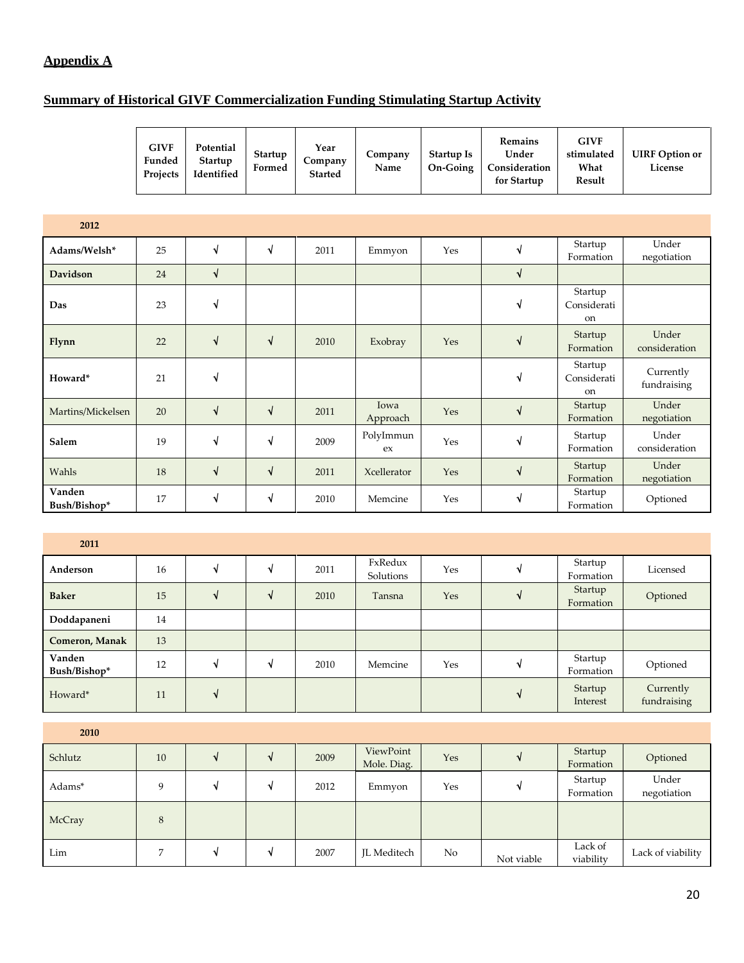### **Appendix A**

### **Summary of Historical GIVF Commercialization Funding Stimulating Startup Activity**

|                        | <b>GIVF</b><br>Funded<br>Projects | Potential<br>Startup<br>Identified | Startup<br>Formed | Year<br>Company<br><b>Started</b> | Company<br>Name  | <b>Startup Is</b><br>On-Going | <b>Remains</b><br>Under<br>Consideration<br>for Startup | <b>GIVF</b><br>stimulated<br>What<br>Result | <b>UIRF</b> Option or<br>License |
|------------------------|-----------------------------------|------------------------------------|-------------------|-----------------------------------|------------------|-------------------------------|---------------------------------------------------------|---------------------------------------------|----------------------------------|
|                        |                                   |                                    |                   |                                   |                  |                               |                                                         |                                             |                                  |
| 2012                   |                                   |                                    |                   |                                   |                  |                               |                                                         |                                             |                                  |
| Adams/Welsh*           | 25                                | $\sqrt{ }$                         | $\sqrt{ }$        | 2011                              | Emmyon           | Yes                           | $\sqrt{ }$                                              | Startup<br>Formation                        | Under<br>negotiation             |
| Davidson               | 24                                | $\sqrt{ }$                         |                   |                                   |                  |                               | $\sqrt{ }$                                              |                                             |                                  |
| Das                    | 23                                | $\sqrt{2}$                         |                   |                                   |                  |                               | $\sqrt{ }$                                              | Startup<br>Considerati<br>on                |                                  |
| Flynn                  | 22                                | $\sqrt{ }$                         | $\sqrt{ }$        | 2010                              | Exobray          | Yes                           | $\sqrt{ }$                                              | Startup<br>Formation                        | Under<br>consideration           |
| Howard*                | 21                                | $\sqrt{}$                          |                   |                                   |                  |                               | $\sqrt{ }$                                              | Startup<br>Considerati<br>on                | Currently<br>fundraising         |
| Martins/Mickelsen      | 20                                | $\sqrt{}$                          | $\sqrt{ }$        | 2011                              | Iowa<br>Approach | Yes                           | $\sqrt{ }$                                              | Startup<br>Formation                        | Under<br>negotiation             |
| Salem                  | 19                                | $\sqrt{}$                          | $\sqrt{ }$        | 2009                              | PolyImmun<br>ex  | Yes                           | $\sqrt{ }$                                              | Startup<br>Formation                        | Under<br>consideration           |
| Wahls                  | 18                                | $\sqrt{ }$                         | $\sqrt{ }$        | 2011                              | Xcellerator      | Yes                           | $\sqrt{ }$                                              | Startup<br>Formation                        | Under<br>negotiation             |
| Vanden<br>Bush/Bishop* | 17                                | √                                  | √                 | 2010                              | Memcine          | Yes                           | V                                                       | Startup<br>Formation                        | Optioned                         |

| 2011                   |    |    |    |      |                      |     |        |                      |                          |
|------------------------|----|----|----|------|----------------------|-----|--------|----------------------|--------------------------|
| Anderson               | 16 | √  | ึง | 2011 | FxRedux<br>Solutions | Yes |        | Startup<br>Formation | Licensed                 |
| <b>Baker</b>           | 15 | N  | N  | 2010 | Tansna               | Yes |        | Startup<br>Formation | Optioned                 |
| Doddapaneni            | 14 |    |    |      |                      |     |        |                      |                          |
| <b>Comeron, Manak</b>  | 13 |    |    |      |                      |     |        |                      |                          |
| Vanden<br>Bush/Bishop* | 12 | ึง | ึง | 2010 | Memcine              | Yes | $\sim$ | Startup<br>Formation | Optioned                 |
| Howard*                | 11 | ึง |    |      |                      |     |        | Startup<br>Interest  | Currently<br>fundraising |
| 2010                   |    |    |    |      |                      |     |        |                      |                          |

| $-0.10$ |    |  |      |                          |     |            |                      |                      |
|---------|----|--|------|--------------------------|-----|------------|----------------------|----------------------|
| Schlutz | 10 |  | 2009 | ViewPoint<br>Mole. Diag. | Yes |            | Startup<br>Formation | Optioned             |
| Adams*  |    |  | 2012 | Emmyon                   | Yes |            | Startup<br>Formation | Under<br>negotiation |
| McCray  | 8  |  |      |                          |     |            |                      |                      |
| Lim     |    |  | 2007 | JL Meditech              | No  | Not viable | Lack of<br>viability | Lack of viability    |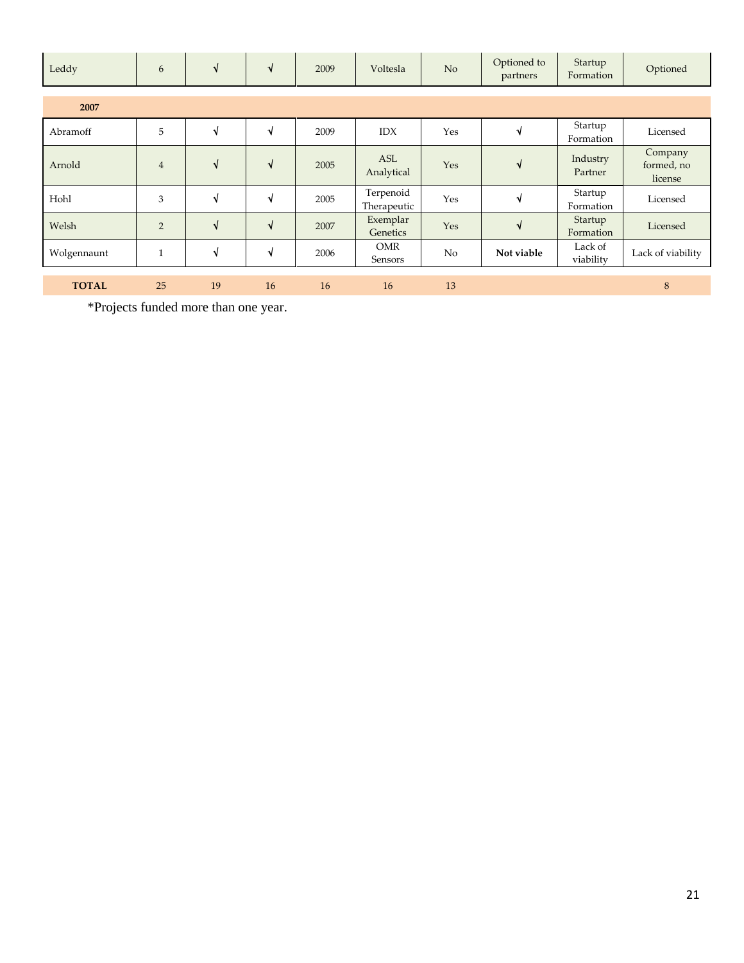| Leddy        | 6              | $\sqrt{ }$ | $\sqrt{ }$ | 2009 | Voltesla                 | N <sub>o</sub> | Optioned to<br>partners | Startup<br>Formation | Optioned                         |
|--------------|----------------|------------|------------|------|--------------------------|----------------|-------------------------|----------------------|----------------------------------|
| 2007         |                |            |            |      |                          |                |                         |                      |                                  |
| Abramoff     | 5              | √          | N          | 2009 | <b>IDX</b>               | Yes            | ٦                       | Startup<br>Formation | Licensed                         |
| Arnold       | $\overline{4}$ | N          | $\sqrt{ }$ | 2005 | ASL<br>Analytical        | Yes            | ึง                      | Industry<br>Partner  | Company<br>formed, no<br>license |
| Hohl         | 3              | N          | √          | 2005 | Terpenoid<br>Therapeutic | Yes            | ึง                      | Startup<br>Formation | Licensed                         |
| Welsh        | $\overline{2}$ | N          | $\sqrt{ }$ | 2007 | Exemplar<br>Genetics     | Yes            |                         | Startup<br>Formation | Licensed                         |
| Wolgennaunt  | 11             | √          | ึง         | 2006 | <b>OMR</b><br>Sensors    | No             | Not viable              | Lack of<br>viability | Lack of viability                |
| <b>TOTAL</b> | 25             | 19         | 16         | 16   | 16                       | 13             |                         |                      | 8                                |

\*Projects funded more than one year.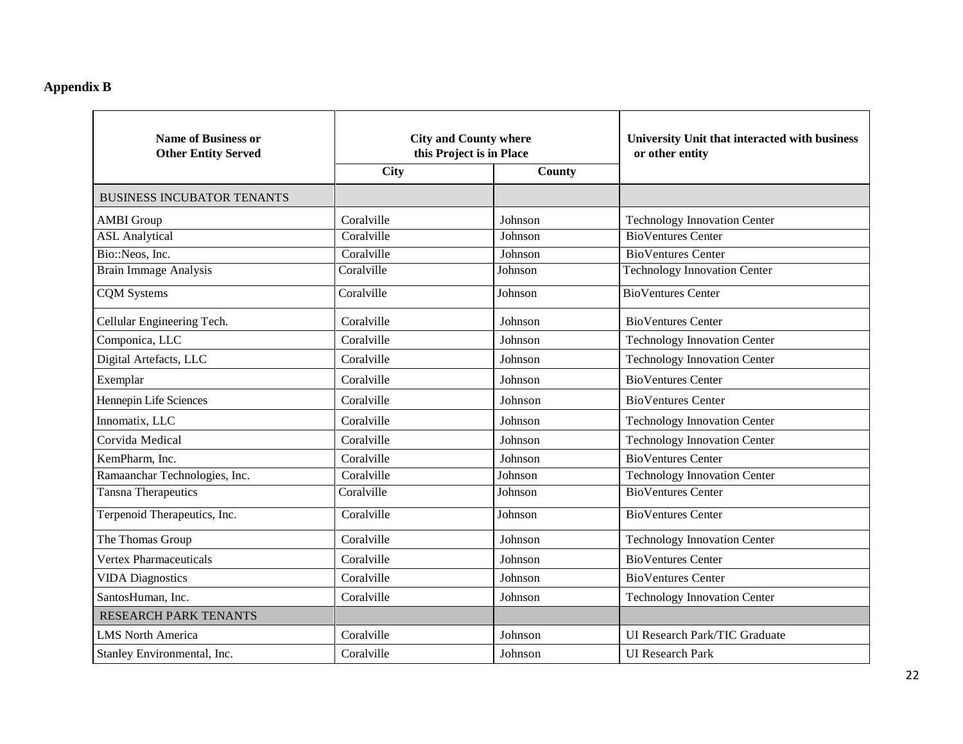### **Appendix B**

| <b>Name of Business or</b><br><b>Other Entity Served</b> | <b>City and County where</b><br>this Project is in Place |         | University Unit that interacted with business<br>or other entity |
|----------------------------------------------------------|----------------------------------------------------------|---------|------------------------------------------------------------------|
|                                                          | <b>City</b>                                              | County  |                                                                  |
| <b>BUSINESS INCUBATOR TENANTS</b>                        |                                                          |         |                                                                  |
| <b>AMBI</b> Group                                        | Coralville                                               | Johnson | <b>Technology Innovation Center</b>                              |
| <b>ASL Analytical</b>                                    | Coralville                                               | Johnson | <b>BioVentures Center</b>                                        |
| Bio::Neos, Inc.                                          | Coralville                                               | Johnson | <b>BioVentures Center</b>                                        |
| <b>Brain Immage Analysis</b>                             | Coralville                                               | Johnson | <b>Technology Innovation Center</b>                              |
| <b>CQM</b> Systems                                       | Coralville                                               | Johnson | <b>BioVentures Center</b>                                        |
| Cellular Engineering Tech.                               | Coralville                                               | Johnson | <b>BioVentures Center</b>                                        |
| Componica, LLC                                           | Coralville                                               | Johnson | <b>Technology Innovation Center</b>                              |
| Digital Artefacts, LLC                                   | Coralville                                               | Johnson | <b>Technology Innovation Center</b>                              |
| Exemplar                                                 | Coralville                                               | Johnson | <b>BioVentures Center</b>                                        |
| Hennepin Life Sciences                                   | Coralville                                               | Johnson | <b>BioVentures Center</b>                                        |
| Innomatix, LLC                                           | Coralville                                               | Johnson | <b>Technology Innovation Center</b>                              |
| Corvida Medical                                          | Coralville                                               | Johnson | <b>Technology Innovation Center</b>                              |
| KemPharm, Inc.                                           | Coralville                                               | Johnson | <b>BioVentures Center</b>                                        |
| Ramaanchar Technologies, Inc.                            | Coralville                                               | Johnson | <b>Technology Innovation Center</b>                              |
| <b>Tansna Therapeutics</b>                               | Coralville                                               | Johnson | <b>BioVentures Center</b>                                        |
| Terpenoid Therapeutics, Inc.                             | Coralville                                               | Johnson | <b>BioVentures Center</b>                                        |
| The Thomas Group                                         | Coralville                                               | Johnson | <b>Technology Innovation Center</b>                              |
| Vertex Pharmaceuticals                                   | Coralville                                               | Johnson | <b>BioVentures Center</b>                                        |
| <b>VIDA Diagnostics</b>                                  | Coralville                                               | Johnson | <b>BioVentures Center</b>                                        |
| SantosHuman, Inc.                                        | Coralville                                               | Johnson | <b>Technology Innovation Center</b>                              |
| <b>RESEARCH PARK TENANTS</b>                             |                                                          |         |                                                                  |
| <b>LMS</b> North America                                 | Coralville                                               | Johnson | <b>UI Research Park/TIC Graduate</b>                             |
| Stanley Environmental, Inc.                              | Coralville                                               | Johnson | <b>UI</b> Research Park                                          |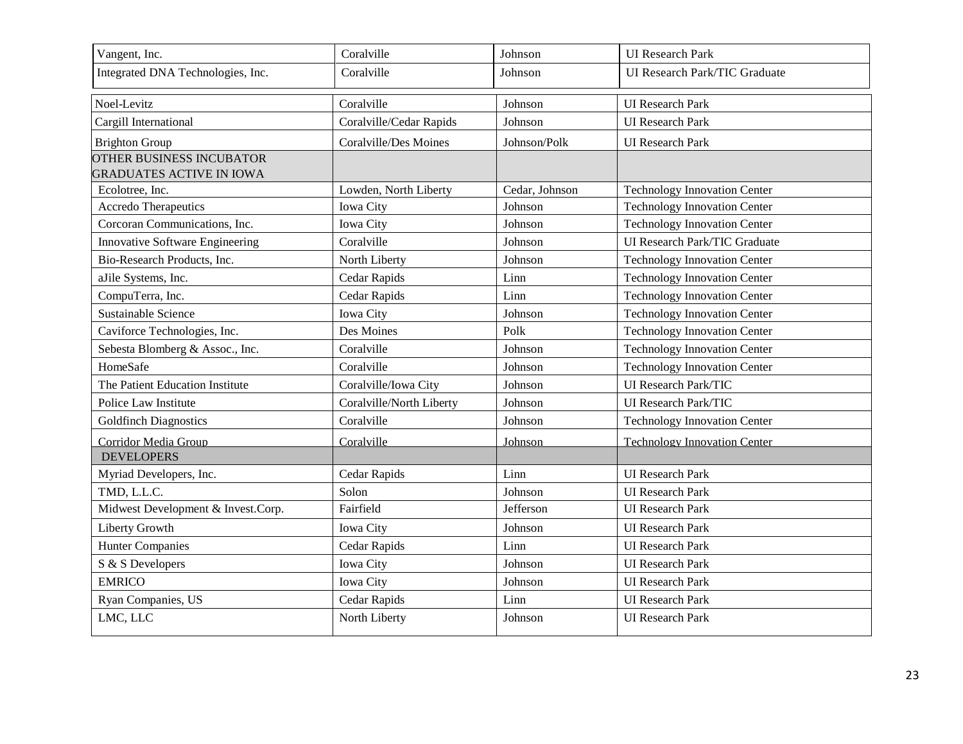| Vangent, Inc.                      | Coralville                   | Johnson        | <b>UI</b> Research Park              |
|------------------------------------|------------------------------|----------------|--------------------------------------|
| Integrated DNA Technologies, Inc.  | Coralville                   | Johnson        | <b>UI Research Park/TIC Graduate</b> |
| Noel-Levitz                        | Coralville                   | Johnson        | <b>UI</b> Research Park              |
| Cargill International              | Coralville/Cedar Rapids      | Johnson        | <b>UI</b> Research Park              |
| <b>Brighton Group</b>              | <b>Coralville/Des Moines</b> | Johnson/Polk   | <b>UI</b> Research Park              |
| OTHER BUSINESS INCUBATOR           |                              |                |                                      |
| <b>GRADUATES ACTIVE IN IOWA</b>    |                              |                |                                      |
| Ecolotree, Inc.                    | Lowden, North Liberty        | Cedar, Johnson | <b>Technology Innovation Center</b>  |
| Accredo Therapeutics               | Iowa City                    | Johnson        | <b>Technology Innovation Center</b>  |
| Corcoran Communications, Inc.      | Iowa City                    | Johnson        | <b>Technology Innovation Center</b>  |
| Innovative Software Engineering    | Coralville                   | Johnson        | <b>UI Research Park/TIC Graduate</b> |
| Bio-Research Products, Inc.        | North Liberty                | Johnson        | <b>Technology Innovation Center</b>  |
| aJile Systems, Inc.                | Cedar Rapids                 | Linn           | <b>Technology Innovation Center</b>  |
| CompuTerra, Inc.                   | Cedar Rapids                 | Linn           | <b>Technology Innovation Center</b>  |
| Sustainable Science                | Iowa City                    | Johnson        | <b>Technology Innovation Center</b>  |
| Caviforce Technologies, Inc.       | Des Moines                   | Polk           | <b>Technology Innovation Center</b>  |
| Sebesta Blomberg & Assoc., Inc.    | Coralville                   | Johnson        | <b>Technology Innovation Center</b>  |
| HomeSafe                           | Coralville                   | Johnson        | <b>Technology Innovation Center</b>  |
| The Patient Education Institute    | Coralville/Iowa City         | Johnson        | <b>UI</b> Research Park/TIC          |
| Police Law Institute               | Coralville/North Liberty     | Johnson        | <b>UI Research Park/TIC</b>          |
| <b>Goldfinch Diagnostics</b>       | Coralville                   | Johnson        | <b>Technology Innovation Center</b>  |
| Corridor Media Group               | Coralville                   | Johnson        | <b>Technology Innovation Center</b>  |
| <b>DEVELOPERS</b>                  |                              |                |                                      |
| Myriad Developers, Inc.            | Cedar Rapids                 | Linn           | <b>UI</b> Research Park              |
| TMD, L.L.C.                        | Solon                        | Johnson        | <b>UI</b> Research Park              |
| Midwest Development & Invest.Corp. | Fairfield                    | Jefferson      | <b>UI</b> Research Park              |
| Liberty Growth                     | Iowa City                    | Johnson        | <b>UI</b> Research Park              |
| <b>Hunter Companies</b>            | Cedar Rapids                 | Linn           | <b>UI</b> Research Park              |
| S & S Developers                   | Iowa City                    | Johnson        | <b>UI</b> Research Park              |
| <b>EMRICO</b>                      | Iowa City                    | Johnson        | <b>UI</b> Research Park              |
| Ryan Companies, US                 | Cedar Rapids                 | Linn           | <b>UI</b> Research Park              |
| LMC, LLC                           | North Liberty                | Johnson        | <b>UI</b> Research Park              |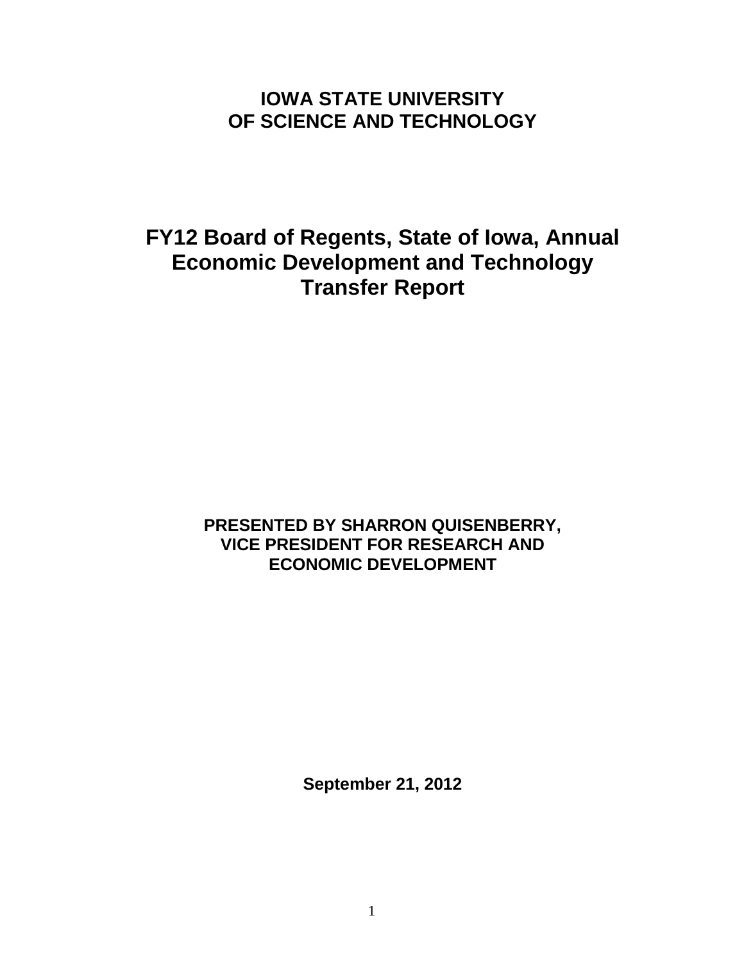# **IOWA STATE UNIVERSITY OF SCIENCE AND TECHNOLOGY**

# **FY12 Board of Regents, State of Iowa, Annual Economic Development and Technology Transfer Report**

# **PRESENTED BY SHARRON QUISENBERRY, VICE PRESIDENT FOR RESEARCH AND ECONOMIC DEVELOPMENT**

**September 21, 2012**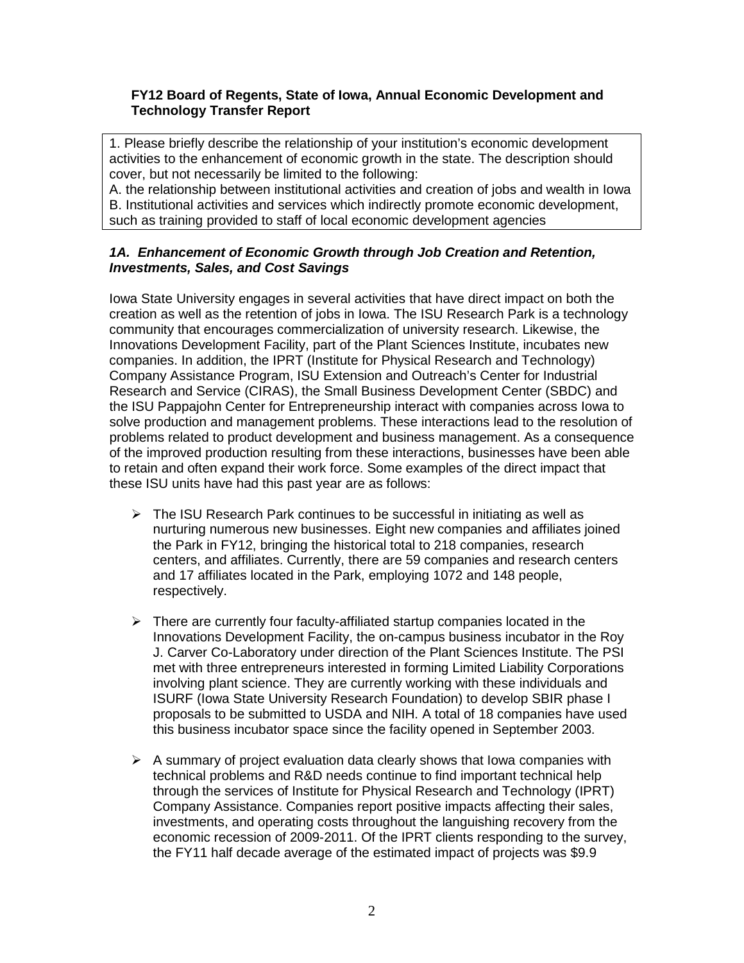#### **FY12 Board of Regents, State of Iowa, Annual Economic Development and Technology Transfer Report**

1. Please briefly describe the relationship of your institution's economic development activities to the enhancement of economic growth in the state. The description should cover, but not necessarily be limited to the following:

A. the relationship between institutional activities and creation of jobs and wealth in Iowa B. Institutional activities and services which indirectly promote economic development, such as training provided to staff of local economic development agencies

#### *1A. Enhancement of Economic Growth through Job Creation and Retention, Investments, Sales, and Cost Savings*

Iowa State University engages in several activities that have direct impact on both the creation as well as the retention of jobs in Iowa. The ISU Research Park is a technology community that encourages commercialization of university research. Likewise, the Innovations Development Facility, part of the Plant Sciences Institute, incubates new companies. In addition, the IPRT (Institute for Physical Research and Technology) Company Assistance Program, ISU Extension and Outreach's Center for Industrial Research and Service (CIRAS), the Small Business Development Center (SBDC) and the ISU Pappajohn Center for Entrepreneurship interact with companies across Iowa to solve production and management problems. These interactions lead to the resolution of problems related to product development and business management. As a consequence of the improved production resulting from these interactions, businesses have been able to retain and often expand their work force. Some examples of the direct impact that these ISU units have had this past year are as follows:

- $\triangleright$  The ISU Research Park continues to be successful in initiating as well as nurturing numerous new businesses. Eight new companies and affiliates joined the Park in FY12, bringing the historical total to 218 companies, research centers, and affiliates. Currently, there are 59 companies and research centers and 17 affiliates located in the Park, employing 1072 and 148 people, respectively.
- $\triangleright$  There are currently four faculty-affiliated startup companies located in the Innovations Development Facility, the on-campus business incubator in the Roy J. Carver Co-Laboratory under direction of the Plant Sciences Institute. The PSI met with three entrepreneurs interested in forming Limited Liability Corporations involving plant science. They are currently working with these individuals and ISURF (Iowa State University Research Foundation) to develop SBIR phase I proposals to be submitted to USDA and NIH. A total of 18 companies have used this business incubator space since the facility opened in September 2003.
- $\triangleright$  A summary of project evaluation data clearly shows that Iowa companies with technical problems and R&D needs continue to find important technical help through the services of Institute for Physical Research and Technology (IPRT) Company Assistance. Companies report positive impacts affecting their sales, investments, and operating costs throughout the languishing recovery from the economic recession of 2009-2011. Of the IPRT clients responding to the survey, the FY11 half decade average of the estimated impact of projects was \$9.9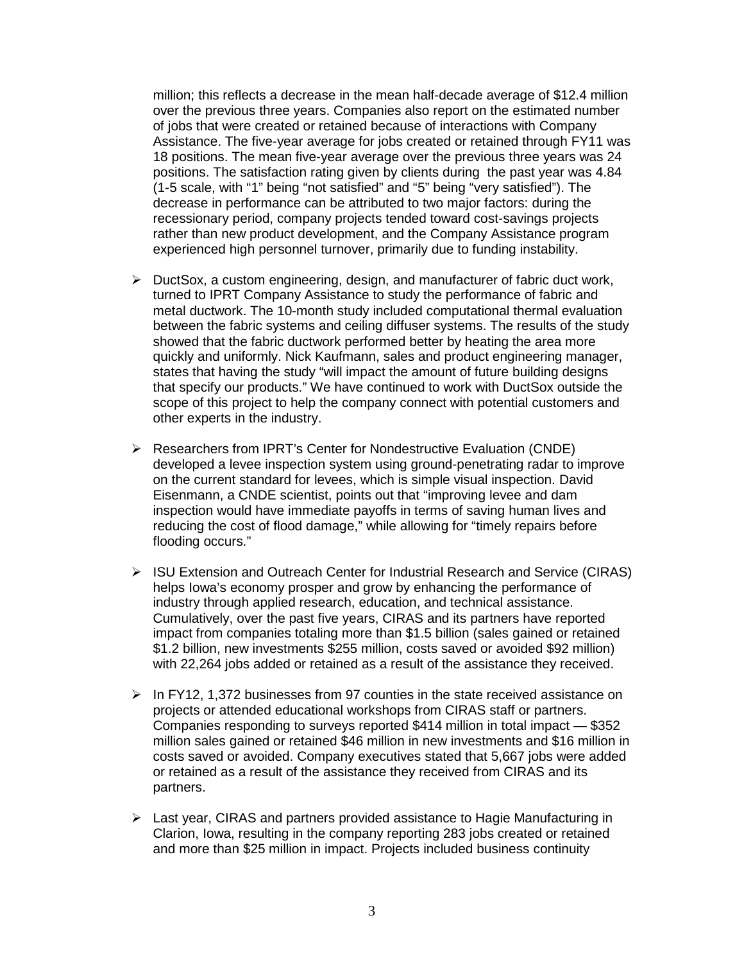million; this reflects a decrease in the mean half-decade average of \$12.4 million over the previous three years. Companies also report on the estimated number of jobs that were created or retained because of interactions with Company Assistance. The five-year average for jobs created or retained through FY11 was 18 positions. The mean five-year average over the previous three years was 24 positions. The satisfaction rating given by clients during the past year was 4.84 (1-5 scale, with "1" being "not satisfied" and "5" being "very satisfied"). The decrease in performance can be attributed to two major factors: during the recessionary period, company projects tended toward cost-savings projects rather than new product development, and the Company Assistance program experienced high personnel turnover, primarily due to funding instability.

- $\triangleright$  DuctSox, a custom engineering, design, and manufacturer of fabric duct work, turned to IPRT Company Assistance to study the performance of fabric and metal ductwork. The 10-month study included computational thermal evaluation between the fabric systems and ceiling diffuser systems. The results of the study showed that the fabric ductwork performed better by heating the area more quickly and uniformly. Nick Kaufmann, sales and product engineering manager, states that having the study "will impact the amount of future building designs that specify our products." We have continued to work with DuctSox outside the scope of this project to help the company connect with potential customers and other experts in the industry.
- Researchers from IPRT's Center for Nondestructive Evaluation (CNDE) developed a levee inspection system using ground-penetrating radar to improve on the current standard for levees, which is simple visual inspection. David Eisenmann, a CNDE scientist, points out that "improving levee and dam inspection would have immediate payoffs in terms of saving human lives and reducing the cost of flood damage," while allowing for "timely repairs before flooding occurs."
- $\triangleright$  ISU Extension and Outreach Center for Industrial Research and Service (CIRAS) helps Iowa's economy prosper and grow by enhancing the performance of industry through applied research, education, and technical assistance. Cumulatively, over the past five years, CIRAS and its partners have reported impact from companies totaling more than \$1.5 billion (sales gained or retained \$1.2 billion, new investments \$255 million, costs saved or avoided \$92 million) with 22,264 jobs added or retained as a result of the assistance they received.
- $\triangleright$  In FY12, 1,372 businesses from 97 counties in the state received assistance on projects or attended educational workshops from CIRAS staff or partners. Companies responding to surveys reported \$414 million in total impact — \$352 million sales gained or retained \$46 million in new investments and \$16 million in costs saved or avoided. Company executives stated that 5,667 jobs were added or retained as a result of the assistance they received from CIRAS and its partners.
- $\triangleright$  Last year, CIRAS and partners provided assistance to Hagie Manufacturing in Clarion, Iowa, resulting in the company reporting 283 jobs created or retained and more than \$25 million in impact. Projects included business continuity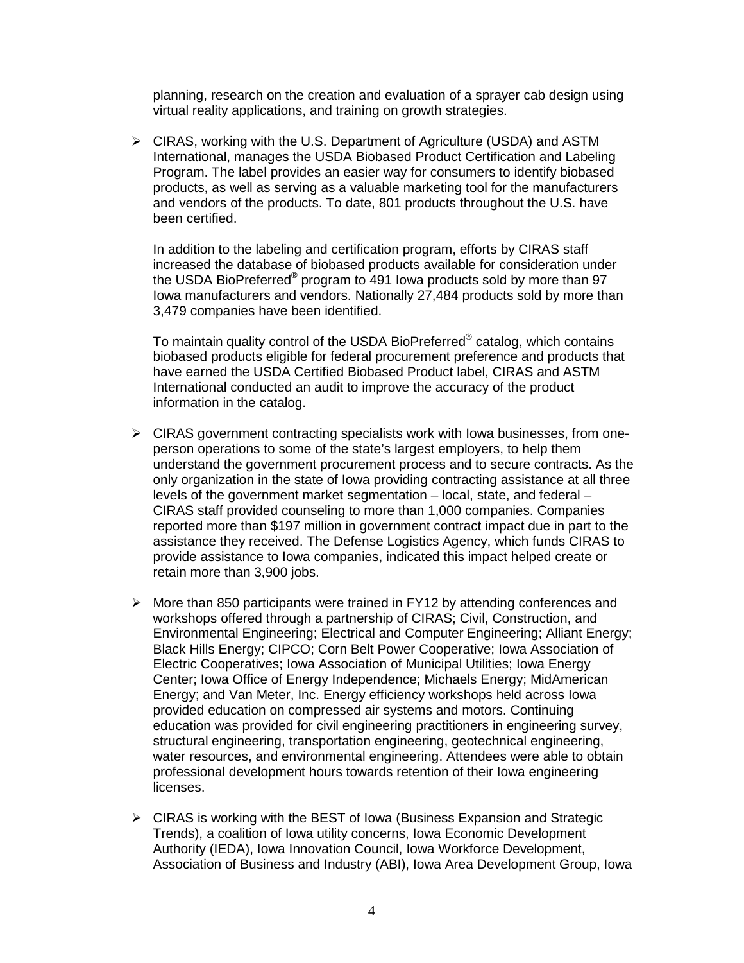planning, research on the creation and evaluation of a sprayer cab design using virtual reality applications, and training on growth strategies.

 $\triangleright$  CIRAS, working with the U.S. Department of Agriculture (USDA) and ASTM International, manages the USDA Biobased Product Certification and Labeling Program. The label provides an easier way for consumers to identify biobased products, as well as serving as a valuable marketing tool for the manufacturers and vendors of the products. To date, 801 products throughout the U.S. have been certified.

In addition to the labeling and certification program, efforts by CIRAS staff increased the database of biobased products available for consideration under the USDA BioPreferred® program to 491 Iowa products sold by more than 97 Iowa manufacturers and vendors. Nationally 27,484 products sold by more than 3,479 companies have been identified.

To maintain quality control of the USDA BioPreferred® catalog, which contains biobased products eligible for federal procurement preference and products that have earned the USDA Certified Biobased Product label, CIRAS and ASTM International conducted an audit to improve the accuracy of the product information in the catalog.

- $\triangleright$  CIRAS government contracting specialists work with Iowa businesses, from oneperson operations to some of the state's largest employers, to help them understand the government procurement process and to secure contracts. As the only organization in the state of Iowa providing contracting assistance at all three levels of the government market segmentation – local, state, and federal – CIRAS staff provided counseling to more than 1,000 companies. Companies reported more than \$197 million in government contract impact due in part to the assistance they received. The Defense Logistics Agency, which funds CIRAS to provide assistance to Iowa companies, indicated this impact helped create or retain more than 3,900 jobs.
- $\triangleright$  More than 850 participants were trained in FY12 by attending conferences and workshops offered through a partnership of CIRAS; Civil, Construction, and Environmental Engineering; Electrical and Computer Engineering; Alliant Energy; Black Hills Energy; CIPCO; Corn Belt Power Cooperative; Iowa Association of Electric Cooperatives; Iowa Association of Municipal Utilities; Iowa Energy Center; Iowa Office of Energy Independence; Michaels Energy; MidAmerican Energy; and Van Meter, Inc. Energy efficiency workshops held across Iowa provided education on compressed air systems and motors. Continuing education was provided for civil engineering practitioners in engineering survey, structural engineering, transportation engineering, geotechnical engineering, water resources, and environmental engineering. Attendees were able to obtain professional development hours towards retention of their Iowa engineering licenses.
- $\triangleright$  CIRAS is working with the BEST of Iowa (Business Expansion and Strategic Trends), a coalition of Iowa utility concerns, Iowa Economic Development Authority (IEDA), Iowa Innovation Council, Iowa Workforce Development, Association of Business and Industry (ABI), Iowa Area Development Group, Iowa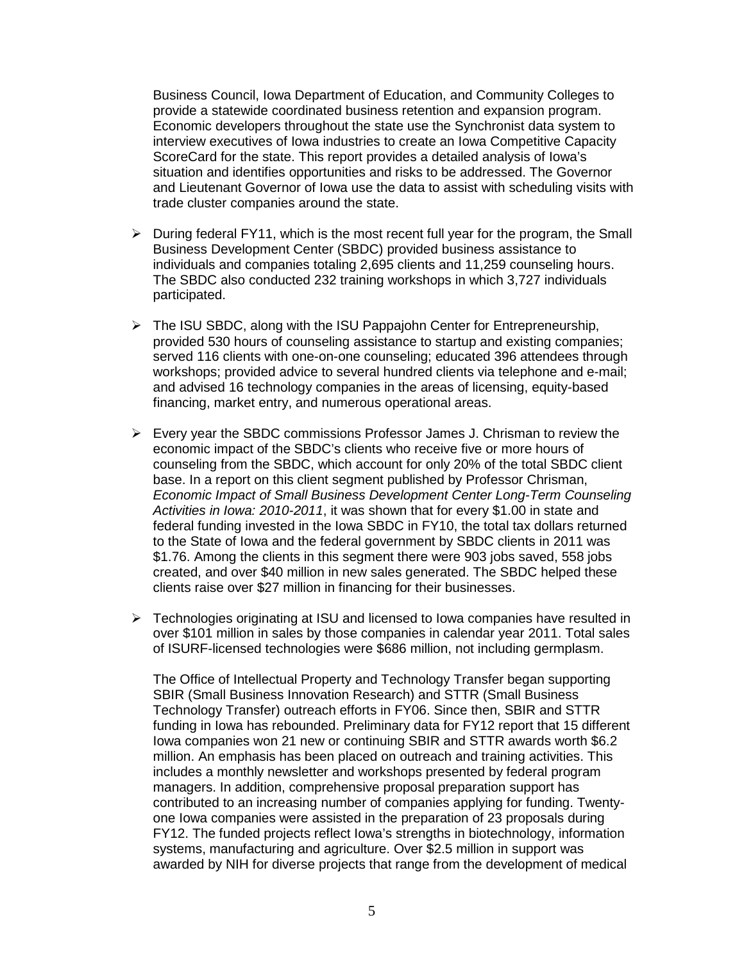Business Council, Iowa Department of Education, and Community Colleges to provide a statewide coordinated business retention and expansion program. Economic developers throughout the state use the Synchronist data system to interview executives of Iowa industries to create an Iowa Competitive Capacity ScoreCard for the state. This report provides a detailed analysis of Iowa's situation and identifies opportunities and risks to be addressed. The Governor and Lieutenant Governor of Iowa use the data to assist with scheduling visits with trade cluster companies around the state.

- $\triangleright$  During federal FY11, which is the most recent full year for the program, the Small Business Development Center (SBDC) provided business assistance to individuals and companies totaling 2,695 clients and 11,259 counseling hours. The SBDC also conducted 232 training workshops in which 3,727 individuals participated.
- $\triangleright$  The ISU SBDC, along with the ISU Pappajohn Center for Entrepreneurship, provided 530 hours of counseling assistance to startup and existing companies; served 116 clients with one-on-one counseling; educated 396 attendees through workshops; provided advice to several hundred clients via telephone and e-mail; and advised 16 technology companies in the areas of licensing, equity-based financing, market entry, and numerous operational areas.
- $\triangleright$  Every year the SBDC commissions Professor James J. Chrisman to review the economic impact of the SBDC's clients who receive five or more hours of counseling from the SBDC, which account for only 20% of the total SBDC client base. In a report on this client segment published by Professor Chrisman, *Economic Impact of Small Business Development Center Long-Term Counseling Activities in Iowa: 2010-2011*, it was shown that for every \$1.00 in state and federal funding invested in the Iowa SBDC in FY10, the total tax dollars returned to the State of Iowa and the federal government by SBDC clients in 2011 was \$1.76. Among the clients in this segment there were 903 jobs saved, 558 jobs created, and over \$40 million in new sales generated. The SBDC helped these clients raise over \$27 million in financing for their businesses.
- $\triangleright$  Technologies originating at ISU and licensed to Iowa companies have resulted in over \$101 million in sales by those companies in calendar year 2011. Total sales of ISURF-licensed technologies were \$686 million, not including germplasm.

The Office of Intellectual Property and Technology Transfer began supporting SBIR (Small Business Innovation Research) and STTR (Small Business Technology Transfer) outreach efforts in FY06. Since then, SBIR and STTR funding in Iowa has rebounded. Preliminary data for FY12 report that 15 different Iowa companies won 21 new or continuing SBIR and STTR awards worth \$6.2 million. An emphasis has been placed on outreach and training activities. This includes a monthly newsletter and workshops presented by federal program managers. In addition, comprehensive proposal preparation support has contributed to an increasing number of companies applying for funding. Twentyone Iowa companies were assisted in the preparation of 23 proposals during FY12. The funded projects reflect Iowa's strengths in biotechnology, information systems, manufacturing and agriculture. Over \$2.5 million in support was awarded by NIH for diverse projects that range from the development of medical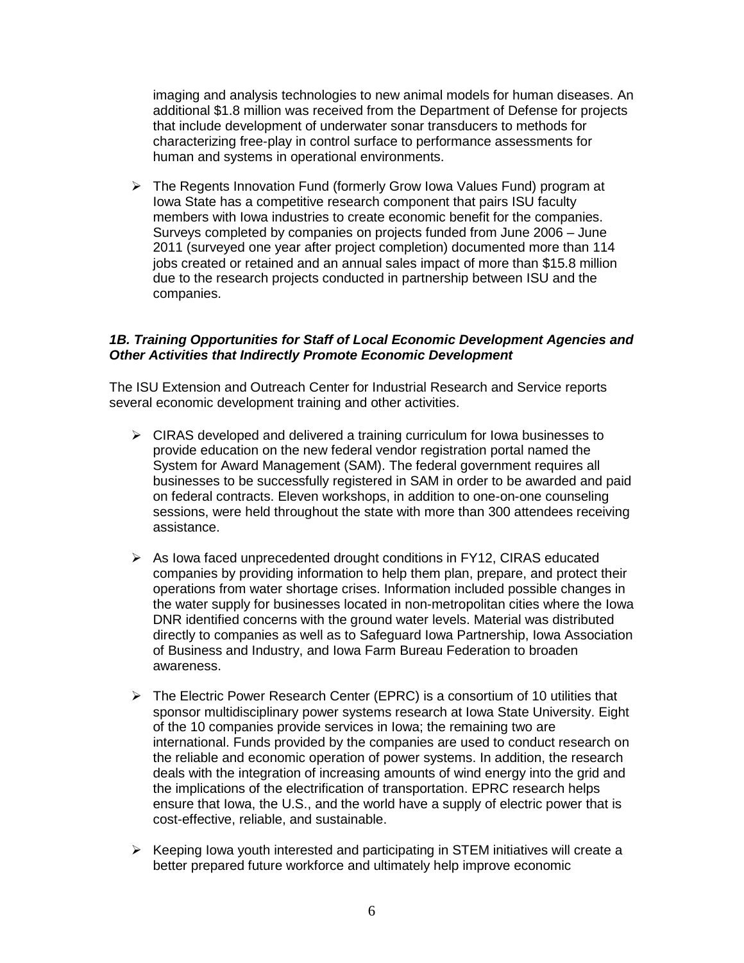imaging and analysis technologies to new animal models for human diseases. An additional \$1.8 million was received from the Department of Defense for projects that include development of underwater sonar transducers to methods for characterizing free-play in control surface to performance assessments for human and systems in operational environments.

 $\triangleright$  The Regents Innovation Fund (formerly Grow Iowa Values Fund) program at Iowa State has a competitive research component that pairs ISU faculty members with Iowa industries to create economic benefit for the companies. Surveys completed by companies on projects funded from June 2006 – June 2011 (surveyed one year after project completion) documented more than 114 jobs created or retained and an annual sales impact of more than \$15.8 million due to the research projects conducted in partnership between ISU and the companies.

#### *1B. Training Opportunities for Staff of Local Economic Development Agencies and Other Activities that Indirectly Promote Economic Development*

The ISU Extension and Outreach Center for Industrial Research and Service reports several economic development training and other activities.

- $\triangleright$  CIRAS developed and delivered a training curriculum for lowa businesses to provide education on the new federal vendor registration portal named the System for Award Management (SAM). The federal government requires all businesses to be successfully registered in SAM in order to be awarded and paid on federal contracts. Eleven workshops, in addition to one-on-one counseling sessions, were held throughout the state with more than 300 attendees receiving assistance.
- $\triangleright$  As Iowa faced unprecedented drought conditions in FY12, CIRAS educated companies by providing information to help them plan, prepare, and protect their operations from water shortage crises. Information included possible changes in the water supply for businesses located in non-metropolitan cities where the Iowa DNR identified concerns with the ground water levels. Material was distributed directly to companies as well as to Safeguard Iowa Partnership, Iowa Association of Business and Industry, and Iowa Farm Bureau Federation to broaden awareness.
- $\triangleright$  The Electric Power Research Center (EPRC) is a consortium of 10 utilities that sponsor multidisciplinary power systems research at Iowa State University. Eight of the 10 companies provide services in Iowa; the remaining two are international. Funds provided by the companies are used to conduct research on the reliable and economic operation of power systems. In addition, the research deals with the integration of increasing amounts of wind energy into the grid and the implications of the electrification of transportation. EPRC research helps ensure that Iowa, the U.S., and the world have a supply of electric power that is cost-effective, reliable, and sustainable.
- $\triangleright$  Keeping Iowa youth interested and participating in STEM initiatives will create a better prepared future workforce and ultimately help improve economic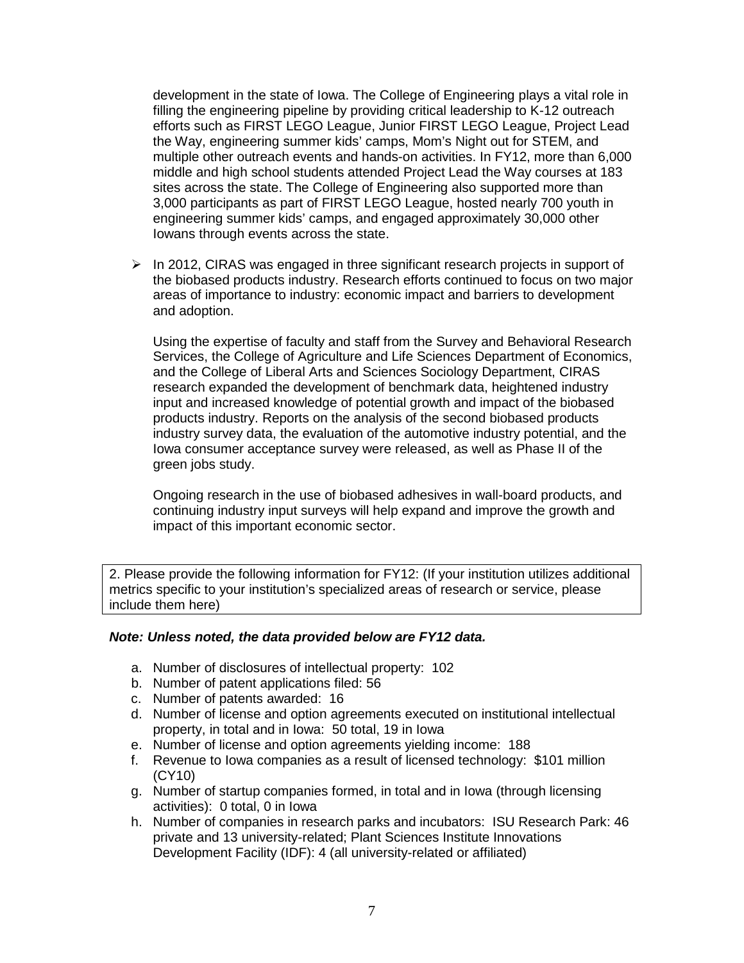development in the state of Iowa. The College of Engineering plays a vital role in filling the engineering pipeline by providing critical leadership to K-12 outreach efforts such as FIRST LEGO League, Junior FIRST LEGO League, Project Lead the Way, engineering summer kids' camps, Mom's Night out for STEM, and multiple other outreach events and hands-on activities. In FY12, more than 6,000 middle and high school students attended Project Lead the Way courses at 183 sites across the state. The College of Engineering also supported more than 3,000 participants as part of FIRST LEGO League, hosted nearly 700 youth in engineering summer kids' camps, and engaged approximately 30,000 other Iowans through events across the state.

 $\triangleright$  In 2012, CIRAS was engaged in three significant research projects in support of the biobased products industry. Research efforts continued to focus on two major areas of importance to industry: economic impact and barriers to development and adoption.

Using the expertise of faculty and staff from the Survey and Behavioral Research Services, the College of Agriculture and Life Sciences Department of Economics, and the College of Liberal Arts and Sciences Sociology Department, CIRAS research expanded the development of benchmark data, heightened industry input and increased knowledge of potential growth and impact of the biobased products industry. Reports on the analysis of the second biobased products industry survey data, the evaluation of the automotive industry potential, and the Iowa consumer acceptance survey were released, as well as Phase II of the green jobs study.

Ongoing research in the use of biobased adhesives in wall-board products, and continuing industry input surveys will help expand and improve the growth and impact of this important economic sector.

2. Please provide the following information for FY12: (If your institution utilizes additional metrics specific to your institution's specialized areas of research or service, please include them here)

#### *Note: Unless noted, the data provided below are FY12 data.*

- a. Number of disclosures of intellectual property: 102
- b. Number of patent applications filed: 56
- c. Number of patents awarded: 16
- d. Number of license and option agreements executed on institutional intellectual property, in total and in Iowa: 50 total, 19 in Iowa
- e. Number of license and option agreements yielding income: 188
- f. Revenue to Iowa companies as a result of licensed technology: \$101 million (CY10)
- g. Number of startup companies formed, in total and in Iowa (through licensing activities): 0 total, 0 in Iowa
- h. Number of companies in research parks and incubators: ISU Research Park: 46 private and 13 university-related; Plant Sciences Institute Innovations Development Facility (IDF): 4 (all university-related or affiliated)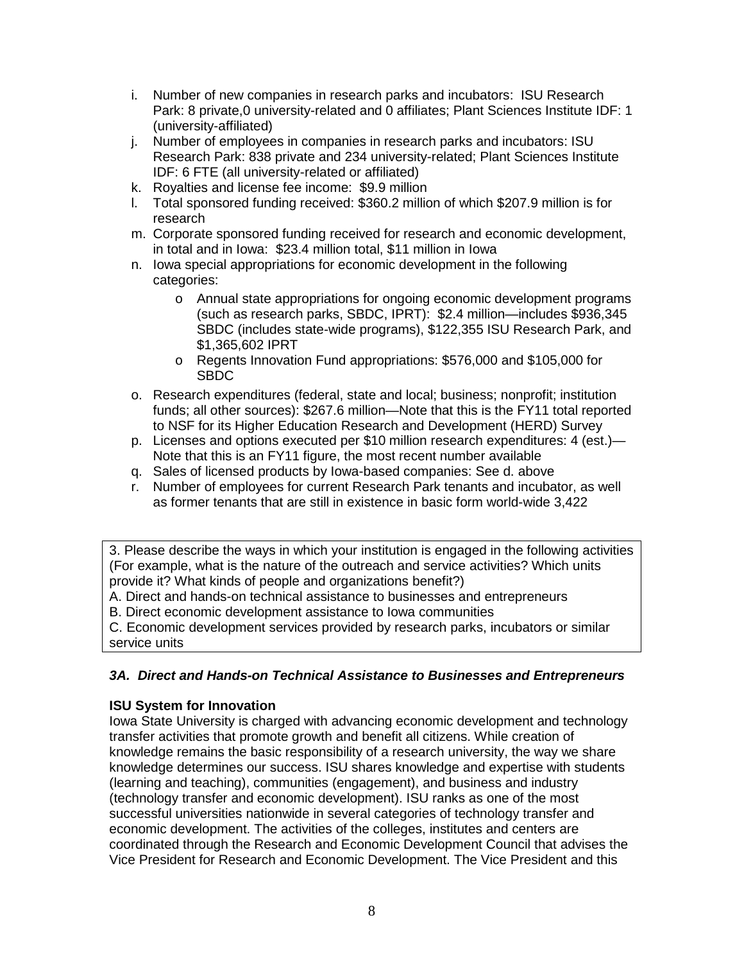- i. Number of new companies in research parks and incubators: ISU Research Park: 8 private,0 university-related and 0 affiliates; Plant Sciences Institute IDF: 1 (university-affiliated)
- j. Number of employees in companies in research parks and incubators: ISU Research Park: 838 private and 234 university-related; Plant Sciences Institute IDF: 6 FTE (all university-related or affiliated)
- k. Royalties and license fee income: \$9.9 million
- l. Total sponsored funding received: \$360.2 million of which \$207.9 million is for research
- m. Corporate sponsored funding received for research and economic development, in total and in Iowa: \$23.4 million total, \$11 million in Iowa
- n. Iowa special appropriations for economic development in the following categories:
	- o Annual state appropriations for ongoing economic development programs (such as research parks, SBDC, IPRT): \$2.4 million—includes \$936,345 SBDC (includes state-wide programs), \$122,355 ISU Research Park, and \$1,365,602 IPRT
	- o Regents Innovation Fund appropriations: \$576,000 and \$105,000 for SBDC
- o. Research expenditures (federal, state and local; business; nonprofit; institution funds; all other sources): \$267.6 million—Note that this is the FY11 total reported to NSF for its Higher Education Research and Development (HERD) Survey
- p. Licenses and options executed per \$10 million research expenditures: 4 (est.)— Note that this is an FY11 figure, the most recent number available
- q. Sales of licensed products by Iowa-based companies: See d. above
- r. Number of employees for current Research Park tenants and incubator, as well as former tenants that are still in existence in basic form world-wide 3,422

3. Please describe the ways in which your institution is engaged in the following activities (For example, what is the nature of the outreach and service activities? Which units provide it? What kinds of people and organizations benefit?)

A. Direct and hands-on technical assistance to businesses and entrepreneurs

B. Direct economic development assistance to Iowa communities

C. Economic development services provided by research parks, incubators or similar service units

### *3A. Direct and Hands-on Technical Assistance to Businesses and Entrepreneurs*

### **ISU System for Innovation**

Iowa State University is charged with advancing economic development and technology transfer activities that promote growth and benefit all citizens. While creation of knowledge remains the basic responsibility of a research university, the way we share knowledge determines our success. ISU shares knowledge and expertise with students (learning and teaching), communities (engagement), and business and industry (technology transfer and economic development). ISU ranks as one of the most successful universities nationwide in several categories of technology transfer and economic development. The activities of the colleges, institutes and centers are coordinated through the Research and Economic Development Council that advises the Vice President for Research and Economic Development. The Vice President and this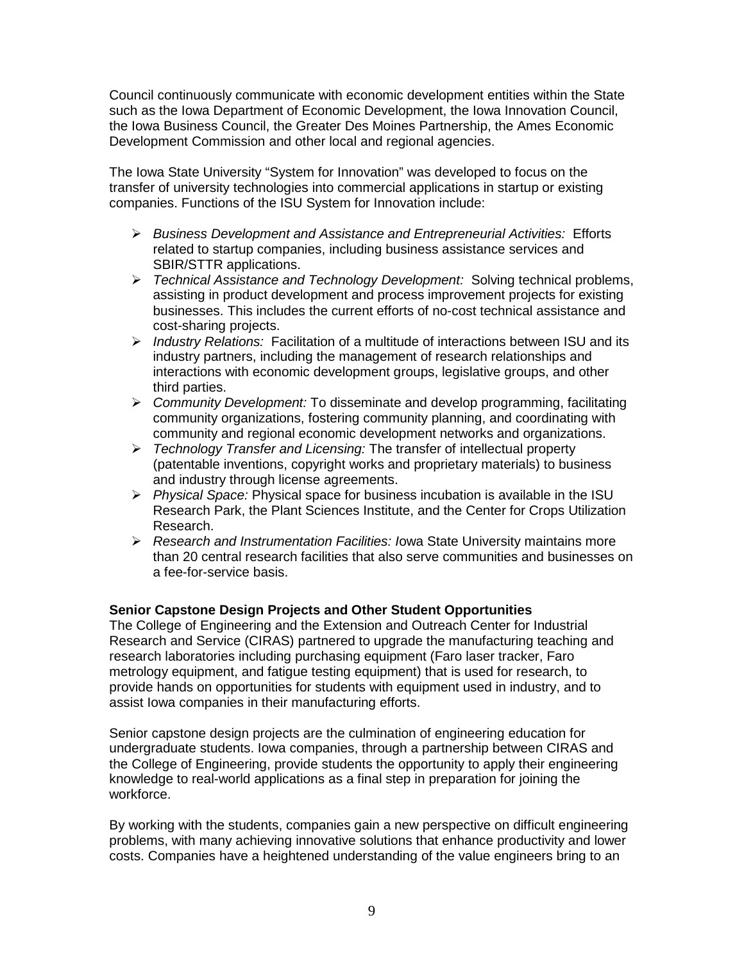Council continuously communicate with economic development entities within the State such as the Iowa Department of Economic Development, the Iowa Innovation Council, the Iowa Business Council, the Greater Des Moines Partnership, the Ames Economic Development Commission and other local and regional agencies.

The Iowa State University "System for Innovation" was developed to focus on the transfer of university technologies into commercial applications in startup or existing companies. Functions of the ISU System for Innovation include:

- *Business Development and Assistance and Entrepreneurial Activities:* Efforts related to startup companies, including business assistance services and SBIR/STTR applications.
- *Technical Assistance and Technology Development:* Solving technical problems, assisting in product development and process improvement projects for existing businesses. This includes the current efforts of no-cost technical assistance and cost-sharing projects.
- *Industry Relations:* Facilitation of a multitude of interactions between ISU and its industry partners, including the management of research relationships and interactions with economic development groups, legislative groups, and other third parties.
- *Community Development:* To disseminate and develop programming, facilitating community organizations, fostering community planning, and coordinating with community and regional economic development networks and organizations.
- *Technology Transfer and Licensing:* The transfer of intellectual property (patentable inventions, copyright works and proprietary materials) to business and industry through license agreements.
- *Physical Space:* Physical space for business incubation is available in the ISU Research Park, the Plant Sciences Institute, and the Center for Crops Utilization Research.
- *Research and Instrumentation Facilities: I*owa State University maintains more than 20 central research facilities that also serve communities and businesses on a fee-for-service basis.

#### **Senior Capstone Design Projects and Other Student Opportunities**

The College of Engineering and the Extension and Outreach Center for Industrial Research and Service (CIRAS) partnered to upgrade the manufacturing teaching and research laboratories including purchasing equipment (Faro laser tracker, Faro metrology equipment, and fatigue testing equipment) that is used for research, to provide hands on opportunities for students with equipment used in industry, and to assist Iowa companies in their manufacturing efforts.

Senior capstone design projects are the culmination of engineering education for undergraduate students. Iowa companies, through a partnership between CIRAS and the College of Engineering, provide students the opportunity to apply their engineering knowledge to real-world applications as a final step in preparation for joining the workforce.

By working with the students, companies gain a new perspective on difficult engineering problems, with many achieving innovative solutions that enhance productivity and lower costs. Companies have a heightened understanding of the value engineers bring to an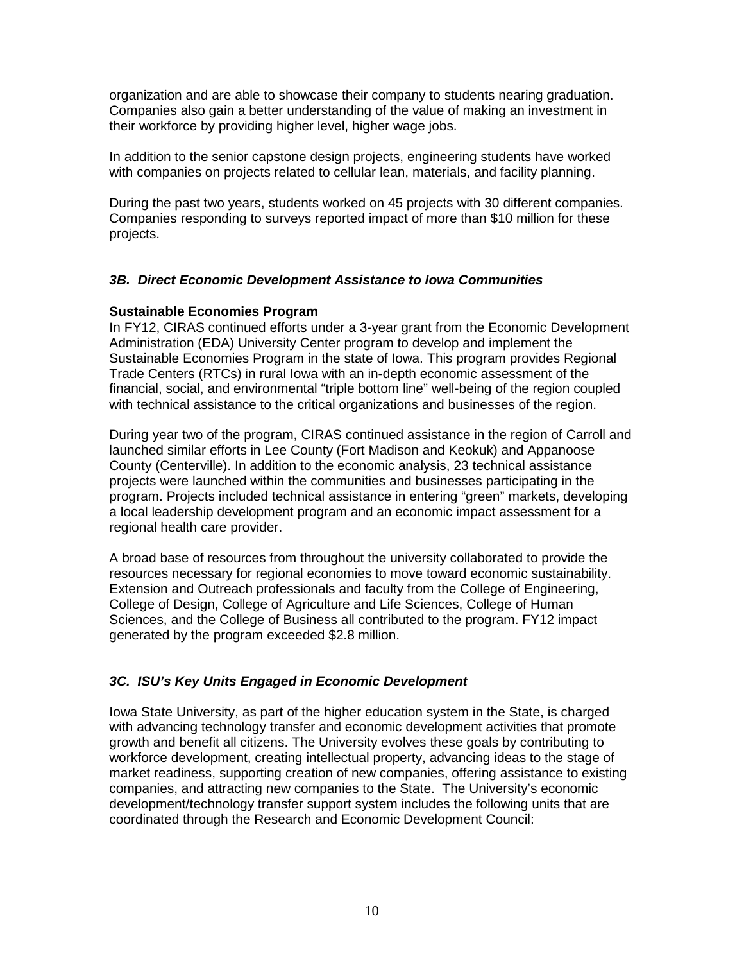organization and are able to showcase their company to students nearing graduation. Companies also gain a better understanding of the value of making an investment in their workforce by providing higher level, higher wage jobs.

In addition to the senior capstone design projects, engineering students have worked with companies on projects related to cellular lean, materials, and facility planning.

During the past two years, students worked on 45 projects with 30 different companies. Companies responding to surveys reported impact of more than \$10 million for these projects.

#### *3B. Direct Economic Development Assistance to Iowa Communities*

#### **Sustainable Economies Program**

In FY12, CIRAS continued efforts under a 3-year grant from the Economic Development Administration (EDA) University Center program to develop and implement the Sustainable Economies Program in the state of Iowa. This program provides Regional Trade Centers (RTCs) in rural Iowa with an in-depth economic assessment of the financial, social, and environmental "triple bottom line" well-being of the region coupled with technical assistance to the critical organizations and businesses of the region.

During year two of the program, CIRAS continued assistance in the region of Carroll and launched similar efforts in Lee County (Fort Madison and Keokuk) and Appanoose County (Centerville). In addition to the economic analysis, 23 technical assistance projects were launched within the communities and businesses participating in the program. Projects included technical assistance in entering "green" markets, developing a local leadership development program and an economic impact assessment for a regional health care provider.

A broad base of resources from throughout the university collaborated to provide the resources necessary for regional economies to move toward economic sustainability. Extension and Outreach professionals and faculty from the College of Engineering, College of Design, College of Agriculture and Life Sciences, College of Human Sciences, and the College of Business all contributed to the program. FY12 impact generated by the program exceeded \$2.8 million.

#### *3C. ISU's Key Units Engaged in Economic Development*

Iowa State University, as part of the higher education system in the State, is charged with advancing technology transfer and economic development activities that promote growth and benefit all citizens. The University evolves these goals by contributing to workforce development, creating intellectual property, advancing ideas to the stage of market readiness, supporting creation of new companies, offering assistance to existing companies, and attracting new companies to the State. The University's economic development/technology transfer support system includes the following units that are coordinated through the Research and Economic Development Council: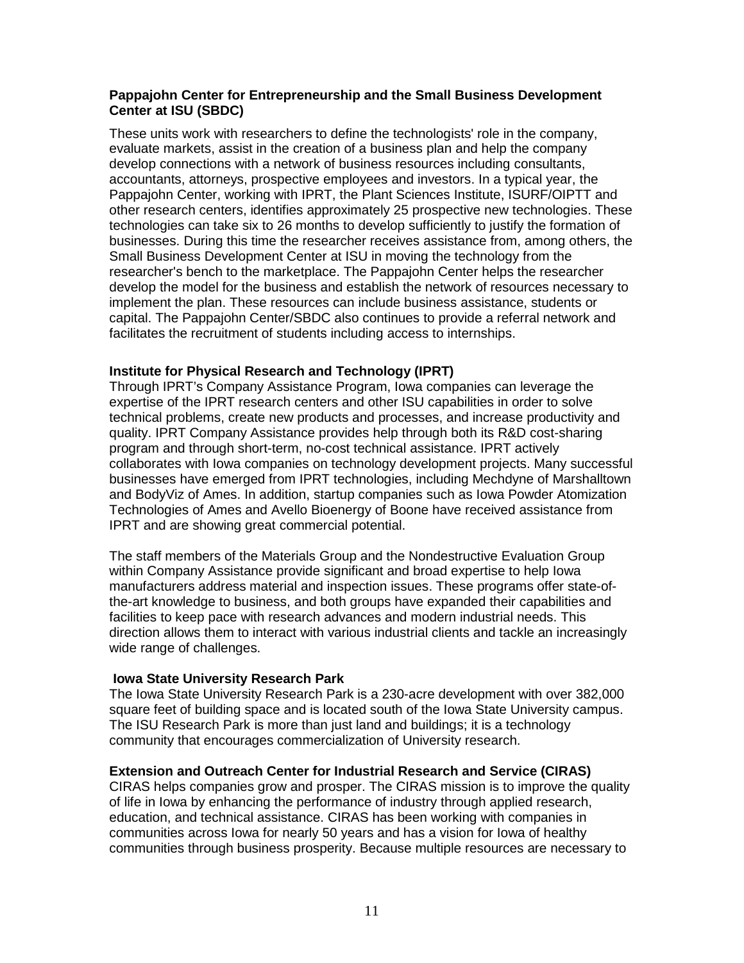#### **Pappajohn Center for Entrepreneurship and the Small Business Development Center at ISU (SBDC)**

These units work with researchers to define the technologists' role in the company, evaluate markets, assist in the creation of a business plan and help the company develop connections with a network of business resources including consultants, accountants, attorneys, prospective employees and investors. In a typical year, the Pappajohn Center, working with IPRT, the Plant Sciences Institute, ISURF/OIPTT and other research centers, identifies approximately 25 prospective new technologies. These technologies can take six to 26 months to develop sufficiently to justify the formation of businesses. During this time the researcher receives assistance from, among others, the Small Business Development Center at ISU in moving the technology from the researcher's bench to the marketplace. The Pappajohn Center helps the researcher develop the model for the business and establish the network of resources necessary to implement the plan. These resources can include business assistance, students or capital. The Pappajohn Center/SBDC also continues to provide a referral network and facilitates the recruitment of students including access to internships.

#### **Institute for Physical Research and Technology (IPRT)**

Through IPRT's Company Assistance Program, Iowa companies can leverage the expertise of the IPRT research centers and other ISU capabilities in order to solve technical problems, create new products and processes, and increase productivity and quality. IPRT Company Assistance provides help through both its R&D cost-sharing program and through short-term, no-cost technical assistance. IPRT actively collaborates with Iowa companies on technology development projects. Many successful businesses have emerged from IPRT technologies, including Mechdyne of Marshalltown and BodyViz of Ames. In addition, startup companies such as Iowa Powder Atomization Technologies of Ames and Avello Bioenergy of Boone have received assistance from IPRT and are showing great commercial potential.

The staff members of the Materials Group and the Nondestructive Evaluation Group within Company Assistance provide significant and broad expertise to help Iowa manufacturers address material and inspection issues. These programs offer state-ofthe-art knowledge to business, and both groups have expanded their capabilities and facilities to keep pace with research advances and modern industrial needs. This direction allows them to interact with various industrial clients and tackle an increasingly wide range of challenges.

#### **Iowa State University Research Park**

The Iowa State University Research Park is a 230-acre development with over 382,000 square feet of building space and is located south of the Iowa State University campus. The ISU Research Park is more than just land and buildings; it is a technology community that encourages commercialization of University research.

#### **Extension and Outreach Center for Industrial Research and Service (CIRAS)**

CIRAS helps companies grow and prosper. The CIRAS mission is to improve the quality of life in Iowa by enhancing the performance of industry through applied research, education, and technical assistance. CIRAS has been working with companies in communities across Iowa for nearly 50 years and has a vision for Iowa of healthy communities through business prosperity. Because multiple resources are necessary to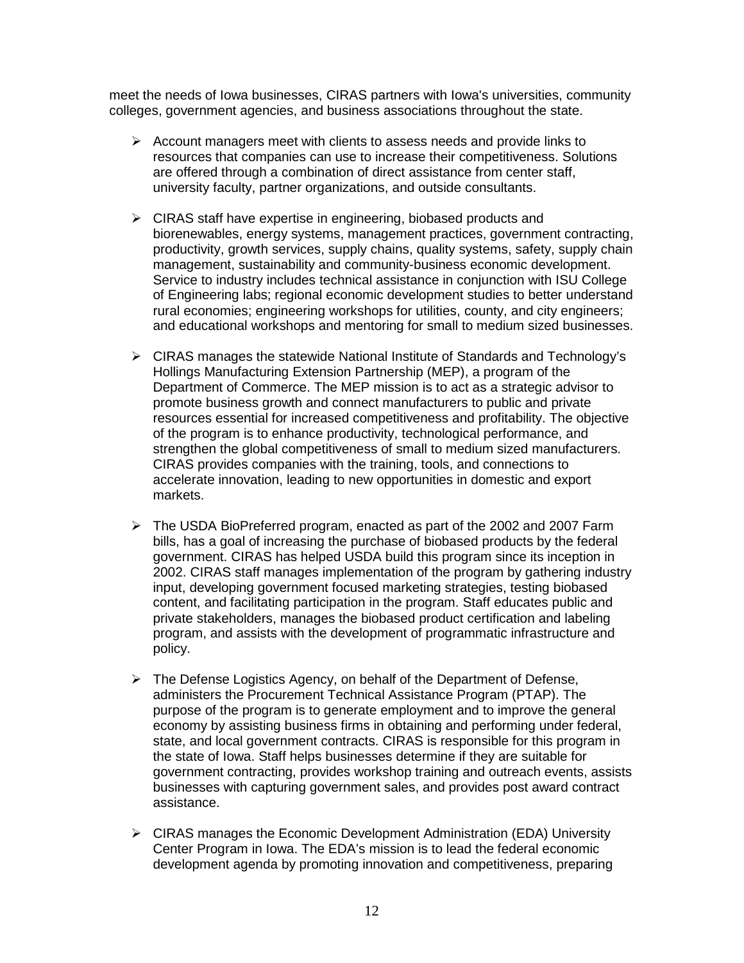meet the needs of Iowa businesses, CIRAS partners with Iowa's universities, community colleges, government agencies, and business associations throughout the state.

- $\triangleright$  Account managers meet with clients to assess needs and provide links to resources that companies can use to increase their competitiveness. Solutions are offered through a combination of direct assistance from center staff, university faculty, partner organizations, and outside consultants.
- $\triangleright$  CIRAS staff have expertise in engineering, biobased products and biorenewables, energy systems, management practices, government contracting, productivity, growth services, supply chains, quality systems, safety, supply chain management, sustainability and community-business economic development. Service to industry includes technical assistance in conjunction with ISU College of Engineering labs; regional economic development studies to better understand rural economies; engineering workshops for utilities, county, and city engineers; and educational workshops and mentoring for small to medium sized businesses.
- $\triangleright$  CIRAS manages the statewide National Institute of Standards and Technology's Hollings Manufacturing Extension Partnership (MEP), a program of the Department of Commerce. The MEP mission is to act as a strategic advisor to promote business growth and connect manufacturers to public and private resources essential for increased competitiveness and profitability. The objective of the program is to enhance productivity, technological performance, and strengthen the global competitiveness of small to medium sized manufacturers. CIRAS provides companies with the training, tools, and connections to accelerate innovation, leading to new opportunities in domestic and export markets.
- The USDA BioPreferred program, enacted as part of the 2002 and 2007 Farm bills, has a goal of increasing the purchase of biobased products by the federal government. CIRAS has helped USDA build this program since its inception in 2002. CIRAS staff manages implementation of the program by gathering industry input, developing government focused marketing strategies, testing biobased content, and facilitating participation in the program. Staff educates public and private stakeholders, manages the biobased product certification and labeling program, and assists with the development of programmatic infrastructure and policy.
- $\triangleright$  The Defense Logistics Agency, on behalf of the Department of Defense, administers the Procurement Technical Assistance Program (PTAP). The purpose of the program is to generate employment and to improve the general economy by assisting business firms in obtaining and performing under federal, state, and local government contracts. CIRAS is responsible for this program in the state of Iowa. Staff helps businesses determine if they are suitable for government contracting, provides workshop training and outreach events, assists businesses with capturing government sales, and provides post award contract assistance.
- $\triangleright$  CIRAS manages the Economic Development Administration (EDA) University Center Program in Iowa. The EDA's mission is to lead the federal economic development agenda by promoting innovation and competitiveness, preparing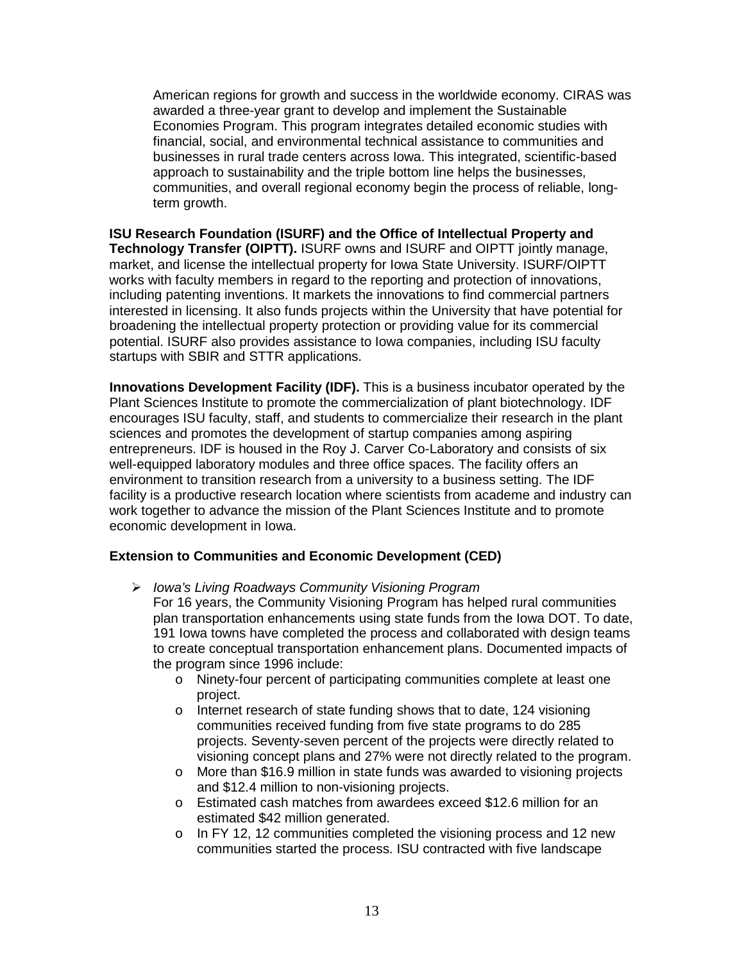American regions for growth and success in the worldwide economy. CIRAS was awarded a three-year grant to develop and implement the Sustainable Economies Program. This program integrates detailed economic studies with financial, social, and environmental technical assistance to communities and businesses in rural trade centers across Iowa. This integrated, scientific-based approach to sustainability and the triple bottom line helps the businesses, communities, and overall regional economy begin the process of reliable, longterm growth.

**ISU Research Foundation (ISURF) and the Office of Intellectual Property and Technology Transfer (OIPTT).** ISURF owns and ISURF and OIPTT jointly manage, market, and license the intellectual property for Iowa State University. ISURF/OIPTT works with faculty members in regard to the reporting and protection of innovations, including patenting inventions. It markets the innovations to find commercial partners interested in licensing. It also funds projects within the University that have potential for broadening the intellectual property protection or providing value for its commercial potential. ISURF also provides assistance to Iowa companies, including ISU faculty startups with SBIR and STTR applications.

**Innovations Development Facility (IDF).** This is a business incubator operated by the Plant Sciences Institute to promote the commercialization of plant biotechnology. IDF encourages ISU faculty, staff, and students to commercialize their research in the plant sciences and promotes the development of startup companies among aspiring entrepreneurs. IDF is housed in the Roy J. Carver Co-Laboratory and consists of six well-equipped laboratory modules and three office spaces. The facility offers an environment to transition research from a university to a business setting. The IDF facility is a productive research location where scientists from academe and industry can work together to advance the mission of the Plant Sciences Institute and to promote economic development in Iowa.

#### **Extension to Communities and Economic Development (CED)**

- *Iowa's Living Roadways Community Visioning Program*  For 16 years, the Community Visioning Program has helped rural communities plan transportation enhancements using state funds from the Iowa DOT. To date, 191 Iowa towns have completed the process and collaborated with design teams to create conceptual transportation enhancement plans. Documented impacts of the program since 1996 include:
	- o Ninety-four percent of participating communities complete at least one project.
	- o Internet research of state funding shows that to date, 124 visioning communities received funding from five state programs to do 285 projects. Seventy-seven percent of the projects were directly related to visioning concept plans and 27% were not directly related to the program.
	- o More than \$16.9 million in state funds was awarded to visioning projects and \$12.4 million to non-visioning projects.
	- o Estimated cash matches from awardees exceed \$12.6 million for an estimated \$42 million generated.
	- o In FY 12, 12 communities completed the visioning process and 12 new communities started the process. ISU contracted with five landscape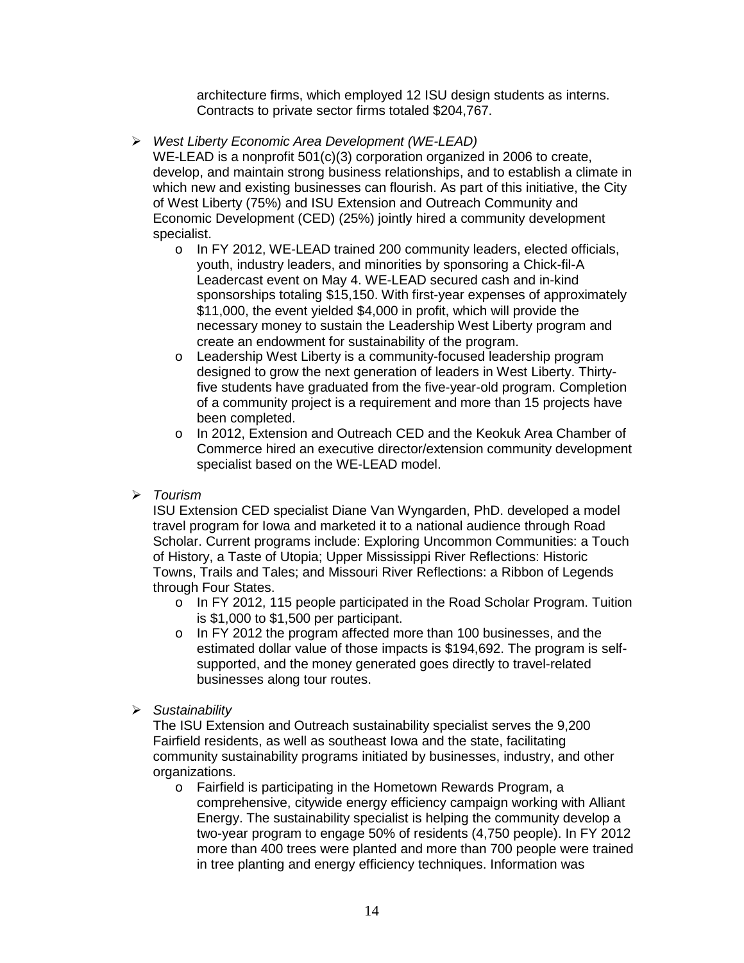architecture firms, which employed 12 ISU design students as interns. Contracts to private sector firms totaled \$204,767.

#### *West Liberty Economic Area Development (WE-LEAD)*

WE-LEAD is a nonprofit 501(c)(3) corporation organized in 2006 to create, develop, and maintain strong business relationships, and to establish a climate in which new and existing businesses can flourish. As part of this initiative, the City of West Liberty (75%) and ISU Extension and Outreach Community and Economic Development (CED) (25%) jointly hired a community development specialist.

- o In FY 2012, WE-LEAD trained 200 community leaders, elected officials, youth, industry leaders, and minorities by sponsoring a Chick-fil-A Leadercast event on May 4. WE-LEAD secured cash and in-kind sponsorships totaling \$15,150. With first-year expenses of approximately \$11,000, the event yielded \$4,000 in profit, which will provide the necessary money to sustain the Leadership West Liberty program and create an endowment for sustainability of the program.
- o Leadership West Liberty is a community-focused leadership program designed to grow the next generation of leaders in West Liberty. Thirtyfive students have graduated from the five-year-old program. Completion of a community project is a requirement and more than 15 projects have been completed.
- o In 2012, Extension and Outreach CED and the Keokuk Area Chamber of Commerce hired an executive director/extension community development specialist based on the WE-LEAD model.
- *Tourism*

ISU Extension CED specialist Diane Van Wyngarden, PhD. developed a model travel program for Iowa and marketed it to a national audience through Road Scholar. Current programs include: Exploring Uncommon Communities: a Touch of History, a Taste of Utopia; Upper Mississippi River Reflections: Historic Towns, Trails and Tales; and Missouri River Reflections: a Ribbon of Legends through Four States.

- o In FY 2012, 115 people participated in the Road Scholar Program. Tuition is \$1,000 to \$1,500 per participant.
- o In FY 2012 the program affected more than 100 businesses, and the estimated dollar value of those impacts is \$194,692. The program is selfsupported, and the money generated goes directly to travel-related businesses along tour routes.
- *Sustainability*

The ISU Extension and Outreach sustainability specialist serves the 9,200 Fairfield residents, as well as southeast Iowa and the state, facilitating community sustainability programs initiated by businesses, industry, and other organizations.

o Fairfield is participating in the Hometown Rewards Program, a comprehensive, citywide energy efficiency campaign working with Alliant Energy. The sustainability specialist is helping the community develop a two-year program to engage 50% of residents (4,750 people). In FY 2012 more than 400 trees were planted and more than 700 people were trained in tree planting and energy efficiency techniques. Information was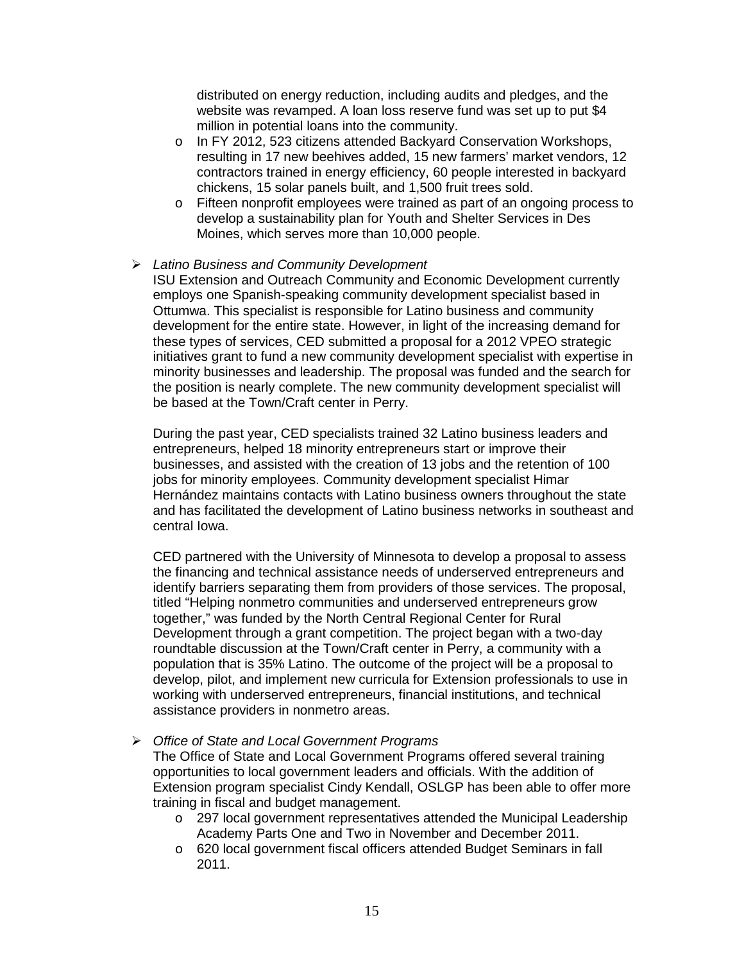distributed on energy reduction, including audits and pledges, and the website was revamped. A loan loss reserve fund was set up to put \$4 million in potential loans into the community.

- o In FY 2012, 523 citizens attended Backyard Conservation Workshops, resulting in 17 new beehives added, 15 new farmers' market vendors, 12 contractors trained in energy efficiency, 60 people interested in backyard chickens, 15 solar panels built, and 1,500 fruit trees sold.
- o Fifteen nonprofit employees were trained as part of an ongoing process to develop a sustainability plan for Youth and Shelter Services in Des Moines, which serves more than 10,000 people.

#### *Latino Business and Community Development*

ISU Extension and Outreach Community and Economic Development currently employs one Spanish-speaking community development specialist based in Ottumwa. This specialist is responsible for Latino business and community development for the entire state. However, in light of the increasing demand for these types of services, CED submitted a proposal for a 2012 VPEO strategic initiatives grant to fund a new community development specialist with expertise in minority businesses and leadership. The proposal was funded and the search for the position is nearly complete. The new community development specialist will be based at the Town/Craft center in Perry.

During the past year, CED specialists trained 32 Latino business leaders and entrepreneurs, helped 18 minority entrepreneurs start or improve their businesses, and assisted with the creation of 13 jobs and the retention of 100 jobs for minority employees. Community development specialist Himar Hernández maintains contacts with Latino business owners throughout the state and has facilitated the development of Latino business networks in southeast and central Iowa.

CED partnered with the University of Minnesota to develop a proposal to assess the financing and technical assistance needs of underserved entrepreneurs and identify barriers separating them from providers of those services. The proposal, titled "Helping nonmetro communities and underserved entrepreneurs grow together," was funded by the North Central Regional Center for Rural Development through a grant competition. The project began with a two-day roundtable discussion at the Town/Craft center in Perry, a community with a population that is 35% Latino. The outcome of the project will be a proposal to develop, pilot, and implement new curricula for Extension professionals to use in working with underserved entrepreneurs, financial institutions, and technical assistance providers in nonmetro areas.

#### *Office of State and Local Government Programs*

The Office of State and Local Government Programs offered several training opportunities to local government leaders and officials. With the addition of Extension program specialist Cindy Kendall, OSLGP has been able to offer more training in fiscal and budget management.

- o 297 local government representatives attended the Municipal Leadership Academy Parts One and Two in November and December 2011.
- o 620 local government fiscal officers attended Budget Seminars in fall 2011.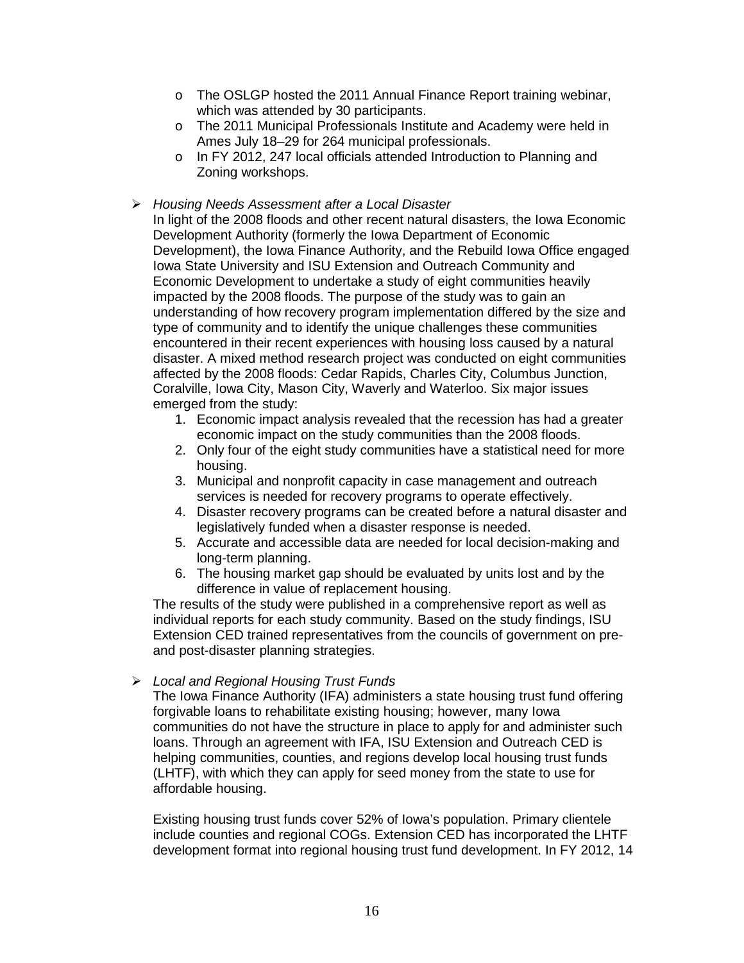- $\circ$  The OSLGP hosted the 2011 Annual Finance Report training webinar, which was attended by 30 participants.
- o The 2011 Municipal Professionals Institute and Academy were held in Ames July 18–29 for 264 municipal professionals.
- o In FY 2012, 247 local officials attended Introduction to Planning and Zoning workshops.
- *Housing Needs Assessment after a Local Disaster*

In light of the 2008 floods and other recent natural disasters, the Iowa Economic Development Authority (formerly the Iowa Department of Economic Development), the Iowa Finance Authority, and the Rebuild Iowa Office engaged Iowa State University and ISU Extension and Outreach Community and Economic Development to undertake a study of eight communities heavily impacted by the 2008 floods. The purpose of the study was to gain an understanding of how recovery program implementation differed by the size and type of community and to identify the unique challenges these communities encountered in their recent experiences with housing loss caused by a natural disaster. A mixed method research project was conducted on eight communities affected by the 2008 floods: Cedar Rapids, Charles City, Columbus Junction, Coralville, Iowa City, Mason City, Waverly and Waterloo. Six major issues emerged from the study:

- 1. Economic impact analysis revealed that the recession has had a greater economic impact on the study communities than the 2008 floods.
- 2. Only four of the eight study communities have a statistical need for more housing.
- 3. Municipal and nonprofit capacity in case management and outreach services is needed for recovery programs to operate effectively.
- 4. Disaster recovery programs can be created before a natural disaster and legislatively funded when a disaster response is needed.
- 5. Accurate and accessible data are needed for local decision-making and long-term planning.
- 6. The housing market gap should be evaluated by units lost and by the difference in value of replacement housing.

The results of the study were published in a comprehensive report as well as individual reports for each study community. Based on the study findings, ISU Extension CED trained representatives from the councils of government on preand post-disaster planning strategies.

*Local and Regional Housing Trust Funds*

The Iowa Finance Authority (IFA) administers a state housing trust fund offering forgivable loans to rehabilitate existing housing; however, many Iowa communities do not have the structure in place to apply for and administer such loans. Through an agreement with IFA, ISU Extension and Outreach CED is helping communities, counties, and regions develop local housing trust funds (LHTF), with which they can apply for seed money from the state to use for affordable housing.

Existing housing trust funds cover 52% of Iowa's population. Primary clientele include counties and regional COGs. Extension CED has incorporated the LHTF development format into regional housing trust fund development. In FY 2012, 14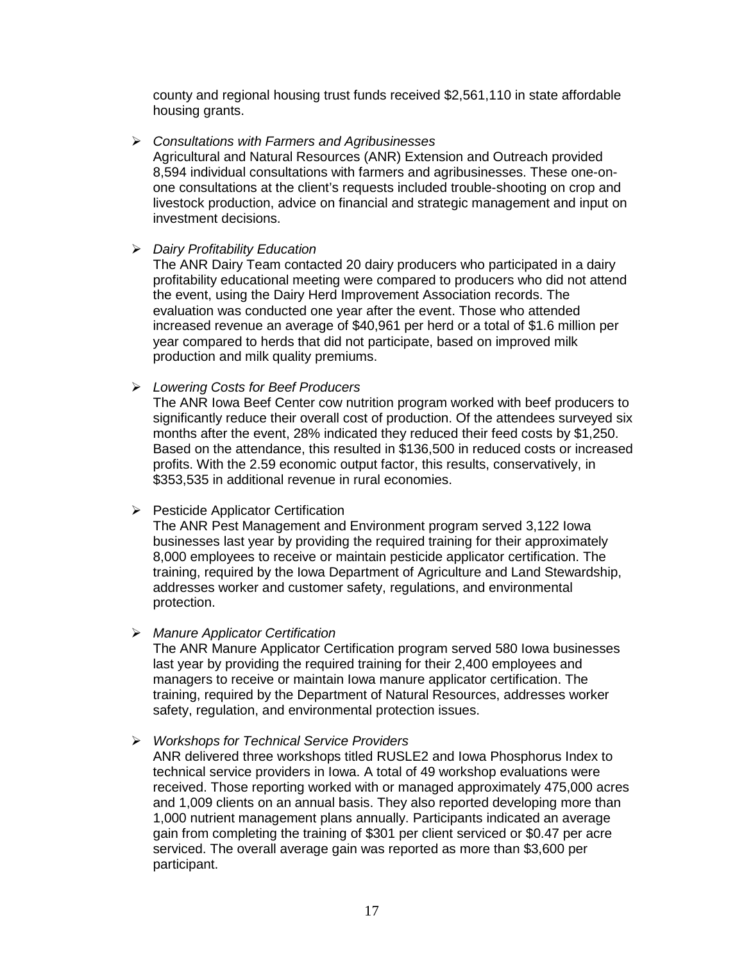county and regional housing trust funds received \$2,561,110 in state affordable housing grants.

*Consultations with Farmers and Agribusinesses*

Agricultural and Natural Resources (ANR) Extension and Outreach provided 8,594 individual consultations with farmers and agribusinesses. These one-onone consultations at the client's requests included trouble-shooting on crop and livestock production, advice on financial and strategic management and input on investment decisions.

#### *Dairy Profitability Education*

The ANR Dairy Team contacted 20 dairy producers who participated in a dairy profitability educational meeting were compared to producers who did not attend the event, using the Dairy Herd Improvement Association records. The evaluation was conducted one year after the event. Those who attended increased revenue an average of \$40,961 per herd or a total of \$1.6 million per year compared to herds that did not participate, based on improved milk production and milk quality premiums.

*Lowering Costs for Beef Producers*

The ANR Iowa Beef Center cow nutrition program worked with beef producers to significantly reduce their overall cost of production. Of the attendees surveyed six months after the event, 28% indicated they reduced their feed costs by \$1,250. Based on the attendance, this resulted in \$136,500 in reduced costs or increased profits. With the 2.59 economic output factor, this results, conservatively, in \$353,535 in additional revenue in rural economies.

#### $\triangleright$  Pesticide Applicator Certification

The ANR Pest Management and Environment program served 3,122 Iowa businesses last year by providing the required training for their approximately 8,000 employees to receive or maintain pesticide applicator certification. The training, required by the Iowa Department of Agriculture and Land Stewardship, addresses worker and customer safety, regulations, and environmental protection.

#### *Manure Applicator Certification*

The ANR Manure Applicator Certification program served 580 Iowa businesses last year by providing the required training for their 2,400 employees and managers to receive or maintain Iowa manure applicator certification. The training, required by the Department of Natural Resources, addresses worker safety, regulation, and environmental protection issues.

#### *Workshops for Technical Service Providers*

ANR delivered three workshops titled RUSLE2 and Iowa Phosphorus Index to technical service providers in Iowa. A total of 49 workshop evaluations were received. Those reporting worked with or managed approximately 475,000 acres and 1,009 clients on an annual basis. They also reported developing more than 1,000 nutrient management plans annually. Participants indicated an average gain from completing the training of \$301 per client serviced or \$0.47 per acre serviced. The overall average gain was reported as more than \$3,600 per participant.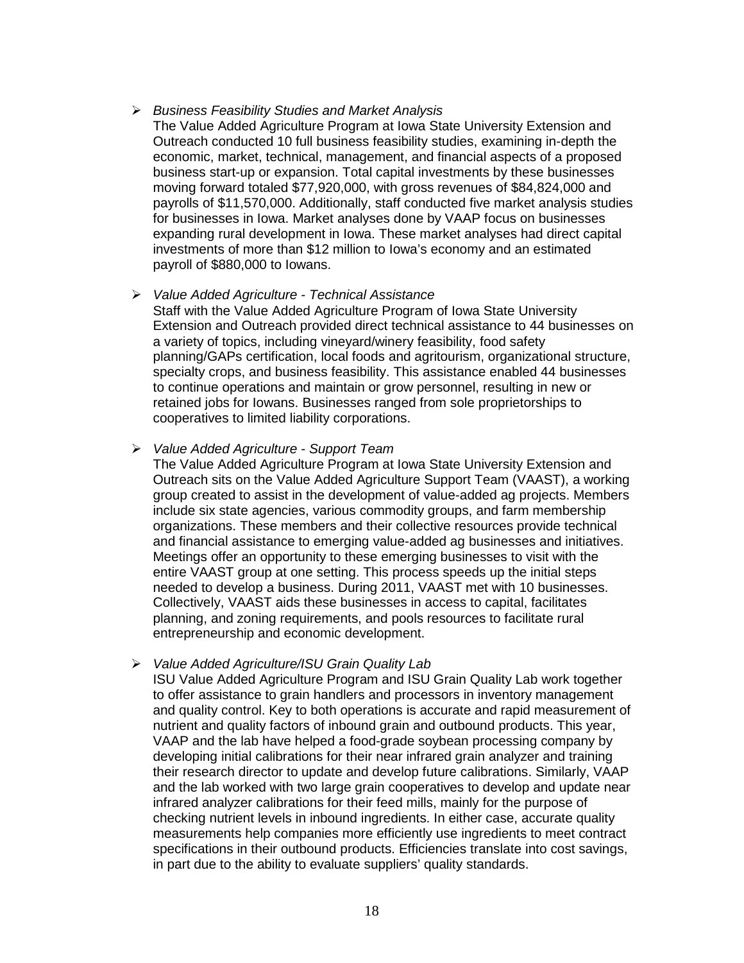#### *Business Feasibility Studies and Market Analysis*

The Value Added Agriculture Program at Iowa State University Extension and Outreach conducted 10 full business feasibility studies, examining in-depth the economic, market, technical, management, and financial aspects of a proposed business start-up or expansion. Total capital investments by these businesses moving forward totaled \$77,920,000, with gross revenues of \$84,824,000 and payrolls of \$11,570,000. Additionally, staff conducted five market analysis studies for businesses in Iowa. Market analyses done by VAAP focus on businesses expanding rural development in Iowa. These market analyses had direct capital investments of more than \$12 million to Iowa's economy and an estimated payroll of \$880,000 to Iowans.

#### *Value Added Agriculture - Technical Assistance*

Staff with the Value Added Agriculture Program of Iowa State University Extension and Outreach provided direct technical assistance to 44 businesses on a variety of topics, including vineyard/winery feasibility, food safety planning/GAPs certification, local foods and agritourism, organizational structure, specialty crops, and business feasibility. This assistance enabled 44 businesses to continue operations and maintain or grow personnel, resulting in new or retained jobs for Iowans. Businesses ranged from sole proprietorships to cooperatives to limited liability corporations.

#### *Value Added Agriculture - Support Team*

The Value Added Agriculture Program at Iowa State University Extension and Outreach sits on the Value Added Agriculture Support Team (VAAST), a working group created to assist in the development of value-added ag projects. Members include six state agencies, various commodity groups, and farm membership organizations. These members and their collective resources provide technical and financial assistance to emerging value-added ag businesses and initiatives. Meetings offer an opportunity to these emerging businesses to visit with the entire VAAST group at one setting. This process speeds up the initial steps needed to develop a business. During 2011, VAAST met with 10 businesses. Collectively, VAAST aids these businesses in access to capital, facilitates planning, and zoning requirements, and pools resources to facilitate rural entrepreneurship and economic development.

#### *Value Added Agriculture/ISU Grain Quality Lab*

ISU Value Added Agriculture Program and ISU Grain Quality Lab work together to offer assistance to grain handlers and processors in inventory management and quality control. Key to both operations is accurate and rapid measurement of nutrient and quality factors of inbound grain and outbound products. This year, VAAP and the lab have helped a food-grade soybean processing company by developing initial calibrations for their near infrared grain analyzer and training their research director to update and develop future calibrations. Similarly, VAAP and the lab worked with two large grain cooperatives to develop and update near infrared analyzer calibrations for their feed mills, mainly for the purpose of checking nutrient levels in inbound ingredients. In either case, accurate quality measurements help companies more efficiently use ingredients to meet contract specifications in their outbound products. Efficiencies translate into cost savings, in part due to the ability to evaluate suppliers' quality standards.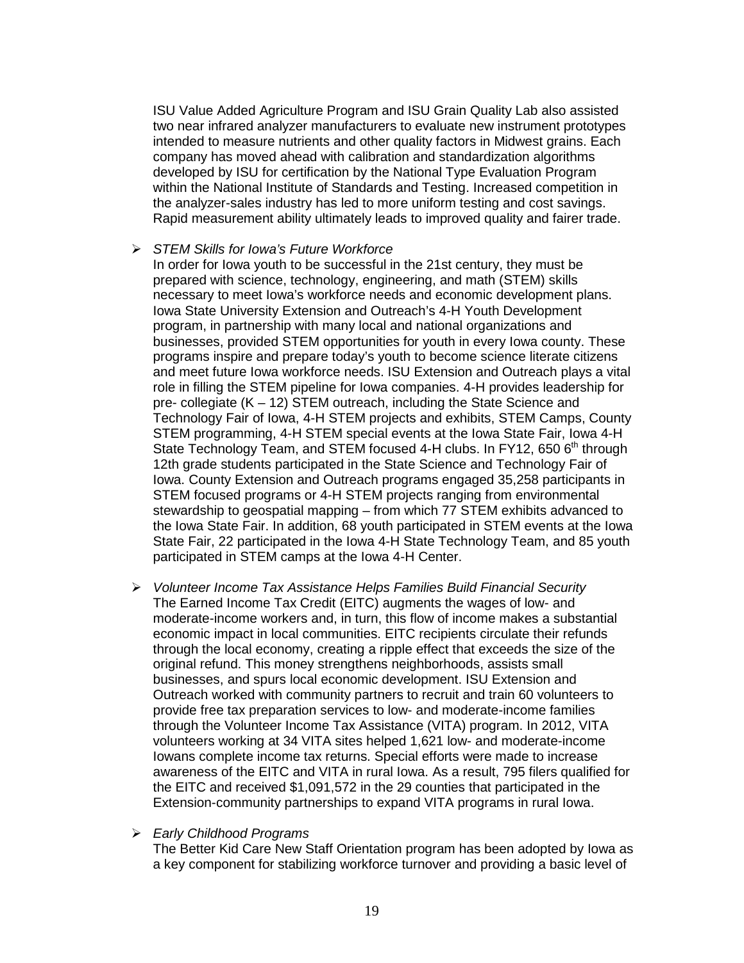ISU Value Added Agriculture Program and ISU Grain Quality Lab also assisted two near infrared analyzer manufacturers to evaluate new instrument prototypes intended to measure nutrients and other quality factors in Midwest grains. Each company has moved ahead with calibration and standardization algorithms developed by ISU for certification by the National Type Evaluation Program within the National Institute of Standards and Testing. Increased competition in the analyzer-sales industry has led to more uniform testing and cost savings. Rapid measurement ability ultimately leads to improved quality and fairer trade.

#### *STEM Skills for Iowa's Future Workforce*

In order for Iowa youth to be successful in the 21st century, they must be prepared with science, technology, engineering, and math (STEM) skills necessary to meet Iowa's workforce needs and economic development plans. Iowa State University Extension and Outreach's 4-H Youth Development program, in partnership with many local and national organizations and businesses, provided STEM opportunities for youth in every Iowa county. These programs inspire and prepare today's youth to become science literate citizens and meet future Iowa workforce needs. ISU Extension and Outreach plays a vital role in filling the STEM pipeline for Iowa companies. 4-H provides leadership for pre- collegiate (K – 12) STEM outreach, including the State Science and Technology Fair of Iowa, 4-H STEM projects and exhibits, STEM Camps, County STEM programming, 4-H STEM special events at the Iowa State Fair, Iowa 4-H State Technology Team, and STEM focused 4-H clubs. In FY12, 650 6<sup>th</sup> through 12th grade students participated in the State Science and Technology Fair of Iowa. County Extension and Outreach programs engaged 35,258 participants in STEM focused programs or 4-H STEM projects ranging from environmental stewardship to geospatial mapping – from which 77 STEM exhibits advanced to the Iowa State Fair. In addition, 68 youth participated in STEM events at the Iowa State Fair, 22 participated in the Iowa 4-H State Technology Team, and 85 youth participated in STEM camps at the Iowa 4-H Center.

 *Volunteer Income Tax Assistance Helps Families Build Financial Security* The Earned Income Tax Credit (EITC) augments the wages of low- and moderate-income workers and, in turn, this flow of income makes a substantial economic impact in local communities. EITC recipients circulate their refunds through the local economy, creating a ripple effect that exceeds the size of the original refund. This money strengthens neighborhoods, assists small businesses, and spurs local economic development. ISU Extension and Outreach worked with community partners to recruit and train 60 volunteers to provide free tax preparation services to low- and moderate-income families through the Volunteer Income Tax Assistance (VITA) program. In 2012, VITA volunteers working at 34 VITA sites helped 1,621 low- and moderate-income Iowans complete income tax returns. Special efforts were made to increase awareness of the EITC and VITA in rural Iowa. As a result, 795 filers qualified for the EITC and received \$1,091,572 in the 29 counties that participated in the Extension-community partnerships to expand VITA programs in rural Iowa.

*Early Childhood Programs*

The Better Kid Care New Staff Orientation program has been adopted by Iowa as a key component for stabilizing workforce turnover and providing a basic level of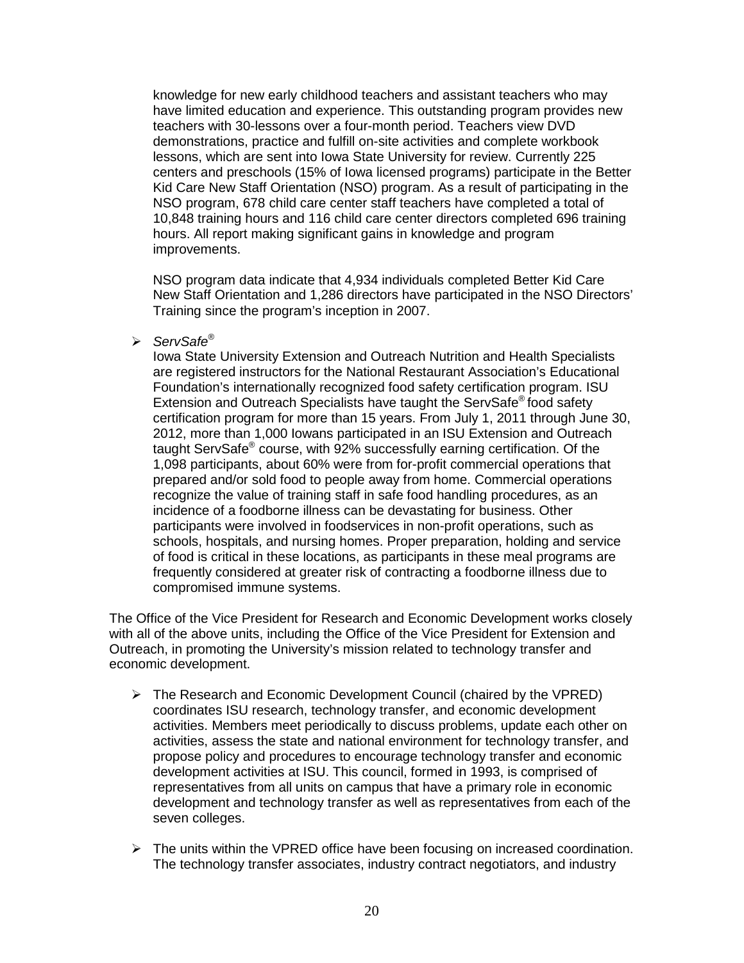knowledge for new early childhood teachers and assistant teachers who may have limited education and experience. This outstanding program provides new teachers with 30-lessons over a four-month period. Teachers view DVD demonstrations, practice and fulfill on-site activities and complete workbook lessons, which are sent into Iowa State University for review. Currently 225 centers and preschools (15% of Iowa licensed programs) participate in the Better Kid Care New Staff Orientation (NSO) program. As a result of participating in the NSO program, 678 child care center staff teachers have completed a total of 10,848 training hours and 116 child care center directors completed 696 training hours. All report making significant gains in knowledge and program improvements.

NSO program data indicate that 4,934 individuals completed Better Kid Care New Staff Orientation and 1,286 directors have participated in the NSO Directors' Training since the program's inception in 2007.

*ServSafe®*

Iowa State University Extension and Outreach Nutrition and Health Specialists are registered instructors for the National Restaurant Association's Educational Foundation's internationally recognized food safety certification program. ISU Extension and Outreach Specialists have taught the ServSafe® food safety certification program for more than 15 years. From July 1, 2011 through June 30, 2012, more than 1,000 Iowans participated in an ISU Extension and Outreach taught ServSafe® course, with 92% successfully earning certification. Of the 1,098 participants, about 60% were from for-profit commercial operations that prepared and/or sold food to people away from home. Commercial operations recognize the value of training staff in safe food handling procedures, as an incidence of a foodborne illness can be devastating for business. Other participants were involved in foodservices in non-profit operations, such as schools, hospitals, and nursing homes. Proper preparation, holding and service of food is critical in these locations, as participants in these meal programs are frequently considered at greater risk of contracting a foodborne illness due to compromised immune systems.

The Office of the Vice President for Research and Economic Development works closely with all of the above units, including the Office of the Vice President for Extension and Outreach, in promoting the University's mission related to technology transfer and economic development.

- $\triangleright$  The Research and Economic Development Council (chaired by the VPRED) coordinates ISU research, technology transfer, and economic development activities. Members meet periodically to discuss problems, update each other on activities, assess the state and national environment for technology transfer, and propose policy and procedures to encourage technology transfer and economic development activities at ISU. This council, formed in 1993, is comprised of representatives from all units on campus that have a primary role in economic development and technology transfer as well as representatives from each of the seven colleges.
- $\triangleright$  The units within the VPRED office have been focusing on increased coordination. The technology transfer associates, industry contract negotiators, and industry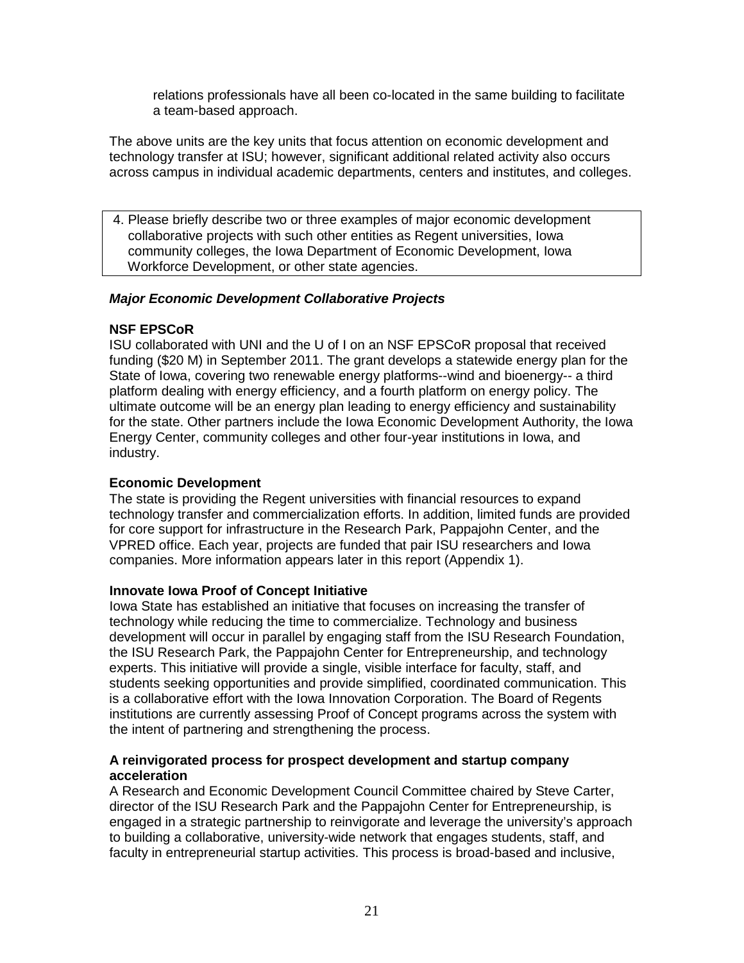relations professionals have all been co-located in the same building to facilitate a team-based approach.

The above units are the key units that focus attention on economic development and technology transfer at ISU; however, significant additional related activity also occurs across campus in individual academic departments, centers and institutes, and colleges.

4. Please briefly describe two or three examples of major economic development collaborative projects with such other entities as Regent universities, Iowa community colleges, the Iowa Department of Economic Development, Iowa Workforce Development, or other state agencies.

#### *Major Economic Development Collaborative Projects*

#### **NSF EPSCoR**

ISU collaborated with UNI and the U of I on an NSF EPSCoR proposal that received funding (\$20 M) in September 2011. The grant develops a statewide energy plan for the State of Iowa, covering two renewable energy platforms--wind and bioenergy-- a third platform dealing with energy efficiency, and a fourth platform on energy policy. The ultimate outcome will be an energy plan leading to energy efficiency and sustainability for the state. Other partners include the Iowa Economic Development Authority, the Iowa Energy Center, community colleges and other four-year institutions in Iowa, and industry.

#### **Economic Development**

The state is providing the Regent universities with financial resources to expand technology transfer and commercialization efforts. In addition, limited funds are provided for core support for infrastructure in the Research Park, Pappajohn Center, and the VPRED office. Each year, projects are funded that pair ISU researchers and Iowa companies. More information appears later in this report (Appendix 1).

#### **Innovate Iowa Proof of Concept Initiative**

Iowa State has established an initiative that focuses on increasing the transfer of technology while reducing the time to commercialize. Technology and business development will occur in parallel by engaging staff from the ISU Research Foundation, the ISU Research Park, the Pappajohn Center for Entrepreneurship, and technology experts. This initiative will provide a single, visible interface for faculty, staff, and students seeking opportunities and provide simplified, coordinated communication. This is a collaborative effort with the Iowa Innovation Corporation. The Board of Regents institutions are currently assessing Proof of Concept programs across the system with the intent of partnering and strengthening the process.

#### **A reinvigorated process for prospect development and startup company acceleration**

A Research and Economic Development Council Committee chaired by Steve Carter, director of the ISU Research Park and the Pappajohn Center for Entrepreneurship, is engaged in a strategic partnership to reinvigorate and leverage the university's approach to building a collaborative, university-wide network that engages students, staff, and faculty in entrepreneurial startup activities. This process is broad-based and inclusive,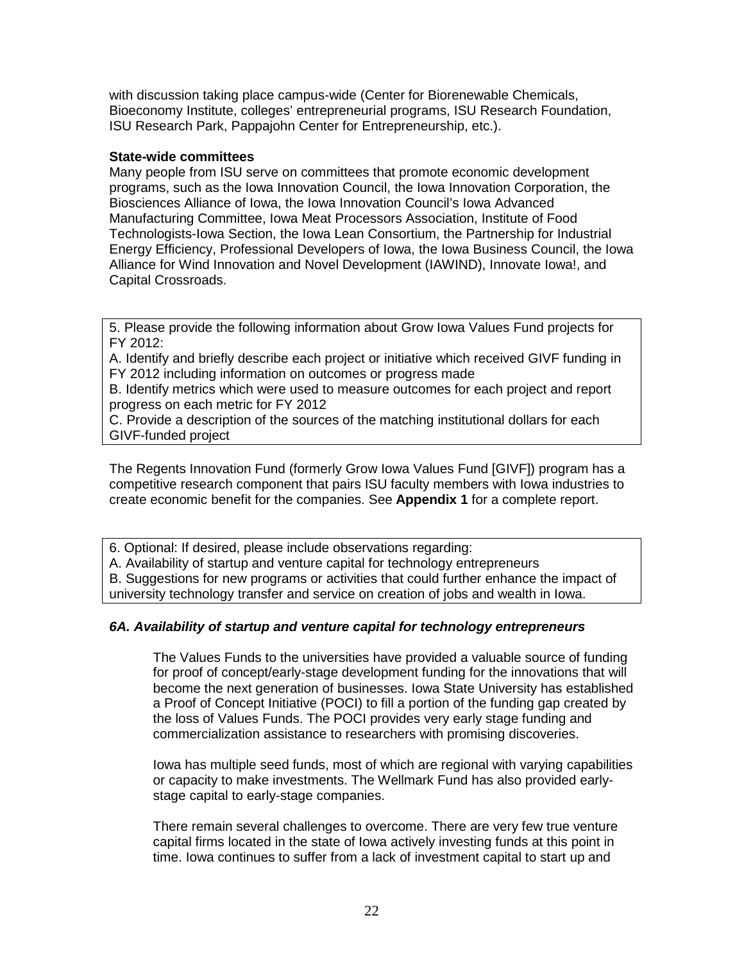with discussion taking place campus-wide (Center for Biorenewable Chemicals, Bioeconomy Institute, colleges' entrepreneurial programs, ISU Research Foundation, ISU Research Park, Pappajohn Center for Entrepreneurship, etc.).

#### **State-wide committees**

Many people from ISU serve on committees that promote economic development programs, such as the Iowa Innovation Council, the Iowa Innovation Corporation, the Biosciences Alliance of Iowa, the Iowa Innovation Council's Iowa Advanced Manufacturing Committee, Iowa Meat Processors Association, Institute of Food Technologists-Iowa Section, the Iowa Lean Consortium, the Partnership for Industrial Energy Efficiency, Professional Developers of Iowa, the Iowa Business Council, the Iowa Alliance for Wind Innovation and Novel Development (IAWIND), Innovate Iowa!, and Capital Crossroads.

5. Please provide the following information about Grow Iowa Values Fund projects for FY 2012:

A. Identify and briefly describe each project or initiative which received GIVF funding in FY 2012 including information on outcomes or progress made

B. Identify metrics which were used to measure outcomes for each project and report progress on each metric for FY 2012

C. Provide a description of the sources of the matching institutional dollars for each GIVF-funded project

The Regents Innovation Fund (formerly Grow Iowa Values Fund [GIVF]) program has a competitive research component that pairs ISU faculty members with Iowa industries to create economic benefit for the companies. See **Appendix 1** for a complete report.

6. Optional: If desired, please include observations regarding:

A. Availability of startup and venture capital for technology entrepreneurs

B. Suggestions for new programs or activities that could further enhance the impact of university technology transfer and service on creation of jobs and wealth in Iowa.

#### *6A. Availability of startup and venture capital for technology entrepreneurs*

The Values Funds to the universities have provided a valuable source of funding for proof of concept/early-stage development funding for the innovations that will become the next generation of businesses. Iowa State University has established a Proof of Concept Initiative (POCI) to fill a portion of the funding gap created by the loss of Values Funds. The POCI provides very early stage funding and commercialization assistance to researchers with promising discoveries.

Iowa has multiple seed funds, most of which are regional with varying capabilities or capacity to make investments. The Wellmark Fund has also provided earlystage capital to early-stage companies.

There remain several challenges to overcome. There are very few true venture capital firms located in the state of Iowa actively investing funds at this point in time. Iowa continues to suffer from a lack of investment capital to start up and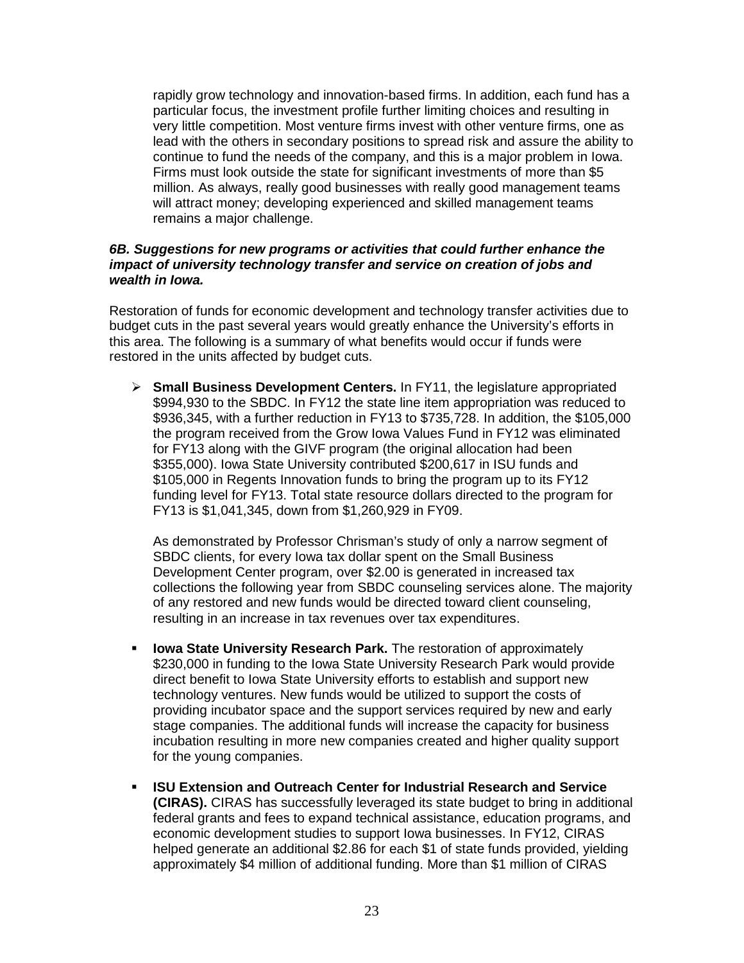rapidly grow technology and innovation-based firms. In addition, each fund has a particular focus, the investment profile further limiting choices and resulting in very little competition. Most venture firms invest with other venture firms, one as lead with the others in secondary positions to spread risk and assure the ability to continue to fund the needs of the company, and this is a major problem in Iowa. Firms must look outside the state for significant investments of more than \$5 million. As always, really good businesses with really good management teams will attract money; developing experienced and skilled management teams remains a major challenge.

#### *6B. Suggestions for new programs or activities that could further enhance the impact of university technology transfer and service on creation of jobs and wealth in Iowa.*

Restoration of funds for economic development and technology transfer activities due to budget cuts in the past several years would greatly enhance the University's efforts in this area. The following is a summary of what benefits would occur if funds were restored in the units affected by budget cuts.

**►** Small Business Development Centers. In FY11, the legislature appropriated \$994,930 to the SBDC. In FY12 the state line item appropriation was reduced to \$936,345, with a further reduction in FY13 to \$735,728. In addition, the \$105,000 the program received from the Grow Iowa Values Fund in FY12 was eliminated for FY13 along with the GIVF program (the original allocation had been \$355,000). Iowa State University contributed \$200,617 in ISU funds and \$105,000 in Regents Innovation funds to bring the program up to its FY12 funding level for FY13. Total state resource dollars directed to the program for FY13 is \$1,041,345, down from \$1,260,929 in FY09.

As demonstrated by Professor Chrisman's study of only a narrow segment of SBDC clients, for every Iowa tax dollar spent on the Small Business Development Center program, over \$2.00 is generated in increased tax collections the following year from SBDC counseling services alone. The majority of any restored and new funds would be directed toward client counseling, resulting in an increase in tax revenues over tax expenditures.

- **Iowa State University Research Park.** The restoration of approximately \$230,000 in funding to the Iowa State University Research Park would provide direct benefit to Iowa State University efforts to establish and support new technology ventures. New funds would be utilized to support the costs of providing incubator space and the support services required by new and early stage companies. The additional funds will increase the capacity for business incubation resulting in more new companies created and higher quality support for the young companies.
- **ISU Extension and Outreach Center for Industrial Research and Service (CIRAS).** CIRAS has successfully leveraged its state budget to bring in additional federal grants and fees to expand technical assistance, education programs, and economic development studies to support Iowa businesses. In FY12, CIRAS helped generate an additional \$2.86 for each \$1 of state funds provided, yielding approximately \$4 million of additional funding. More than \$1 million of CIRAS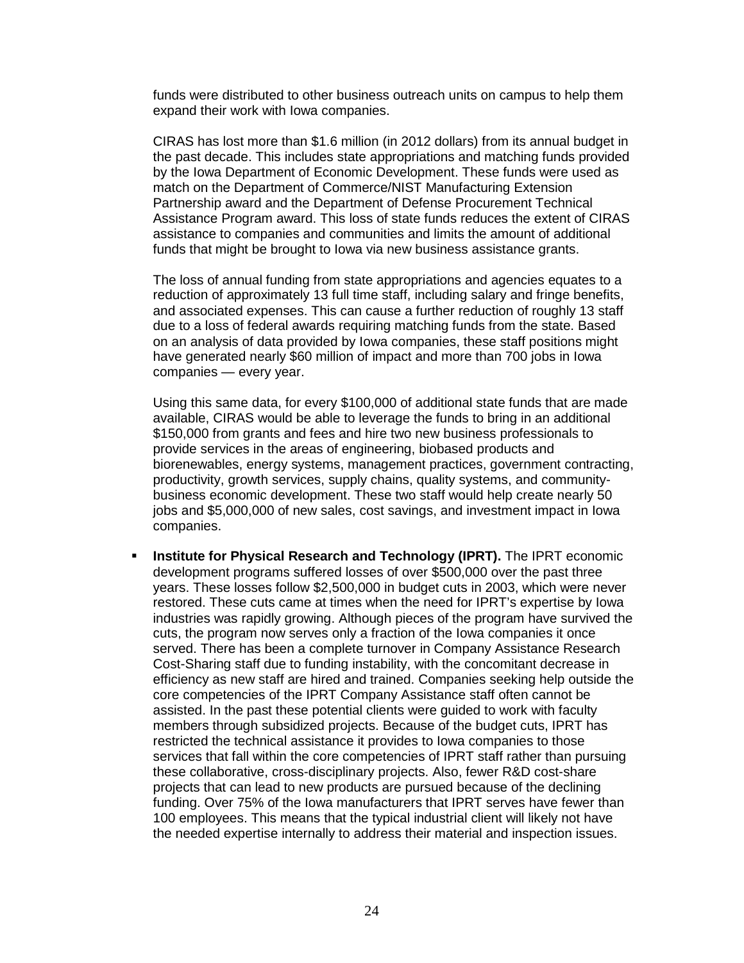funds were distributed to other business outreach units on campus to help them expand their work with Iowa companies.

CIRAS has lost more than \$1.6 million (in 2012 dollars) from its annual budget in the past decade. This includes state appropriations and matching funds provided by the Iowa Department of Economic Development. These funds were used as match on the Department of Commerce/NIST Manufacturing Extension Partnership award and the Department of Defense Procurement Technical Assistance Program award. This loss of state funds reduces the extent of CIRAS assistance to companies and communities and limits the amount of additional funds that might be brought to Iowa via new business assistance grants.

The loss of annual funding from state appropriations and agencies equates to a reduction of approximately 13 full time staff, including salary and fringe benefits, and associated expenses. This can cause a further reduction of roughly 13 staff due to a loss of federal awards requiring matching funds from the state. Based on an analysis of data provided by Iowa companies, these staff positions might have generated nearly \$60 million of impact and more than 700 jobs in Iowa companies — every year.

Using this same data, for every \$100,000 of additional state funds that are made available, CIRAS would be able to leverage the funds to bring in an additional \$150,000 from grants and fees and hire two new business professionals to provide services in the areas of engineering, biobased products and biorenewables, energy systems, management practices, government contracting, productivity, growth services, supply chains, quality systems, and communitybusiness economic development. These two staff would help create nearly 50 jobs and \$5,000,000 of new sales, cost savings, and investment impact in Iowa companies.

**Institute for Physical Research and Technology (IPRT).** The IPRT economic development programs suffered losses of over \$500,000 over the past three years. These losses follow \$2,500,000 in budget cuts in 2003, which were never restored. These cuts came at times when the need for IPRT's expertise by Iowa industries was rapidly growing. Although pieces of the program have survived the cuts, the program now serves only a fraction of the Iowa companies it once served. There has been a complete turnover in Company Assistance Research Cost-Sharing staff due to funding instability, with the concomitant decrease in efficiency as new staff are hired and trained. Companies seeking help outside the core competencies of the IPRT Company Assistance staff often cannot be assisted. In the past these potential clients were guided to work with faculty members through subsidized projects. Because of the budget cuts, IPRT has restricted the technical assistance it provides to Iowa companies to those services that fall within the core competencies of IPRT staff rather than pursuing these collaborative, cross-disciplinary projects. Also, fewer R&D cost-share projects that can lead to new products are pursued because of the declining funding. Over 75% of the Iowa manufacturers that IPRT serves have fewer than 100 employees. This means that the typical industrial client will likely not have the needed expertise internally to address their material and inspection issues.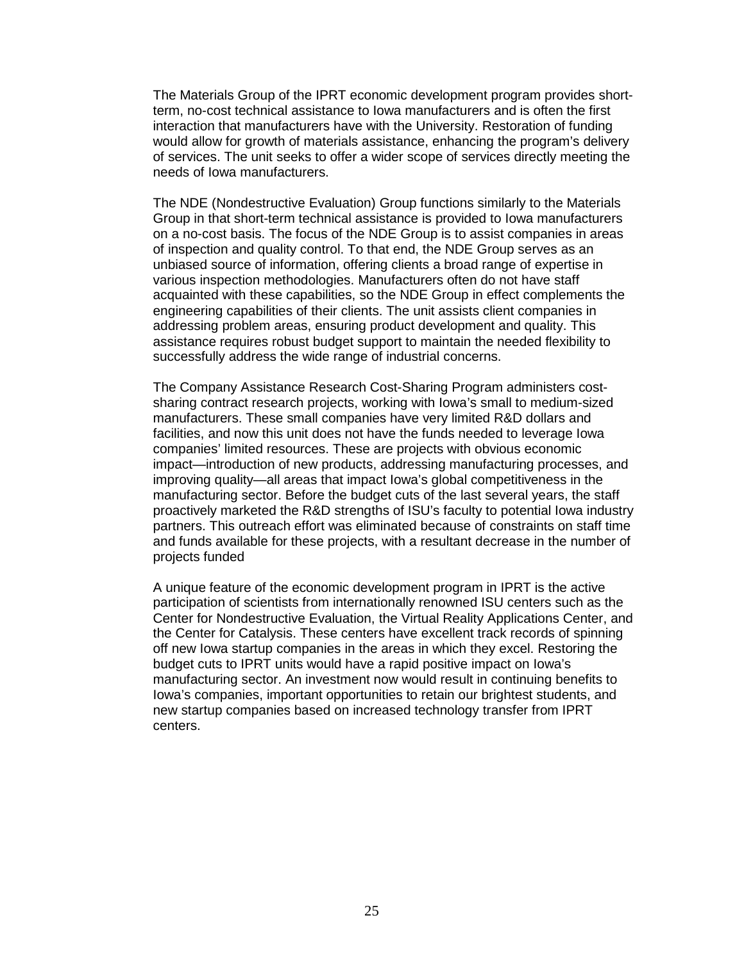The Materials Group of the IPRT economic development program provides shortterm, no-cost technical assistance to Iowa manufacturers and is often the first interaction that manufacturers have with the University. Restoration of funding would allow for growth of materials assistance, enhancing the program's delivery of services. The unit seeks to offer a wider scope of services directly meeting the needs of Iowa manufacturers.

The NDE (Nondestructive Evaluation) Group functions similarly to the Materials Group in that short-term technical assistance is provided to Iowa manufacturers on a no-cost basis. The focus of the NDE Group is to assist companies in areas of inspection and quality control. To that end, the NDE Group serves as an unbiased source of information, offering clients a broad range of expertise in various inspection methodologies. Manufacturers often do not have staff acquainted with these capabilities, so the NDE Group in effect complements the engineering capabilities of their clients. The unit assists client companies in addressing problem areas, ensuring product development and quality. This assistance requires robust budget support to maintain the needed flexibility to successfully address the wide range of industrial concerns.

The Company Assistance Research Cost-Sharing Program administers costsharing contract research projects, working with Iowa's small to medium-sized manufacturers. These small companies have very limited R&D dollars and facilities, and now this unit does not have the funds needed to leverage Iowa companies' limited resources. These are projects with obvious economic impact—introduction of new products, addressing manufacturing processes, and improving quality—all areas that impact Iowa's global competitiveness in the manufacturing sector. Before the budget cuts of the last several years, the staff proactively marketed the R&D strengths of ISU's faculty to potential Iowa industry partners. This outreach effort was eliminated because of constraints on staff time and funds available for these projects, with a resultant decrease in the number of projects funded

A unique feature of the economic development program in IPRT is the active participation of scientists from internationally renowned ISU centers such as the Center for Nondestructive Evaluation, the Virtual Reality Applications Center, and the Center for Catalysis. These centers have excellent track records of spinning off new Iowa startup companies in the areas in which they excel. Restoring the budget cuts to IPRT units would have a rapid positive impact on Iowa's manufacturing sector. An investment now would result in continuing benefits to Iowa's companies, important opportunities to retain our brightest students, and new startup companies based on increased technology transfer from IPRT centers.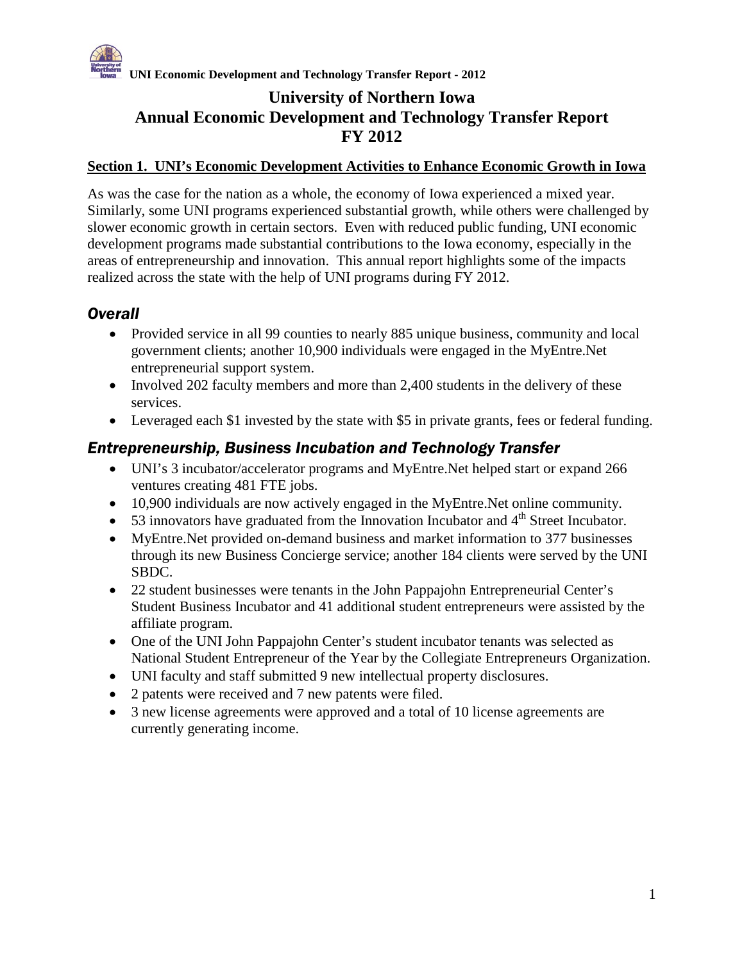

# **University of Northern Iowa Annual Economic Development and Technology Transfer Report FY 2012**

### **Section 1. UNI's Economic Development Activities to Enhance Economic Growth in Iowa**

As was the case for the nation as a whole, the economy of Iowa experienced a mixed year. Similarly, some UNI programs experienced substantial growth, while others were challenged by slower economic growth in certain sectors. Even with reduced public funding, UNI economic development programs made substantial contributions to the Iowa economy, especially in the areas of entrepreneurship and innovation. This annual report highlights some of the impacts realized across the state with the help of UNI programs during FY 2012.

# *Overall*

- Provided service in all 99 counties to nearly 885 unique business, community and local government clients; another 10,900 individuals were engaged in the MyEntre.Net entrepreneurial support system.
- Involved 202 faculty members and more than 2,400 students in the delivery of these services.
- Leveraged each \$1 invested by the state with \$5 in private grants, fees or federal funding.

# *Entrepreneurship, Business Incubation and Technology Transfer*

- UNI's 3 incubator/accelerator programs and MyEntre.Net helped start or expand 266 ventures creating 481 FTE jobs.
- 10,900 individuals are now actively engaged in the MyEntre. Net online community.
- 53 innovators have graduated from the Innovation Incubator and  $4<sup>th</sup>$  Street Incubator.
- MyEntre. Net provided on-demand business and market information to 377 businesses through its new Business Concierge service; another 184 clients were served by the UNI SBDC.
- 22 student businesses were tenants in the John Pappajohn Entrepreneurial Center's Student Business Incubator and 41 additional student entrepreneurs were assisted by the affiliate program.
- One of the UNI John Pappajohn Center's student incubator tenants was selected as National Student Entrepreneur of the Year by the Collegiate Entrepreneurs Organization.
- UNI faculty and staff submitted 9 new intellectual property disclosures.
- 2 patents were received and 7 new patents were filed.
- 3 new license agreements were approved and a total of 10 license agreements are currently generating income.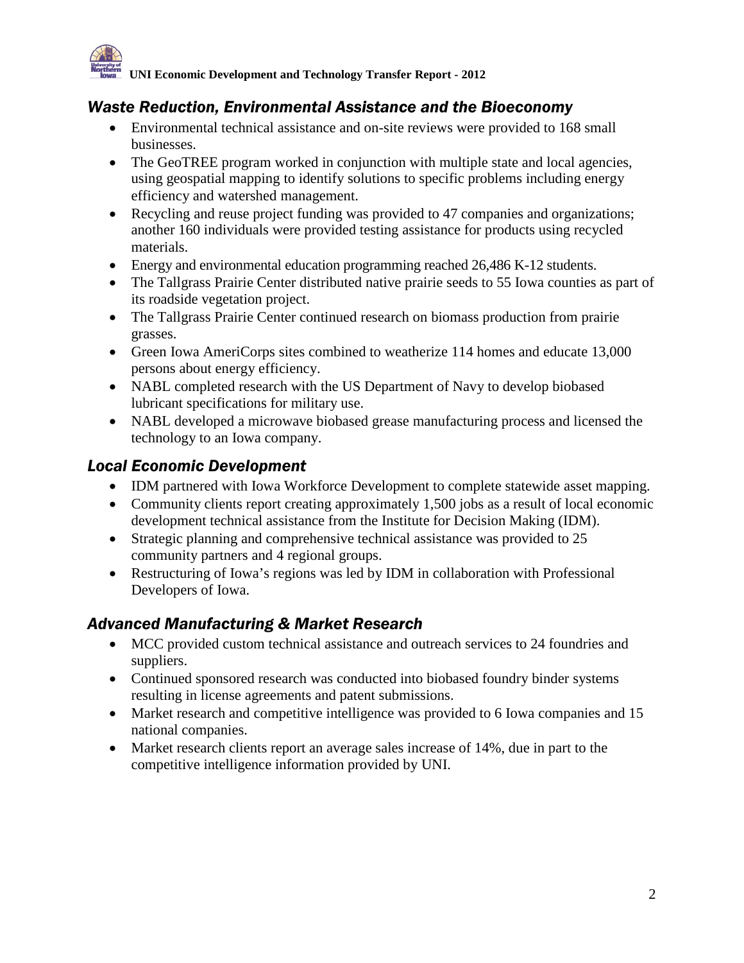

# *Waste Reduction, Environmental Assistance and the Bioeconomy*

- Environmental technical assistance and on-site reviews were provided to 168 small businesses.
- The GeoTREE program worked in conjunction with multiple state and local agencies, using geospatial mapping to identify solutions to specific problems including energy efficiency and watershed management.
- Recycling and reuse project funding was provided to 47 companies and organizations; another 160 individuals were provided testing assistance for products using recycled materials.
- Energy and environmental education programming reached 26,486 K-12 students.
- The Tallgrass Prairie Center distributed native prairie seeds to 55 Iowa counties as part of its roadside vegetation project.
- The Tallgrass Prairie Center continued research on biomass production from prairie grasses.
- Green Iowa AmeriCorps sites combined to weatherize 114 homes and educate 13,000 persons about energy efficiency.
- NABL completed research with the US Department of Navy to develop biobased lubricant specifications for military use.
- NABL developed a microwave biobased grease manufacturing process and licensed the technology to an Iowa company.

# *Local Economic Development*

- IDM partnered with Iowa Workforce Development to complete statewide asset mapping.
- Community clients report creating approximately 1,500 jobs as a result of local economic development technical assistance from the Institute for Decision Making (IDM).
- Strategic planning and comprehensive technical assistance was provided to 25 community partners and 4 regional groups.
- Restructuring of Iowa's regions was led by IDM in collaboration with Professional Developers of Iowa.

# *Advanced Manufacturing & Market Research*

- MCC provided custom technical assistance and outreach services to 24 foundries and suppliers.
- Continued sponsored research was conducted into biobased foundry binder systems resulting in license agreements and patent submissions.
- Market research and competitive intelligence was provided to 6 Iowa companies and 15 national companies.
- Market research clients report an average sales increase of 14%, due in part to the competitive intelligence information provided by UNI.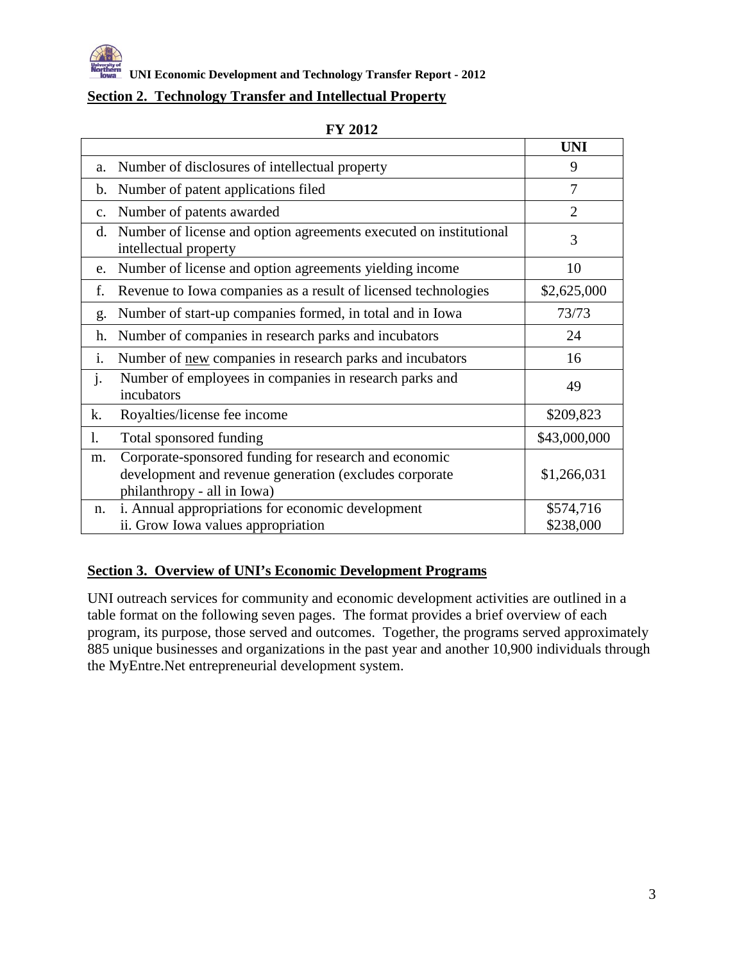

**UNI Economic Development and Technology Transfer Report - 2012**

### **Section 2. Technology Transfer and Intellectual Property**

|                |                                                                                            | <b>UNI</b>     |
|----------------|--------------------------------------------------------------------------------------------|----------------|
| a.             | Number of disclosures of intellectual property                                             | 9              |
| $\mathbf b$ .  | Number of patent applications filed                                                        | 7              |
| $\mathbf{C}$ . | Number of patents awarded                                                                  | $\overline{2}$ |
| d.             | Number of license and option agreements executed on institutional<br>intellectual property | 3              |
| e.             | Number of license and option agreements yielding income                                    | 10             |
| f.             | Revenue to Iowa companies as a result of licensed technologies                             | \$2,625,000    |
| g.             | Number of start-up companies formed, in total and in Iowa                                  | 73/73          |
| h.             | Number of companies in research parks and incubators                                       | 24             |
| i.             | Number of new companies in research parks and incubators                                   | 16             |
| $\mathbf{j}$ . | Number of employees in companies in research parks and<br>incubators                       | 49             |
| k.             | Royalties/license fee income                                                               | \$209,823      |
| $\mathbf{1}$ . | Total sponsored funding                                                                    | \$43,000,000   |
| m.             | Corporate-sponsored funding for research and economic                                      |                |
|                | development and revenue generation (excludes corporate                                     | \$1,266,031    |
|                | philanthropy - all in Iowa)                                                                |                |
| n.             | i. Annual appropriations for economic development                                          | \$574,716      |
|                | ii. Grow Iowa values appropriation                                                         | \$238,000      |

#### **FY 2012**

### **Section 3. Overview of UNI's Economic Development Programs**

UNI outreach services for community and economic development activities are outlined in a table format on the following seven pages. The format provides a brief overview of each program, its purpose, those served and outcomes. Together, the programs served approximately 885 unique businesses and organizations in the past year and another 10,900 individuals through the MyEntre.Net entrepreneurial development system.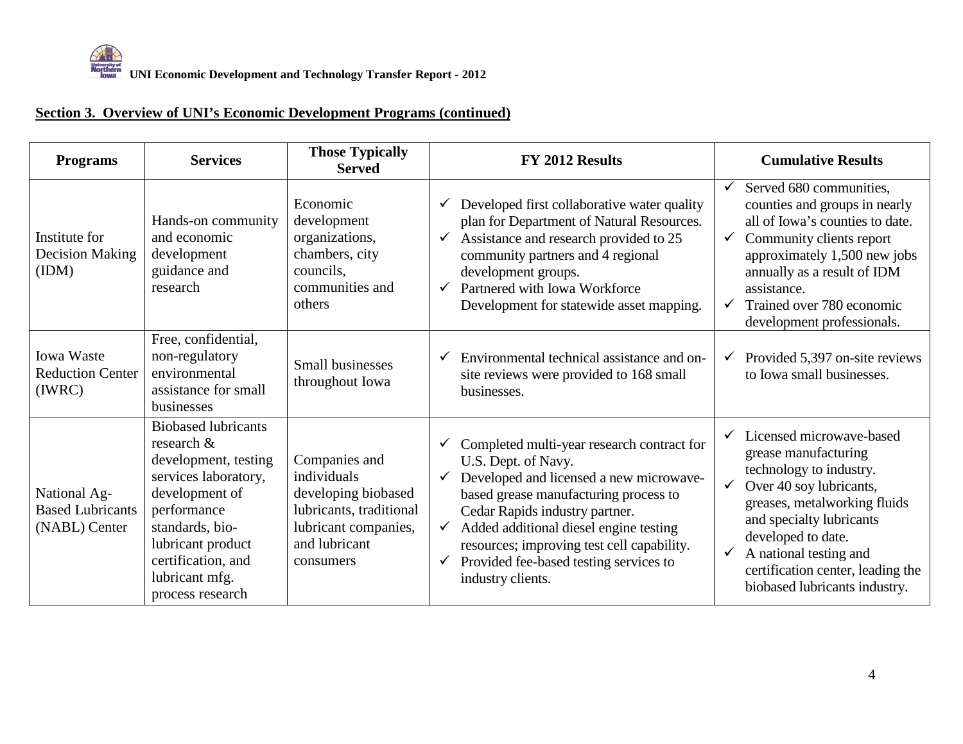| <b>Programs</b>                                          | <b>Services</b>                                                                                                                                                                                                               | <b>Those Typically</b><br><b>Served</b>                                                                                              | FY 2012 Results                                                                                                                                                                                                                                                                                                                                                     | <b>Cumulative Results</b>                                                                                                                                                                                                                                                                                                |
|----------------------------------------------------------|-------------------------------------------------------------------------------------------------------------------------------------------------------------------------------------------------------------------------------|--------------------------------------------------------------------------------------------------------------------------------------|---------------------------------------------------------------------------------------------------------------------------------------------------------------------------------------------------------------------------------------------------------------------------------------------------------------------------------------------------------------------|--------------------------------------------------------------------------------------------------------------------------------------------------------------------------------------------------------------------------------------------------------------------------------------------------------------------------|
| Institute for<br><b>Decision Making</b><br>(IDM)         | Hands-on community<br>and economic<br>development<br>guidance and<br>research                                                                                                                                                 | Economic<br>development<br>organizations,<br>chambers, city<br>councils,<br>communities and<br>others                                | Developed first collaborative water quality<br>✓<br>plan for Department of Natural Resources.<br>Assistance and research provided to 25<br>$\checkmark$<br>community partners and 4 regional<br>development groups.<br>Partnered with Iowa Workforce<br>$\checkmark$<br>Development for statewide asset mapping.                                                    | Served 680 communities,<br>counties and groups in nearly<br>all of Iowa's counties to date.<br>Community clients report<br>$\checkmark$<br>approximately 1,500 new jobs<br>annually as a result of IDM<br>assistance.<br>Trained over 780 economic<br>$\checkmark$<br>development professionals.                         |
| <b>Iowa Waste</b><br><b>Reduction Center</b><br>(IWRC)   | Free, confidential,<br>non-regulatory<br>environmental<br>assistance for small<br>businesses                                                                                                                                  | Small businesses<br>throughout Iowa                                                                                                  | Environmental technical assistance and on-<br>site reviews were provided to 168 small<br>businesses.                                                                                                                                                                                                                                                                | $\checkmark$ Provided 5,397 on-site reviews<br>to Iowa small businesses.                                                                                                                                                                                                                                                 |
| National Ag-<br><b>Based Lubricants</b><br>(NABL) Center | <b>Biobased lubricants</b><br>research &<br>development, testing<br>services laboratory,<br>development of<br>performance<br>standards, bio-<br>lubricant product<br>certification, and<br>lubricant mfg.<br>process research | Companies and<br>individuals<br>developing biobased<br>lubricants, traditional<br>lubricant companies,<br>and lubricant<br>consumers | Completed multi-year research contract for<br>U.S. Dept. of Navy.<br>Developed and licensed a new microwave-<br>based grease manufacturing process to<br>Cedar Rapids industry partner.<br>Added additional diesel engine testing<br>✓<br>resources; improving test cell capability.<br>Provided fee-based testing services to<br>$\checkmark$<br>industry clients. | Licensed microwave-based<br>grease manufacturing<br>technology to industry.<br>Over 40 soy lubricants,<br>$\checkmark$<br>greases, metalworking fluids<br>and specialty lubricants<br>developed to date.<br>A national testing and<br>$\checkmark$<br>certification center, leading the<br>biobased lubricants industry. |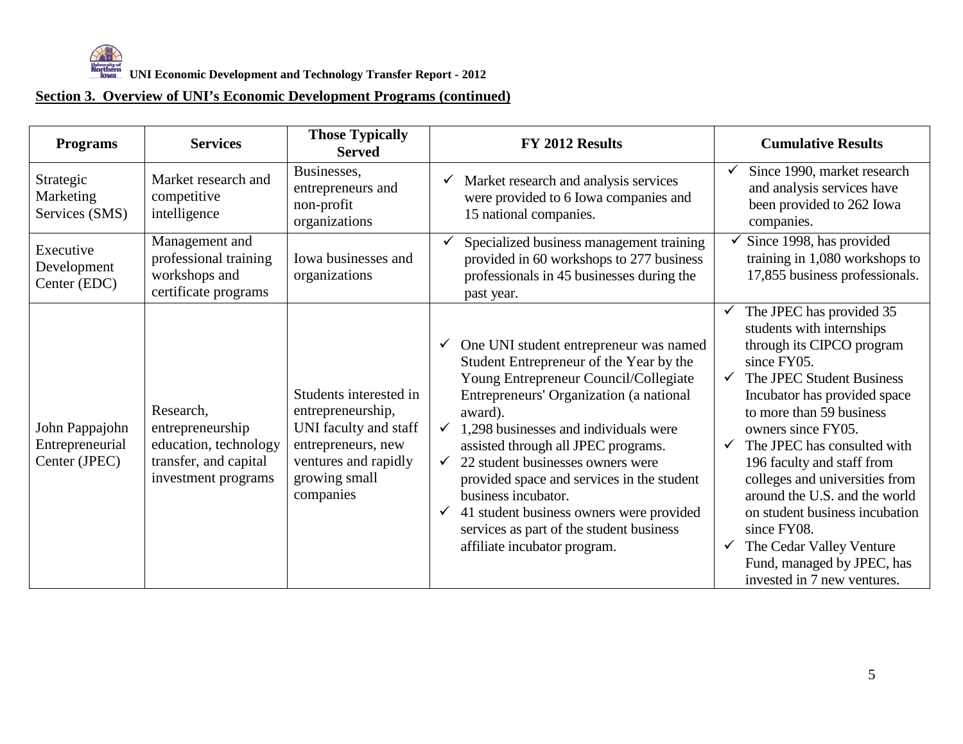

UNI Economic Development and Technology Transfer Report - 2012

| <b>Programs</b>                                    | <b>Services</b>                                                                                        | <b>Those Typically</b><br><b>Served</b>                                                                                                          | FY 2012 Results<br><b>Cumulative Results</b>                                                                                                                                                                                                                                                                                                                                                                                                                                                                                                                                                                                                                                                                                                                                                                                                                                                                                                                                                                                                                                          |
|----------------------------------------------------|--------------------------------------------------------------------------------------------------------|--------------------------------------------------------------------------------------------------------------------------------------------------|---------------------------------------------------------------------------------------------------------------------------------------------------------------------------------------------------------------------------------------------------------------------------------------------------------------------------------------------------------------------------------------------------------------------------------------------------------------------------------------------------------------------------------------------------------------------------------------------------------------------------------------------------------------------------------------------------------------------------------------------------------------------------------------------------------------------------------------------------------------------------------------------------------------------------------------------------------------------------------------------------------------------------------------------------------------------------------------|
| Strategic<br>Marketing<br>Services (SMS)           | Market research and<br>competitive<br>intelligence                                                     | Businesses,<br>entrepreneurs and<br>non-profit<br>organizations                                                                                  | Since 1990, market research<br>Market research and analysis services<br>✓<br>and analysis services have<br>were provided to 6 Iowa companies and<br>been provided to 262 Iowa<br>15 national companies.<br>companies.                                                                                                                                                                                                                                                                                                                                                                                                                                                                                                                                                                                                                                                                                                                                                                                                                                                                 |
| Executive<br>Development<br>Center (EDC)           | Management and<br>professional training<br>workshops and<br>certificate programs                       | Iowa businesses and<br>organizations                                                                                                             | Since 1998, has provided<br>Specialized business management training<br>training in 1,080 workshops to<br>provided in 60 workshops to 277 business<br>17,855 business professionals.<br>professionals in 45 businesses during the<br>past year.                                                                                                                                                                                                                                                                                                                                                                                                                                                                                                                                                                                                                                                                                                                                                                                                                                       |
| John Pappajohn<br>Entrepreneurial<br>Center (JPEC) | Research,<br>entrepreneurship<br>education, technology<br>transfer, and capital<br>investment programs | Students interested in<br>entrepreneurship,<br>UNI faculty and staff<br>entrepreneurs, new<br>ventures and rapidly<br>growing small<br>companies | The JPEC has provided 35<br>students with internships<br>through its CIPCO program<br>One UNI student entrepreneur was named<br>$\checkmark$<br>Student Entrepreneur of the Year by the<br>since FY05.<br>Young Entrepreneur Council/Collegiate<br>The JPEC Student Business<br>Entrepreneurs' Organization (a national<br>Incubator has provided space<br>to more than 59 business<br>award).<br>1,298 businesses and individuals were<br>owners since FY05.<br>$\checkmark$<br>assisted through all JPEC programs.<br>The JPEC has consulted with<br>✓<br>22 student businesses owners were<br>196 faculty and staff from<br>$\checkmark$<br>colleges and universities from<br>provided space and services in the student<br>around the U.S. and the world<br>business incubator.<br>41 student business owners were provided<br>on student business incubation<br>$\checkmark$<br>services as part of the student business<br>since FY08.<br>affiliate incubator program.<br>The Cedar Valley Venture<br>$\checkmark$<br>Fund, managed by JPEC, has<br>invested in 7 new ventures. |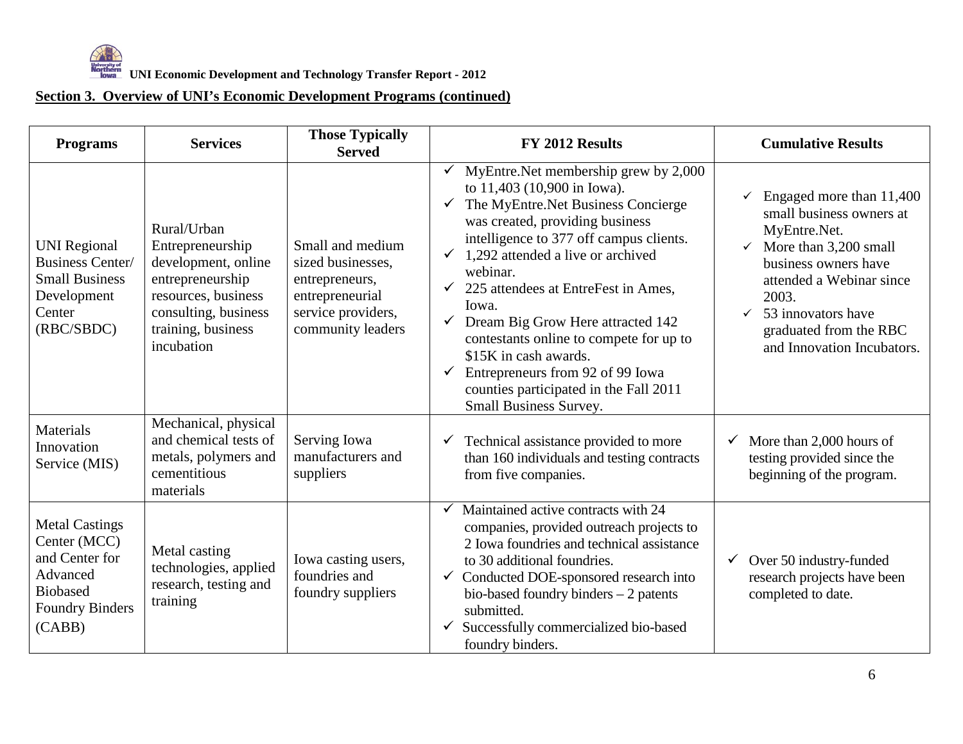

**UNI Experiment and Technology Transfer Report - 2012** 

| <b>Programs</b>                                                                                                            | <b>Services</b>                                                                                                                                               | <b>Those Typically</b><br><b>Served</b>                                                                               | FY 2012 Results                                                                                                                                                                                                                                                                                                                                                                                                                                                                                                                                                        | <b>Cumulative Results</b>                                                                                                                                                                                                                                                |
|----------------------------------------------------------------------------------------------------------------------------|---------------------------------------------------------------------------------------------------------------------------------------------------------------|-----------------------------------------------------------------------------------------------------------------------|------------------------------------------------------------------------------------------------------------------------------------------------------------------------------------------------------------------------------------------------------------------------------------------------------------------------------------------------------------------------------------------------------------------------------------------------------------------------------------------------------------------------------------------------------------------------|--------------------------------------------------------------------------------------------------------------------------------------------------------------------------------------------------------------------------------------------------------------------------|
| <b>UNI Regional</b><br><b>Business Center/</b><br><b>Small Business</b><br>Development<br>Center<br>(RBC/SBDC)             | Rural/Urban<br>Entrepreneurship<br>development, online<br>entrepreneurship<br>resources, business<br>consulting, business<br>training, business<br>incubation | Small and medium<br>sized businesses,<br>entrepreneurs,<br>entrepreneurial<br>service providers,<br>community leaders | MyEntre.Net membership grew by 2,000<br>to 11,403 (10,900 in Iowa).<br>The MyEntre.Net Business Concierge<br>$\checkmark$<br>was created, providing business<br>intelligence to 377 off campus clients.<br>$\checkmark$ 1,292 attended a live or archived<br>webinar.<br>225 attendees at EntreFest in Ames,<br>Iowa.<br>Dream Big Grow Here attracted 142<br>$\checkmark$<br>contestants online to compete for up to<br>\$15K in cash awards.<br>Entrepreneurs from 92 of 99 Iowa<br>$\checkmark$<br>counties participated in the Fall 2011<br>Small Business Survey. | Engaged more than 11,400<br>small business owners at<br>MyEntre.Net.<br>More than 3,200 small<br>$\checkmark$<br>business owners have<br>attended a Webinar since<br>2003.<br>53 innovators have<br>$\checkmark$<br>graduated from the RBC<br>and Innovation Incubators. |
| <b>Materials</b><br>Innovation<br>Service (MIS)                                                                            | Mechanical, physical<br>and chemical tests of<br>metals, polymers and<br>cementitious<br>materials                                                            | Serving Iowa<br>manufacturers and<br>suppliers                                                                        | Technical assistance provided to more<br>$\checkmark$<br>than 160 individuals and testing contracts<br>from five companies.                                                                                                                                                                                                                                                                                                                                                                                                                                            | More than 2,000 hours of<br>testing provided since the<br>beginning of the program.                                                                                                                                                                                      |
| <b>Metal Castings</b><br>Center (MCC)<br>and Center for<br>Advanced<br><b>Biobased</b><br><b>Foundry Binders</b><br>(CABB) | Metal casting<br>technologies, applied<br>research, testing and<br>training                                                                                   | Iowa casting users,<br>foundries and<br>foundry suppliers                                                             | Maintained active contracts with 24<br>$\checkmark$<br>companies, provided outreach projects to<br>2 Iowa foundries and technical assistance<br>to 30 additional foundries.<br>Conducted DOE-sponsored research into<br>$\checkmark$<br>bio-based foundry binders $-2$ patents<br>submitted.<br>Successfully commercialized bio-based<br>$\checkmark$<br>foundry binders.                                                                                                                                                                                              | $\checkmark$ Over 50 industry-funded<br>research projects have been<br>completed to date.                                                                                                                                                                                |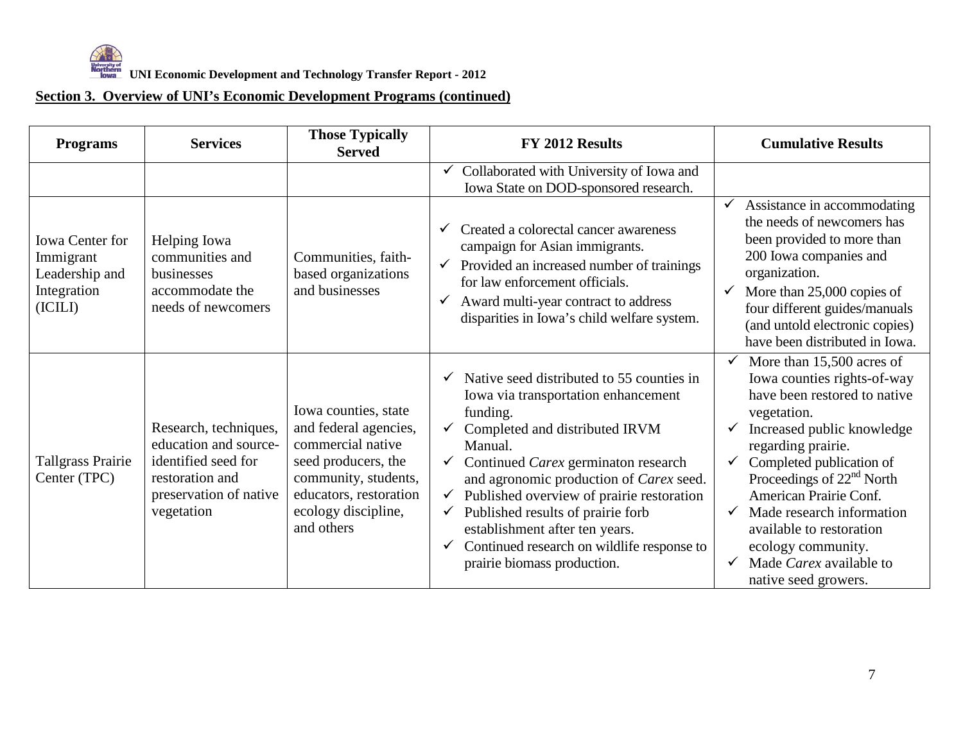

UNI Economic Development and Technology Transfer Report - 2012

| <b>Programs</b>                                                                 | <b>Services</b>                                                                                                                  | <b>Those Typically</b><br><b>Served</b>                                                                                                                                          | FY 2012 Results                                                                                                                                                                                                                                                                                                                                                                                                                                                              | <b>Cumulative Results</b>                                                                                                                                                                                                                                                                                                                                                                                                    |
|---------------------------------------------------------------------------------|----------------------------------------------------------------------------------------------------------------------------------|----------------------------------------------------------------------------------------------------------------------------------------------------------------------------------|------------------------------------------------------------------------------------------------------------------------------------------------------------------------------------------------------------------------------------------------------------------------------------------------------------------------------------------------------------------------------------------------------------------------------------------------------------------------------|------------------------------------------------------------------------------------------------------------------------------------------------------------------------------------------------------------------------------------------------------------------------------------------------------------------------------------------------------------------------------------------------------------------------------|
|                                                                                 |                                                                                                                                  |                                                                                                                                                                                  | $\checkmark$ Collaborated with University of Iowa and<br>Iowa State on DOD-sponsored research.                                                                                                                                                                                                                                                                                                                                                                               |                                                                                                                                                                                                                                                                                                                                                                                                                              |
| <b>Iowa Center for</b><br>Immigrant<br>Leadership and<br>Integration<br>(ICILI) | Helping Iowa<br>communities and<br>businesses<br>accommodate the<br>needs of newcomers                                           | Communities, faith-<br>based organizations<br>and businesses                                                                                                                     | Created a colorectal cancer awareness<br>✓<br>campaign for Asian immigrants.<br>Provided an increased number of trainings<br>$\checkmark$<br>for law enforcement officials.<br>Award multi-year contract to address<br>$\checkmark$<br>disparities in Iowa's child welfare system.                                                                                                                                                                                           | Assistance in accommodating<br>the needs of newcomers has<br>been provided to more than<br>200 Iowa companies and<br>organization.<br>More than 25,000 copies of<br>$\checkmark$<br>four different guides/manuals<br>(and untold electronic copies)<br>have been distributed in Iowa.                                                                                                                                        |
| <b>Tallgrass Prairie</b><br>Center (TPC)                                        | Research, techniques,<br>education and source-<br>identified seed for<br>restoration and<br>preservation of native<br>vegetation | Iowa counties, state<br>and federal agencies,<br>commercial native<br>seed producers, the<br>community, students,<br>educators, restoration<br>ecology discipline,<br>and others | Native seed distributed to 55 counties in<br>Iowa via transportation enhancement<br>funding.<br>Completed and distributed IRVM<br>Manual.<br>Continued Carex germinaton research<br>and agronomic production of Carex seed.<br>Published overview of prairie restoration<br>$\checkmark$<br>Published results of prairie forb<br>$\checkmark$<br>establishment after ten years.<br>Continued research on wildlife response to<br>$\checkmark$<br>prairie biomass production. | More than 15,500 acres of<br>Iowa counties rights-of-way<br>have been restored to native<br>vegetation.<br>Increased public knowledge<br>regarding prairie.<br>Completed publication of<br>Proceedings of 22 <sup>nd</sup> North<br>American Prairie Conf.<br>Made research information<br>$\checkmark$<br>available to restoration<br>ecology community.<br>Made Carex available to<br>$\checkmark$<br>native seed growers. |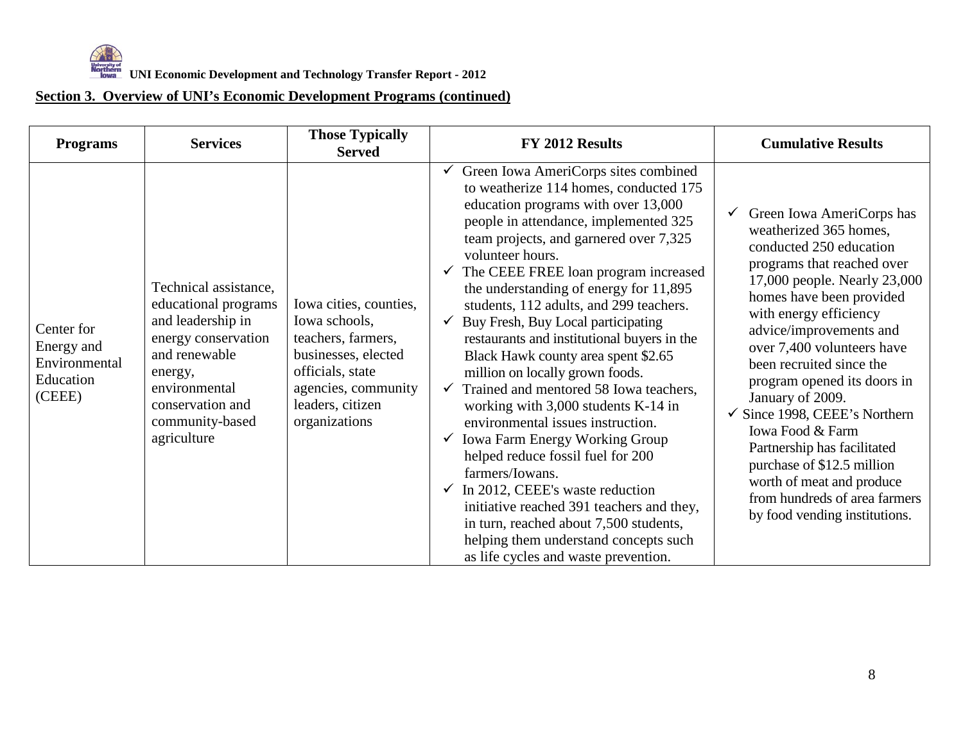

**UNI Experiment and Technology Transfer Report - 2012** 

| <b>Programs</b>                                                  | <b>Services</b>                                                                                                                                                                              | <b>Those Typically</b><br><b>Served</b>                                                                                                                              | FY 2012 Results                                                                                                                                                                                                                                                                                                                                                                                                                                                                                                                                                                                                                                                                                                                                                                                                                                                                                                                                                                                                                                  | <b>Cumulative Results</b>                                                                                                                                                                                                                                                                                                                                                                                                                                                                                                                                              |
|------------------------------------------------------------------|----------------------------------------------------------------------------------------------------------------------------------------------------------------------------------------------|----------------------------------------------------------------------------------------------------------------------------------------------------------------------|--------------------------------------------------------------------------------------------------------------------------------------------------------------------------------------------------------------------------------------------------------------------------------------------------------------------------------------------------------------------------------------------------------------------------------------------------------------------------------------------------------------------------------------------------------------------------------------------------------------------------------------------------------------------------------------------------------------------------------------------------------------------------------------------------------------------------------------------------------------------------------------------------------------------------------------------------------------------------------------------------------------------------------------------------|------------------------------------------------------------------------------------------------------------------------------------------------------------------------------------------------------------------------------------------------------------------------------------------------------------------------------------------------------------------------------------------------------------------------------------------------------------------------------------------------------------------------------------------------------------------------|
| Center for<br>Energy and<br>Environmental<br>Education<br>(CEEE) | Technical assistance,<br>educational programs<br>and leadership in<br>energy conservation<br>and renewable<br>energy,<br>environmental<br>conservation and<br>community-based<br>agriculture | Iowa cities, counties,<br>Iowa schools,<br>teachers, farmers,<br>businesses, elected<br>officials, state<br>agencies, community<br>leaders, citizen<br>organizations | Green Iowa AmeriCorps sites combined<br>$\checkmark$<br>to weatherize 114 homes, conducted 175<br>education programs with over 13,000<br>people in attendance, implemented 325<br>team projects, and garnered over 7,325<br>volunteer hours.<br>The CEEE FREE loan program increased<br>$\checkmark$<br>the understanding of energy for 11,895<br>students, 112 adults, and 299 teachers.<br>Buy Fresh, Buy Local participating<br>$\checkmark$<br>restaurants and institutional buyers in the<br>Black Hawk county area spent \$2.65<br>million on locally grown foods.<br>Trained and mentored 58 Iowa teachers,<br>$\checkmark$<br>working with 3,000 students K-14 in<br>environmental issues instruction.<br>Iowa Farm Energy Working Group<br>$\checkmark$<br>helped reduce fossil fuel for 200<br>farmers/Iowans.<br>$\checkmark$ In 2012, CEEE's waste reduction<br>initiative reached 391 teachers and they,<br>in turn, reached about 7,500 students,<br>helping them understand concepts such<br>as life cycles and waste prevention. | Green Iowa AmeriCorps has<br>weatherized 365 homes,<br>conducted 250 education<br>programs that reached over<br>17,000 people. Nearly 23,000<br>homes have been provided<br>with energy efficiency<br>advice/improvements and<br>over 7,400 volunteers have<br>been recruited since the<br>program opened its doors in<br>January of 2009.<br>$\checkmark$ Since 1998, CEEE's Northern<br>Iowa Food & Farm<br>Partnership has facilitated<br>purchase of \$12.5 million<br>worth of meat and produce<br>from hundreds of area farmers<br>by food vending institutions. |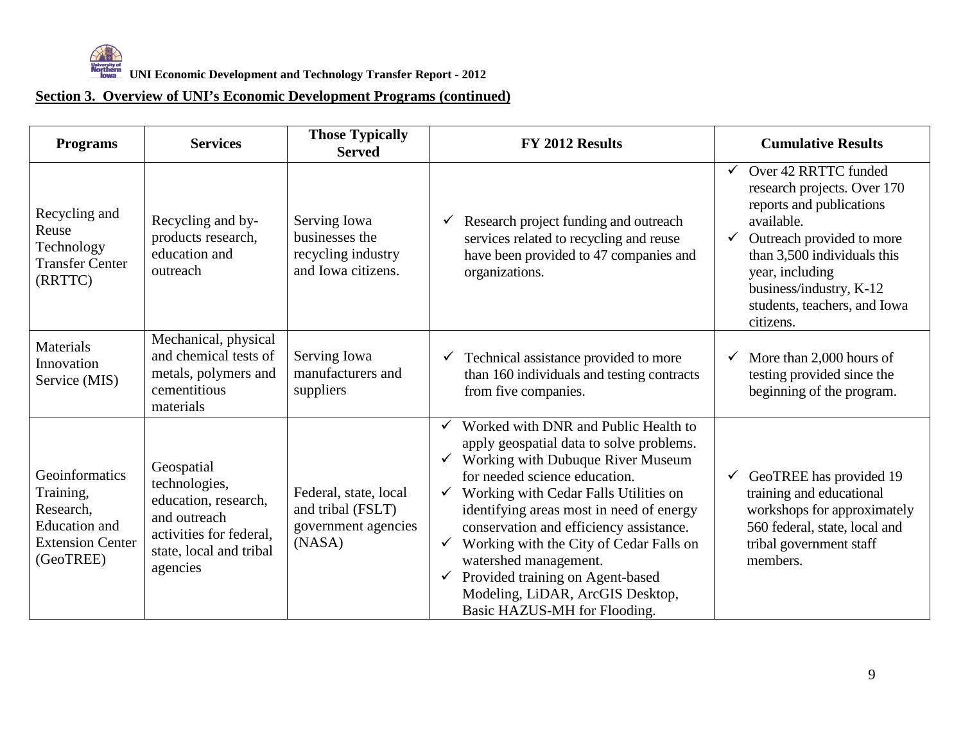

**UNI Experiment and Technology Transfer Report - 2012** 

| <b>Programs</b>                                                                                          | <b>Services</b>                                                                                                                       | <b>Those Typically</b><br><b>Served</b>                                     | FY 2012 Results                                                                                                                                                                                                                                                                                                                                                                                                                                                                                        | <b>Cumulative Results</b>                                                                                                                                                                                                                                            |
|----------------------------------------------------------------------------------------------------------|---------------------------------------------------------------------------------------------------------------------------------------|-----------------------------------------------------------------------------|--------------------------------------------------------------------------------------------------------------------------------------------------------------------------------------------------------------------------------------------------------------------------------------------------------------------------------------------------------------------------------------------------------------------------------------------------------------------------------------------------------|----------------------------------------------------------------------------------------------------------------------------------------------------------------------------------------------------------------------------------------------------------------------|
| Recycling and<br>Reuse<br>Technology<br><b>Transfer Center</b><br>(RRTTC)                                | Recycling and by-<br>products research,<br>education and<br>outreach                                                                  | Serving Iowa<br>businesses the<br>recycling industry<br>and Iowa citizens.  | Research project funding and outreach<br>$\checkmark$<br>services related to recycling and reuse<br>have been provided to 47 companies and<br>organizations.                                                                                                                                                                                                                                                                                                                                           | Over 42 RRTTC funded<br>research projects. Over 170<br>reports and publications<br>available.<br>Outreach provided to more<br>$\checkmark$<br>than 3,500 individuals this<br>year, including<br>business/industry, K-12<br>students, teachers, and Iowa<br>citizens. |
| Materials<br>Innovation<br>Service (MIS)                                                                 | Mechanical, physical<br>and chemical tests of<br>metals, polymers and<br>cementitious<br>materials                                    | Serving Iowa<br>manufacturers and<br>suppliers                              | Technical assistance provided to more<br>$\checkmark$<br>than 160 individuals and testing contracts<br>from five companies.                                                                                                                                                                                                                                                                                                                                                                            | More than 2,000 hours of<br>testing provided since the<br>beginning of the program.                                                                                                                                                                                  |
| Geoinformatics<br>Training,<br>Research,<br><b>Education</b> and<br><b>Extension Center</b><br>(GeoTREE) | Geospatial<br>technologies,<br>education, research,<br>and outreach<br>activities for federal,<br>state, local and tribal<br>agencies | Federal, state, local<br>and tribal (FSLT)<br>government agencies<br>(NASA) | Worked with DNR and Public Health to<br>$\checkmark$<br>apply geospatial data to solve problems.<br>Working with Dubuque River Museum<br>✓<br>for needed science education.<br>Working with Cedar Falls Utilities on<br>✓<br>identifying areas most in need of energy<br>conservation and efficiency assistance.<br>Working with the City of Cedar Falls on<br>✓<br>watershed management.<br>Provided training on Agent-based<br>✓<br>Modeling, LiDAR, ArcGIS Desktop,<br>Basic HAZUS-MH for Flooding. | GeoTREE has provided 19<br>training and educational<br>workshops for approximately<br>560 federal, state, local and<br>tribal government staff<br>members.                                                                                                           |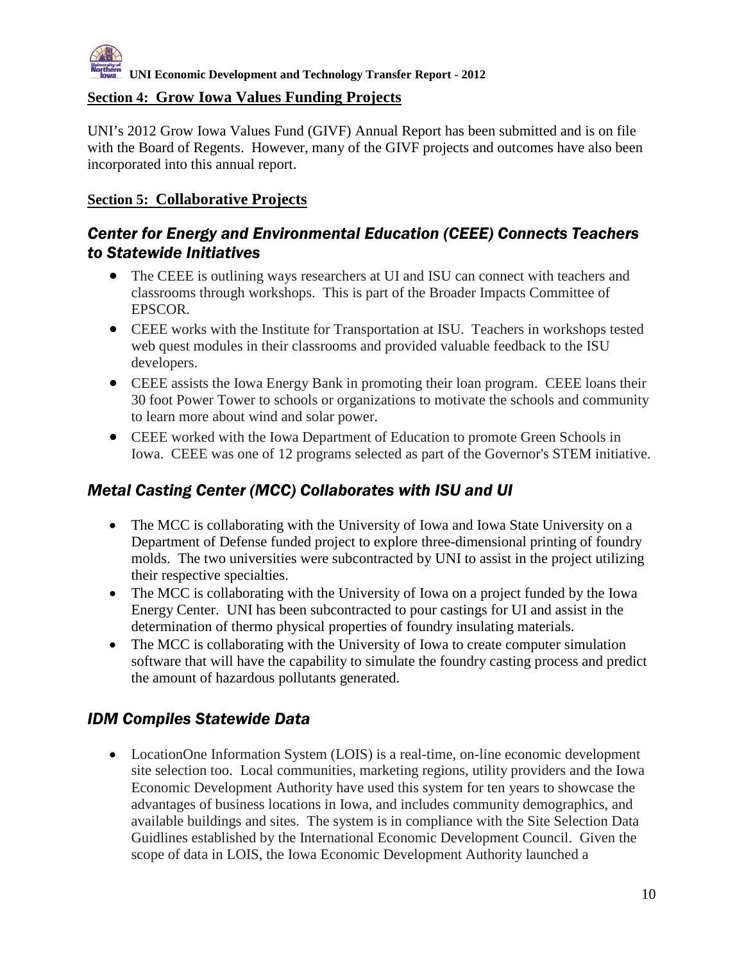

### **Section 4: Grow Iowa Values Funding Projects**

UNI's 2012 Grow Iowa Values Fund (GIVF) Annual Report has been submitted and is on file with the Board of Regents. However, many of the GIVF projects and outcomes have also been incorporated into this annual report.

### **Section 5: Collaborative Projects**

# *Center for Energy and Environmental Education (CEEE) Connects Teachers to Statewide Initiatives*

- The CEEE is outlining ways researchers at UI and ISU can connect with teachers and classrooms through workshops. This is part of the Broader Impacts Committee of EPSCOR.
- CEEE works with the Institute for Transportation at ISU. Teachers in workshops tested web quest modules in their classrooms and provided valuable feedback to the ISU developers.
- CEEE assists the Iowa Energy Bank in promoting their loan program. CEEE loans their 30 foot Power Tower to schools or organizations to motivate the schools and community to learn more about wind and solar power.
- CEEE worked with the Iowa Department of Education to promote Green Schools in Iowa. CEEE was one of 12 programs selected as part of the Governor's STEM initiative.

# *Metal Casting Center (MCC) Collaborates with ISU and UI*

- The MCC is collaborating with the University of Iowa and Iowa State University on a Department of Defense funded project to explore three-dimensional printing of foundry molds. The two universities were subcontracted by UNI to assist in the project utilizing their respective specialties.
- The MCC is collaborating with the University of Iowa on a project funded by the Iowa Energy Center. UNI has been subcontracted to pour castings for UI and assist in the determination of thermo physical properties of foundry insulating materials.
- The MCC is collaborating with the University of Iowa to create computer simulation software that will have the capability to simulate the foundry casting process and predict the amount of hazardous pollutants generated.

# *IDM Compiles Statewide Data*

• LocationOne Information System (LOIS) is a real-time, on-line economic development site selection too. Local communities, marketing regions, utility providers and the Iowa Economic Development Authority have used this system for ten years to showcase the advantages of business locations in Iowa, and includes community demographics, and available buildings and sites. The system is in compliance with the Site Selection Data Guidlines established by the International Economic Development Council. Given the scope of data in LOIS, the Iowa Economic Development Authority launched a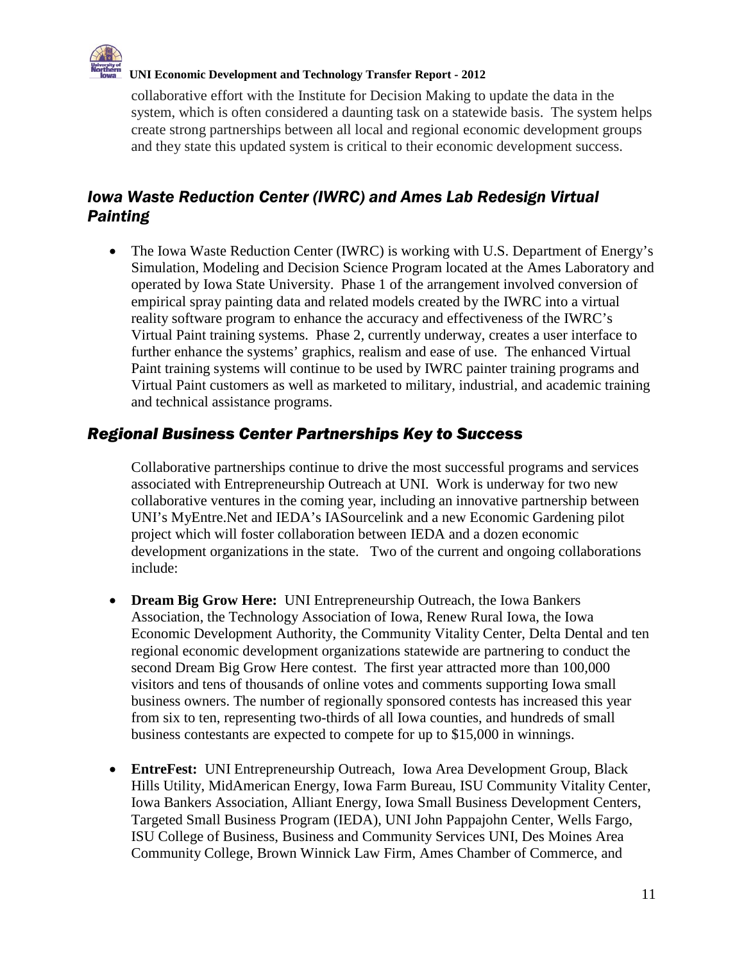

#### **UNI Economic Development and Technology Transfer Report - 2012**

collaborative effort with the Institute for Decision Making to update the data in the system, which is often considered a daunting task on a statewide basis. The system helps create strong partnerships between all local and regional economic development groups and they state this updated system is critical to their economic development success.

# *Iowa Waste Reduction Center (IWRC) and Ames Lab Redesign Virtual Painting*

• The Iowa Waste Reduction Center (IWRC) is working with U.S. Department of Energy's Simulation, Modeling and Decision Science Program located at the Ames Laboratory and operated by Iowa State University. Phase 1 of the arrangement involved conversion of empirical spray painting data and related models created by the IWRC into a virtual reality software program to enhance the accuracy and effectiveness of the IWRC's Virtual Paint training systems. Phase 2, currently underway, creates a user interface to further enhance the systems' graphics, realism and ease of use. The enhanced Virtual Paint training systems will continue to be used by IWRC painter training programs and Virtual Paint customers as well as marketed to military, industrial, and academic training and technical assistance programs.

### *Regional Business Center Partnerships Key to Success*

Collaborative partnerships continue to drive the most successful programs and services associated with Entrepreneurship Outreach at UNI. Work is underway for two new collaborative ventures in the coming year, including an innovative partnership between UNI's MyEntre.Net and IEDA's IASourcelink and a new Economic Gardening pilot project which will foster collaboration between IEDA and a dozen economic development organizations in the state. Two of the current and ongoing collaborations include:

- **Dream Big Grow Here:** UNI Entrepreneurship Outreach, the Iowa Bankers Association, the Technology Association of Iowa, Renew Rural Iowa, the Iowa Economic Development Authority, the Community Vitality Center, Delta Dental and ten regional economic development organizations statewide are partnering to conduct the second Dream Big Grow Here contest. The first year attracted more than 100,000 visitors and tens of thousands of online votes and comments supporting Iowa small business owners. The number of regionally sponsored contests has increased this year from six to ten, representing two-thirds of all Iowa counties, and hundreds of small business contestants are expected to compete for up to \$15,000 in winnings.
- **EntreFest:** UNI Entrepreneurship Outreach, Iowa Area Development Group, Black Hills Utility, MidAmerican Energy, Iowa Farm Bureau, ISU Community Vitality Center, Iowa Bankers Association, Alliant Energy, Iowa Small Business Development Centers, Targeted Small Business Program (IEDA), UNI John Pappajohn Center, Wells Fargo, ISU College of Business, Business and Community Services UNI, Des Moines Area Community College, Brown Winnick Law Firm, Ames Chamber of Commerce, and